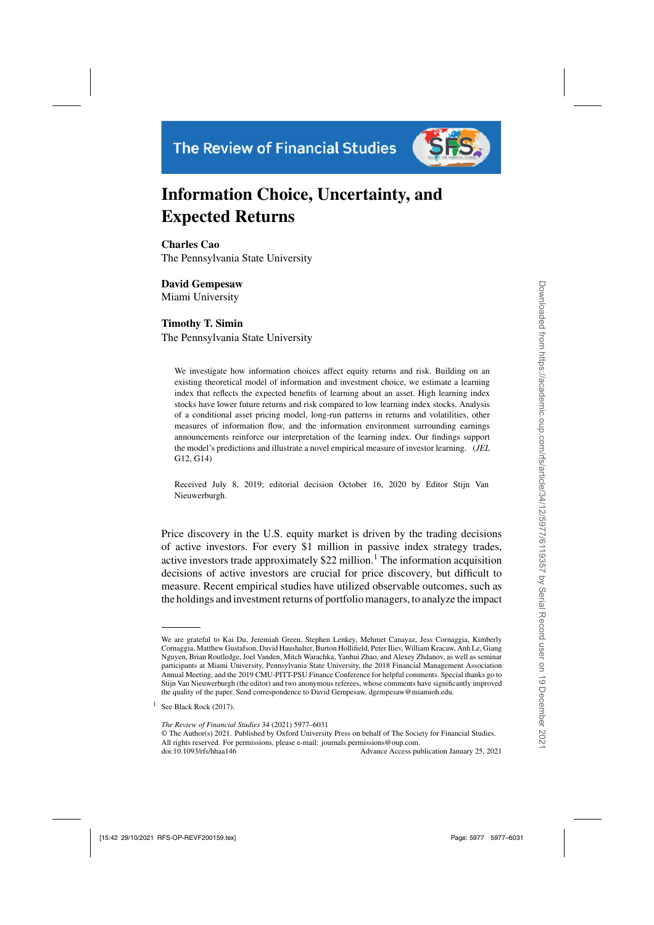

# **Information Choice, Uncertainty, and Expected Returns**

**Charles Cao** The Pennsylvania State University

**David Gempesaw** Miami University

# **Timothy T. Simin**

The Pennsylvania State University

We investigate how information choices affect equity returns and risk. Building on an existing theoretical model of information and investment choice, we estimate a learning index that reflects the expected benefits of learning about an asset. High learning index stocks have lower future returns and risk compared to low learning index stocks. Analysis of a conditional asset pricing model, long-run patterns in returns and volatilities, other measures of information flow, and the information environment surrounding earnings announcements reinforce our interpretation of the learning index. Our findings support the model's predictions and illustrate a novel empirical measure of investor learning. (*JEL* G12, G14)

Received July 8, 2019; editorial decision October 16, 2020 by Editor Stijn Van Nieuwerburgh.

Price discovery in the U.S. equity market is driven by the trading decisions of active investors. For every \$1 million in passive index strategy trades, active investors trade approximately  $$22$  million.<sup>1</sup> The information acquisition decisions of active investors are crucial for price discovery, but difficult to measure. Recent empirical studies have utilized observable outcomes, such as the holdings and investment returns of portfolio managers, to analyze the impact

doi:10.1093/rfs/hhaa146 Advance Access publication January 25, 2021

We are grateful to Kai Du, Jeremiah Green, Stephen Lenkey, Mehmet Canayaz, Jess Cornaggia, Kimberly Cornaggia, Matthew Gustafson, David Haushalter, Burton Hollifield, Peter Iliev, William Kracaw, Anh Le, Giang Nguyen, Brian Routledge, Joel Vanden, Mitch Warachka, Yanhui Zhao, and Alexey Zhdanov, as well as seminar participants at Miami University, Pennsylvania State University, the 2018 Financial Management Association Annual Meeting, and the 2019 CMU-PITT-PSU Finance Conference for helpful comments. Special thanks go to Stijn Van Nieuwerburgh (the editor) and two anonymous referees, whose comments have significantly improved the quality of the paper. Send correspondence to David Gempesaw, dgempesaw@miamioh.edu.

<sup>&</sup>lt;sup>1</sup> See [Black Rock](#page-52-0) [\(2017](#page-52-0)).

*The Review of Financial Studies* 34 (2021) 5977–6031

<sup>©</sup> The Author(s) 2021. Published by Oxford University Press on behalf of The Society for Financial Studies. All rights reserved. For permissions, please e-mail: journals.permissions@oup.com.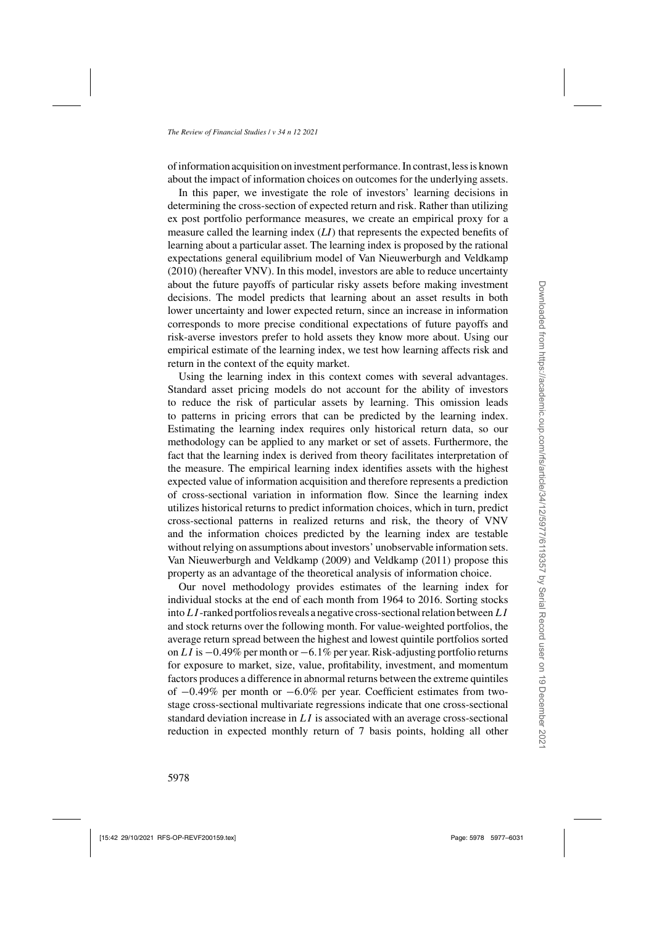of information acquisition on investment performance. In contrast, less is known about the impact of information choices on outcomes for the underlying assets.

In this paper, we investigate the role of investors' learning decisions in determining the cross-section of expected return and risk. Rather than utilizing ex post portfolio performance measures, we create an empirical proxy for a measure called the learning index (*LI*) that represents the expected benefits of learning about a particular asset. The learning index is proposed by the rational expectations general equilibrium model of [Van Nieuwerburgh and Veldkamp](#page-54-0) [\(2010\)](#page-54-0) (hereafter VNV). In this model, investors are able to reduce uncertainty about the future payoffs of particular risky assets before making investment decisions. The model predicts that learning about an asset results in both lower uncertainty and lower expected return, since an increase in information corresponds to more precise conditional expectations of future payoffs and risk-averse investors prefer to hold assets they know more about. Using our empirical estimate of the learning index, we test how learning affects risk and return in the context of the equity market.

Using the learning index in this context comes with several advantages. Standard asset pricing models do not account for the ability of investors to reduce the risk of particular assets by learning. This omission leads to patterns in pricing errors that can be predicted by the learning index. Estimating the learning index requires only historical return data, so our methodology can be applied to any market or set of assets. Furthermore, the fact that the learning index is derived from theory facilitates interpretation of the measure. The empirical learning index identifies assets with the highest expected value of information acquisition and therefore represents a prediction of cross-sectional variation in information flow. Since the learning index utilizes historical returns to predict information choices, which in turn, predict cross-sectional patterns in realized returns and risk, the theory of [VNV](#page-54-0) and the information choices predicted by the learning index are testable without relying on assumptions about investors' unobservable information sets. [Van Nieuwerburgh and Veldkamp](#page-54-0) [\(2009\)](#page-54-0) and [Veldkamp](#page-54-0) [\(2011\)](#page-54-0) propose this property as an advantage of the theoretical analysis of information choice.

Our novel methodology provides estimates of the learning index for individual stocks at the end of each month from 1964 to 2016. Sorting stocks into  $LI$ -ranked portfolios reveals a negative cross-sectional relation between  $LI$ and stock returns over the following month. For value-weighted portfolios, the average return spread between the highest and lowest quintile portfolios sorted on LI is  $-0.49\%$  per month or  $-6.1\%$  per year. Risk-adjusting portfolio returns for exposure to market, size, value, profitability, investment, and momentum factors produces a difference in abnormal returns between the extreme quintiles of <sup>−</sup>0.49% per month or <sup>−</sup>6.0% per year. Coefficient estimates from twostage cross-sectional multivariate regressions indicate that one cross-sectional standard deviation increase in  $LI$  is associated with an average cross-sectional reduction in expected monthly return of 7 basis points, holding all other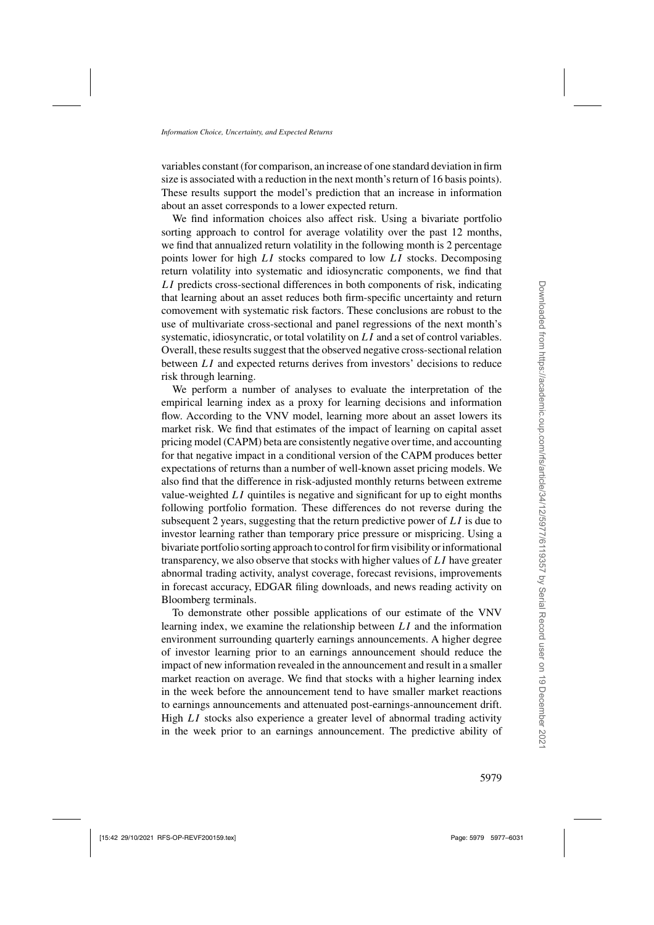variables constant (for comparison, an increase of one standard deviation in firm size is associated with a reduction in the next month's return of 16 basis points). These results support the model's prediction that an increase in information about an asset corresponds to a lower expected return.

We find information choices also affect risk. Using a bivariate portfolio sorting approach to control for average volatility over the past 12 months, we find that annualized return volatility in the following month is 2 percentage points lower for high LI stocks compared to low LI stocks. Decomposing return volatility into systematic and idiosyncratic components, we find that LI predicts cross-sectional differences in both components of risk, indicating that learning about an asset reduces both firm-specific uncertainty and return comovement with systematic risk factors. These conclusions are robust to the use of multivariate cross-sectional and panel regressions of the next month's systematic, idiosyncratic, or total volatility on LI and a set of control variables. Overall, these results suggest that the observed negative cross-sectional relation between LI and expected returns derives from investors' decisions to reduce risk through learning.

We perform a number of analyses to evaluate the interpretation of the empirical learning index as a proxy for learning decisions and information flow. According to the [VNV](#page-54-0) model, learning more about an asset lowers its market risk. We find that estimates of the impact of learning on capital asset pricing model (CAPM) beta are consistently negative over time, and accounting for that negative impact in a conditional version of the CAPM produces better expectations of returns than a number of well-known asset pricing models. We also find that the difference in risk-adjusted monthly returns between extreme value-weighted  $LI$  quintiles is negative and significant for up to eight months following portfolio formation. These differences do not reverse during the subsequent 2 years, suggesting that the return predictive power of  $LI$  is due to investor learning rather than temporary price pressure or mispricing. Using a bivariate portfolio sorting approach to control for firm visibility or informational transparency, we also observe that stocks with higher values of LI have greater abnormal trading activity, analyst coverage, forecast revisions, improvements in forecast accuracy, EDGAR filing downloads, and news reading activity on Bloomberg terminals.

To demonstrate other possible applications of our estimate of the [VNV](#page-54-0) learning index, we examine the relationship between  $LI$  and the information environment surrounding quarterly earnings announcements. A higher degree of investor learning prior to an earnings announcement should reduce the impact of new information revealed in the announcement and result in a smaller market reaction on average. We find that stocks with a higher learning index in the week before the announcement tend to have smaller market reactions to earnings announcements and attenuated post-earnings-announcement drift. High LI stocks also experience a greater level of abnormal trading activity in the week prior to an earnings announcement. The predictive ability of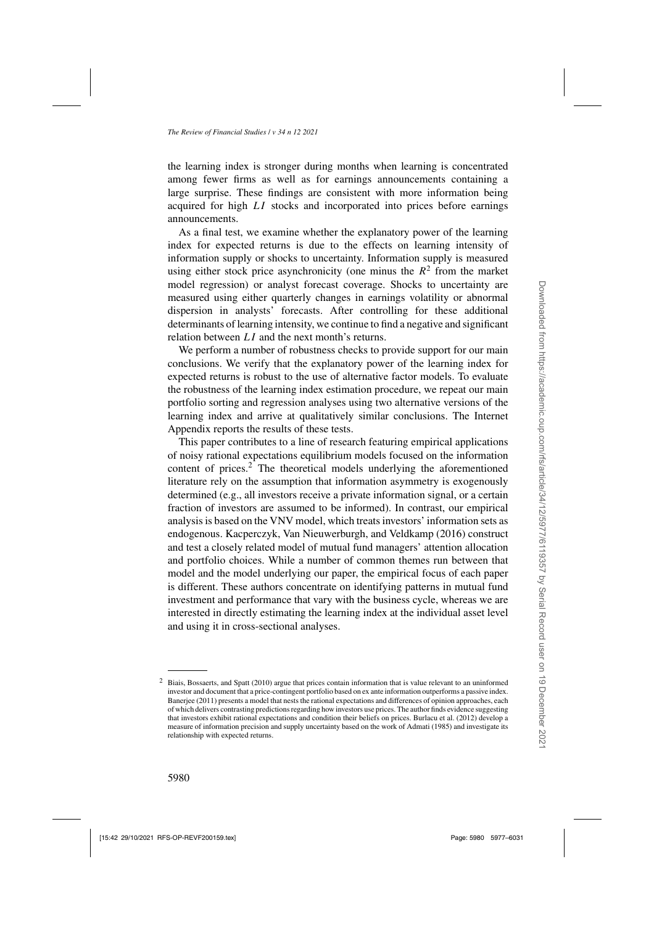the learning index is stronger during months when learning is concentrated among fewer firms as well as for earnings announcements containing a large surprise. These findings are consistent with more information being acquired for high LI stocks and incorporated into prices before earnings announcements.

As a final test, we examine whether the explanatory power of the learning index for expected returns is due to the effects on learning intensity of information supply or shocks to uncertainty. Information supply is measured using either stock price asynchronicity (one minus the  $R^2$  from the market model regression) or analyst forecast coverage. Shocks to uncertainty are measured using either quarterly changes in earnings volatility or abnormal dispersion in analysts' forecasts. After controlling for these additional determinants of learning intensity, we continue to find a negative and significant relation between LI and the next month's returns.

We perform a number of robustness checks to provide support for our main conclusions. We verify that the explanatory power of the learning index for expected returns is robust to the use of alternative factor models. To evaluate the robustness of the learning index estimation procedure, we repeat our main portfolio sorting and regression analyses using two alternative versions of the learning index and arrive at qualitatively similar conclusions. The Internet Appendix reports the results of these tests.

This paper contributes to a line of research featuring empirical applications of noisy rational expectations equilibrium models focused on the information content of prices.<sup>2</sup> The theoretical models underlying the aforementioned literature rely on the assumption that information asymmetry is exogenously determined (e.g., all investors receive a private information signal, or a certain fraction of investors are assumed to be informed). In contrast, our empirical analysis is based on the [VNV](#page-54-0) model, which treats investors' information sets as endogenous. [Kacperczyk, Van Nieuwerburgh, and Veldkamp](#page-53-0) [\(2016\)](#page-53-0) construct and test a closely related model of mutual fund managers' attention allocation and portfolio choices. While a number of common themes run between that model and the model underlying our paper, the empirical focus of each paper is different. These authors concentrate on identifying patterns in mutual fund investment and performance that vary with the business cycle, whereas we are interested in directly estimating the learning index at the individual asset level and using it in cross-sectional analyses.

<sup>&</sup>lt;sup>2</sup> [Biais, Bossaerts, and Spatt](#page-52-0) [\(2010](#page-52-0)) argue that prices contain information that is value relevant to an uninformed investor and document that a price-contingent portfolio based on ex ante information outperforms a passive index. [Banerjee](#page-52-0) [\(2011\)](#page-52-0) presents a model that nests the rational expectations and differences of opinion approaches, each of which delivers contrasting predictions regarding how investors use prices. The author finds evidence suggesting that investors exhibit rational expectations and condition their beliefs on prices. [Burlacu et al. \(2012](#page-52-0)) develop a measure of information precision and supply uncertainty based on the work of [Admati](#page-52-0) [\(1985\)](#page-52-0) and investigate its relationship with expected returns.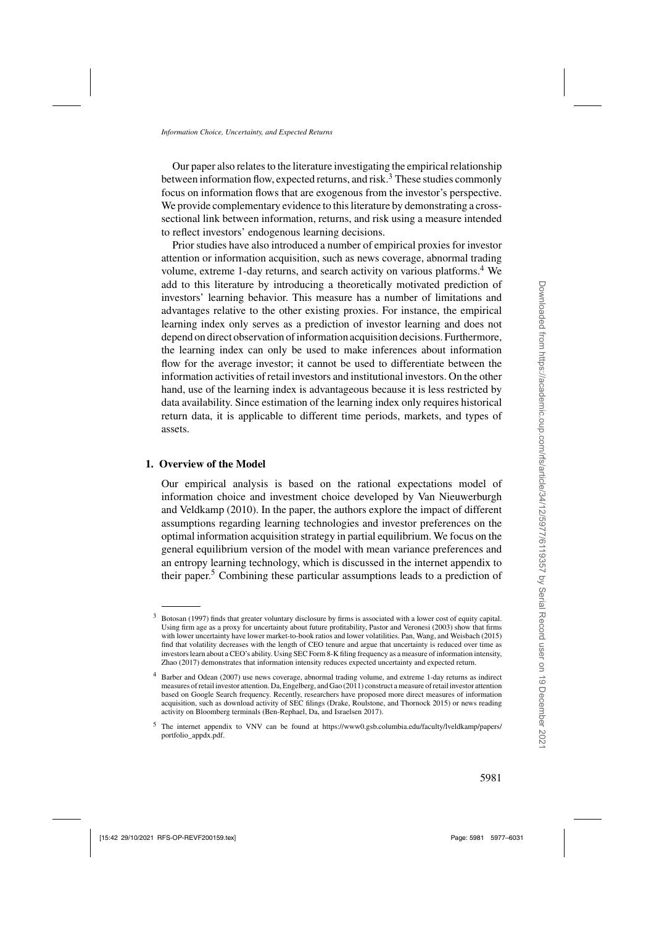<span id="page-4-0"></span>Our paper also relates to the literature investigating the empirical relationship between information flow, expected returns, and risk.<sup>3</sup> These studies commonly focus on information flows that are exogenous from the investor's perspective. We provide complementary evidence to this literature by demonstrating a crosssectional link between information, returns, and risk using a measure intended to reflect investors' endogenous learning decisions.

Prior studies have also introduced a number of empirical proxies for investor attention or information acquisition, such as news coverage, abnormal trading volume, extreme 1-day returns, and search activity on various platforms.<sup>4</sup> We add to this literature by introducing a theoretically motivated prediction of investors' learning behavior. This measure has a number of limitations and advantages relative to the other existing proxies. For instance, the empirical learning index only serves as a prediction of investor learning and does not depend on direct observation of information acquisition decisions. Furthermore, the learning index can only be used to make inferences about information flow for the average investor; it cannot be used to differentiate between the information activities of retail investors and institutional investors. On the other hand, use of the learning index is advantageous because it is less restricted by data availability. Since estimation of the learning index only requires historical return data, it is applicable to different time periods, markets, and types of assets.

## **1. Overview of the Model**

Our empirical analysis is based on the rational expectations model of information c[hoice and investment choice developed by](#page-54-0) Van Nieuwerburgh and Veldkamp [\(2010](#page-54-0)). In the paper, the authors explore the impact of different assumptions regarding learning technologies and investor preferences on the optimal information acquisition strategy in partial equilibrium. We focus on the general equilibrium version of the model with mean variance preferences and an entropy learning technology, which is discussed in the internet appendix to their paper.<sup>5</sup> Combining these particular assumptions leads to a prediction of

<sup>3</sup> [Botosan](#page-52-0) [\(1997](#page-52-0)) finds that greater voluntary disclosure by firms is associated with a lower cost of equity capital. Using firm age as a proxy for uncertainty about future profitability, [Pastor and Veronesi \(2003](#page-54-0)) show that firms with lower uncertainty have lower market-to-book ratios and lower volatilities. [Pan, Wang, and Weisbach](#page-54-0) [\(2015](#page-54-0)) find that volatility decreases with the length of CEO tenure and argue that uncertainty is reduced over time as investors learn about a CEO's ability. Using SEC Form 8-K filing frequency as a measure of information intensity, [Zhao](#page-54-0) [\(2017\)](#page-54-0) demonstrates that information intensity reduces expected uncertainty and expected return.

<sup>4</sup> [Barber and Odean](#page-52-0) [\(2007](#page-52-0)) use news coverage, abnormal trading volume, and extreme 1-day returns as indirect measures of retail investor attention[. Da, Engelberg, and Gao \(2011](#page-52-0)) construct a measure of retail investor attention based on Google Search frequency. Recently, researchers have proposed more direct measures of information acquisition, such as download activity of SEC filings [\(Drake, Roulstone, and Thornock 2015](#page-53-0)) or news reading activity on Bloomberg terminals [\(Ben-Rephael, Da, and Israelsen 2017\)](#page-52-0).

<sup>5</sup> The internet appendix to [VNV](#page-54-0) can be found at [https://www0.gsb.columbia.edu/faculty/lveldkamp/papers/](https://www0.gsb.columbia.edu/faculty/lveldkamp/papers/portfolio_appdx.pdf) [portfolio\\_appdx.pdf.](https://www0.gsb.columbia.edu/faculty/lveldkamp/papers/portfolio_appdx.pdf)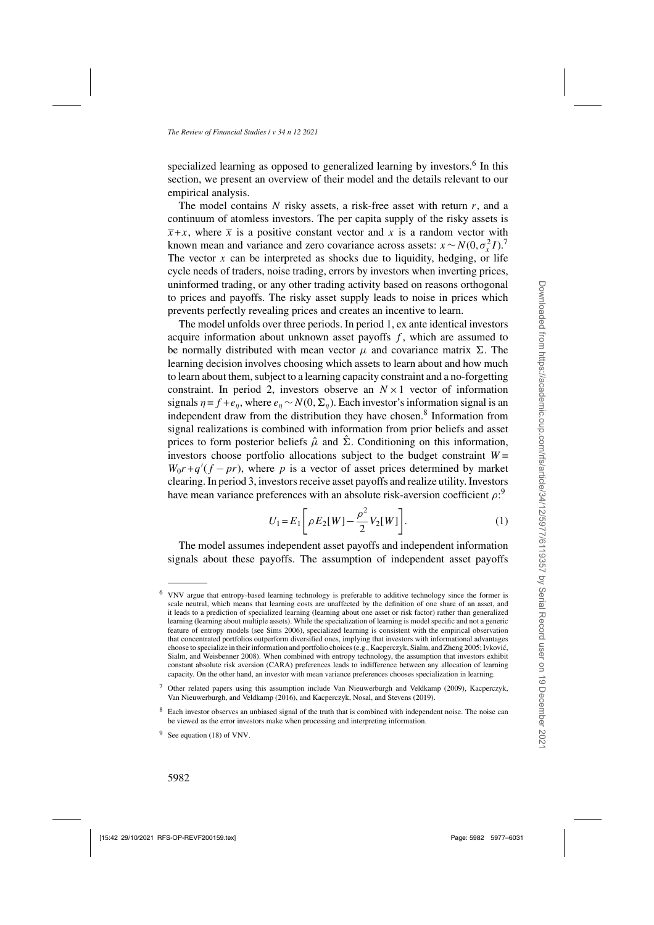<span id="page-5-0"></span>specialized learning as opposed to generalized learning by investors.<sup>6</sup> In this section, we present an overview of their model and the details relevant to our empirical analysis.

The model contains N risky assets, a risk-free asset with return  $r$ , and a continuum of atomless investors. The per capita supply of the risky assets is  $\overline{x} + x$ , where  $\overline{x}$  is a positive constant vector and x is a random vector with known mean and variance and zero covariance across assets:  $x \sim N(0, \sigma_x^2 I)^{7}$ . The vector  $x$  can be interpreted as shocks due to liquidity, hedging, or life cycle needs of traders, noise trading, errors by investors when inverting prices, uninformed trading, or any other trading activity based on reasons orthogonal to prices and payoffs. The risky asset supply leads to noise in prices which prevents perfectly revealing prices and creates an incentive to learn.

The model unfolds over three periods. In period 1, ex ante identical investors acquire information about unknown asset payoffs  $f$ , which are assumed to be normally distributed with mean vector  $\mu$  and covariance matrix  $\Sigma$ . The learning decision involves choosing which assets to learn about and how much to learn about them, subject to a learning capacity constraint and a no-forgetting constraint. In period 2, investors observe an  $N \times 1$  vector of information signals  $\eta = f + e_n$ , where  $e_n \sim N(0, \Sigma_n)$ . Each investor's information signal is an independent draw from the distribution they have chosen.<sup>8</sup> Information from signal realizations is combined with information from prior beliefs and asset prices to form posterior beliefs  $\hat{\mu}$  and  $\hat{\Sigma}$ . Conditioning on this information, investors choose portfolio allocations subject to the budget constraint  $W =$  $W_0r + q'(f - pr)$ , where p is a vector of asset prices determined by market clearing. In period 3, investors receive asset payoffs and realize utility. Investors have mean variance preferences with an absolute risk-aversion coefficient  $\rho$ :<sup>9</sup>

$$
U_1 = E_1 \left[ \rho E_2[W] - \frac{\rho^2}{2} V_2[W] \right].
$$
 (1)

The model assumes independent asset payoffs and independent information signals about these payoffs. The assumption of independent asset payoffs

<sup>6</sup> [VNV](#page-54-0) argue that entropy-based learning technology is preferable to additive technology since the former is scale neutral, which means that learning costs are unaffected by the definition of one share of an asset, and it leads to a prediction of specialized learning (learning about one asset or risk factor) rather than generalized learning (learning about multiple assets). While the specialization of learning is model specific and not a generic feature of entropy models (see [Sims 2006\)](#page-54-0), specialized learning is consistent with the empirical observation that concentrated portfolios outperform diversified ones, implying that investors with informational advantages choose to specialize in t[heir information and portfolio choices \(e.g., Kacperczyk, Sialm, and Zheng 2005;](#page-53-0) Ivkovic,´ Sialm, and Weisbenner [2008](#page-53-0)). When combined with entropy technology, the assumption that investors exhibit constant absolute risk aversion (CARA) preferences leads to indifference between any allocation of learning capacity. On the other hand, an investor with mean variance preferences chooses specialization in learning.

<sup>7</sup> Other related papers using this a[ssumption include](#page-53-0) [Van Nieuwerburgh and Veldkamp](#page-54-0)[\(2009](#page-54-0)[\),](#page-53-0) Kacperczyk, Van Nieuwerburgh, and Veldkamp [\(2016\)](#page-53-0), and [Kacperczyk, Nosal, and Stevens](#page-53-0) [\(2019\)](#page-53-0).

<sup>8</sup> Each investor observes an unbiased signal of the truth that is combined with independent noise. The noise can be viewed as the error investors make when processing and interpreting information.

<sup>9</sup> See equation (18) of [VNV.](#page-54-0)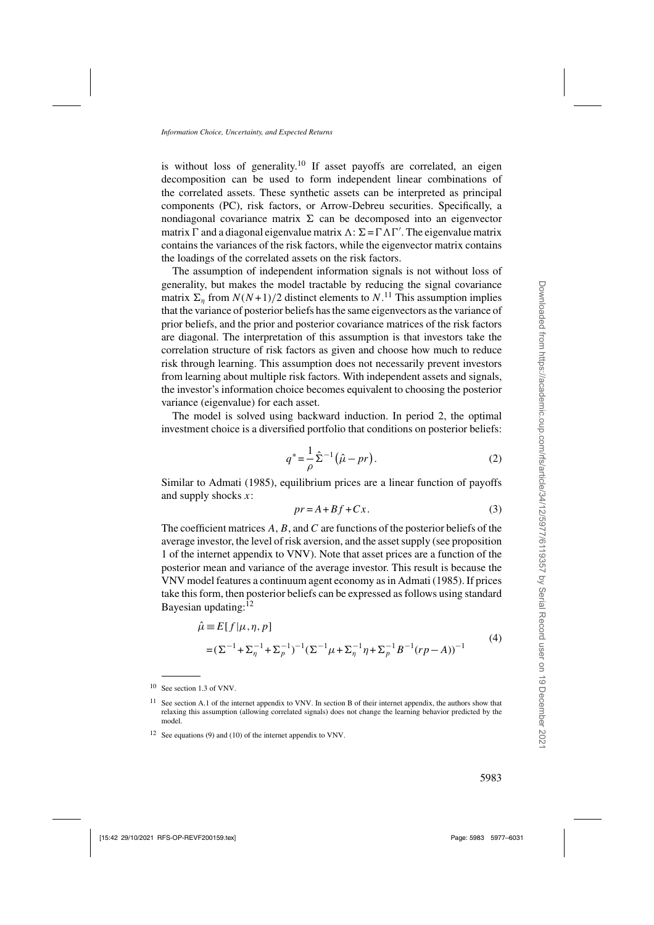<span id="page-6-0"></span>is without loss of generality.<sup>10</sup> If asset payoffs are correlated, an eigen decomposition can be used to form independent linear combinations of the correlated assets. These synthetic assets can be interpreted as principal components (PC), risk factors, or Arrow-Debreu securities. Specifically, a nondiagonal covariance matrix  $\Sigma$  can be decomposed into an eigenvector matrix  $\Gamma$  and a diagonal eigenvalue matrix  $\Lambda$ :  $\Sigma = \Gamma \Lambda \Gamma'$ . The eigenvalue matrix contains the variances of the risk factors, while the eigenvector matrix contains the loadings of the correlated assets on the risk factors.

The assumption of independent information signals is not without loss of generality, but makes the model tractable by reducing the signal covariance matrix  $\Sigma_{\eta}$  from  $N(N+1)/2$  distinct elements to  $N$ .<sup>11</sup> This assumption implies that the variance of posterior beliefs has the same eigenvectors as the variance of prior beliefs, and the prior and posterior covariance matrices of the risk factors are diagonal. The interpretation of this assumption is that investors take the correlation structure of risk factors as given and choose how much to reduce risk through learning. This assumption does not necessarily prevent investors from learning about multiple risk factors. With independent assets and signals, the investor's information choice becomes equivalent to choosing the posterior variance (eigenvalue) for each asset.

The model is solved using backward induction. In period 2, the optimal investment choice is a diversified portfolio that conditions on posterior beliefs:

$$
q^* = \frac{1}{\rho} \hat{\Sigma}^{-1} (\hat{\mu} - pr).
$$
 (2)

Similar to [Admati](#page-52-0) [\(1985\)](#page-52-0), equilibrium prices are a linear function of payoffs and supply shocks  $x$ :

$$
pr = A + Bf + Cx.
$$
 (3)

The coefficient matrices  $A, B$ , and  $C$  are functions of the posterior beliefs of the average investor, the level of risk aversion, and the asset supply (see proposition 1 of the internet appendix to [VNV](#page-54-0)). Note that asset prices are a function of the posterior mean and variance of the average investor. This result is because the [VNV](#page-54-0) model features a continuum agent economy as in [Admati](#page-52-0) [\(1985\)](#page-52-0). If prices take this form, then posterior beliefs can be expressed as follows using standard Bayesian updating: $12$ 

$$
\hat{\mu} = E[f|\mu, \eta, p] \n= (\Sigma^{-1} + \Sigma_{\eta}^{-1} + \Sigma_{p}^{-1})^{-1} (\Sigma^{-1}\mu + \Sigma_{\eta}^{-1}\eta + \Sigma_{p}^{-1}B^{-1}(rp - A))^{-1}
$$
\n(4)

<sup>10</sup> See section 1.3 of [VNV](#page-54-0).

<sup>&</sup>lt;sup>11</sup> See section A.1 of the internet appendix to [VNV](#page-54-0). In section B of their internet appendix, the authors show that relaxing this assumption (allowing correlated signals) does not change the learning behavior predicted by the model.

<sup>12</sup> See equations (9) and (10) of the internet appendix to [VNV](#page-54-0).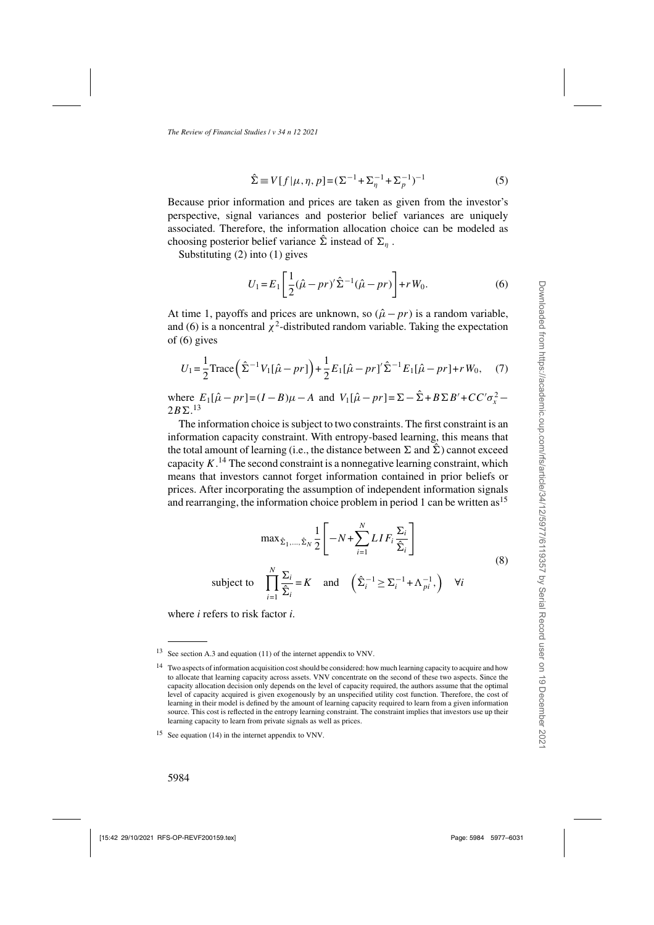$$
\hat{\Sigma} \equiv V[f|\mu, \eta, p] = (\Sigma^{-1} + \Sigma_{\eta}^{-1} + \Sigma_{p}^{-1})^{-1}
$$
\n(5)

Because prior information and prices are taken as given from the investor's perspective, signal variances and posterior belief variances are uniquely associated. Therefore, the information allocation choice can be modeled as choosing posterior belief variance  $\hat{\Sigma}$  instead of  $\Sigma_n$ .

Substituting [\(2\)](#page-6-0) into [\(1\)](#page-5-0) gives

$$
U_1 = E_1 \left[ \frac{1}{2} (\hat{\mu} - pr)' \hat{\Sigma}^{-1} (\hat{\mu} - pr) \right] + r W_0.
$$
 (6)

At time 1, payoffs and prices are unknown, so  $(\hat{\mu} - pr)$  is a random variable, and (6) is a noncentral  $\chi^2$ -distributed random variable. Taking the expectation of (6) gives

$$
U_1 = \frac{1}{2} \text{Trace} \left( \hat{\Sigma}^{-1} V_1 [\hat{\mu} - pr] \right) + \frac{1}{2} E_1 [\hat{\mu} - pr] \hat{\Sigma}^{-1} E_1 [\hat{\mu} - pr] + r W_0, \quad (7)
$$

where  $E_1[\hat{\mu} - pr] = (I - B)\mu - A$  and  $V_1[\hat{\mu} - pr] = \sum_{n=1}^{\infty} \hat{\Sigma} + B \Sigma B' + CC' \sigma_x^2 2B\Sigma^{13}$ 

The information choice is subject to two constraints. The first constraint is an information capacity constraint. With entropy-based learning, this means that the total amount of learning (i.e., the distance between  $\Sigma$  and  $\hat{\Sigma}$ ) cannot exceed capacity  $K<sup>14</sup>$ . The second constraint is a nonnegative learning constraint, which means that investors cannot forget information contained in prior beliefs or prices. After incorporating the assumption of independent information signals and rearranging, the information choice problem in period 1 can be written as  $15$ 

$$
\max_{\hat{\Sigma}_1,\dots,\hat{\Sigma}_N} \frac{1}{2} \left[ -N + \sum_{i=1}^N LIF_i \frac{\Sigma_i}{\hat{\Sigma}_i} \right]
$$
\n(8)

subject to 
$$
\prod_{i=1}^{N} \frac{\Sigma_i}{\hat{\Sigma}_i} = K \text{ and } \left(\hat{\Sigma}_i^{-1} \ge \Sigma_i^{-1} + \Lambda_{pi}^{-1}, \right) \quad \forall i
$$

where *i* refers to risk factor *i*.

<sup>13</sup> See section A.3 and equation (11) of the internet appendix to [VNV](#page-54-0).

<sup>&</sup>lt;sup>14</sup> Two aspects of information acquisition cost should be considered: how much learning capacity to acquire and how to allocate that learning capacity across assets. [VNV](#page-54-0) concentrate on the second of these two aspects. Since the capacity allocation decision only depends on the level of capacity required, the authors assume that the optimal level of capacity acquired is given exogenously by an unspecified utility cost function. Therefore, the cost of learning in their model is defined by the amount of learning capacity required to learn from a given information source. This cost is reflected in the entropy learning constraint. The constraint implies that investors use up their learning capacity to learn from private signals as well as prices.

<sup>15</sup> See equation (14) in the internet appendix to [VNV](#page-54-0).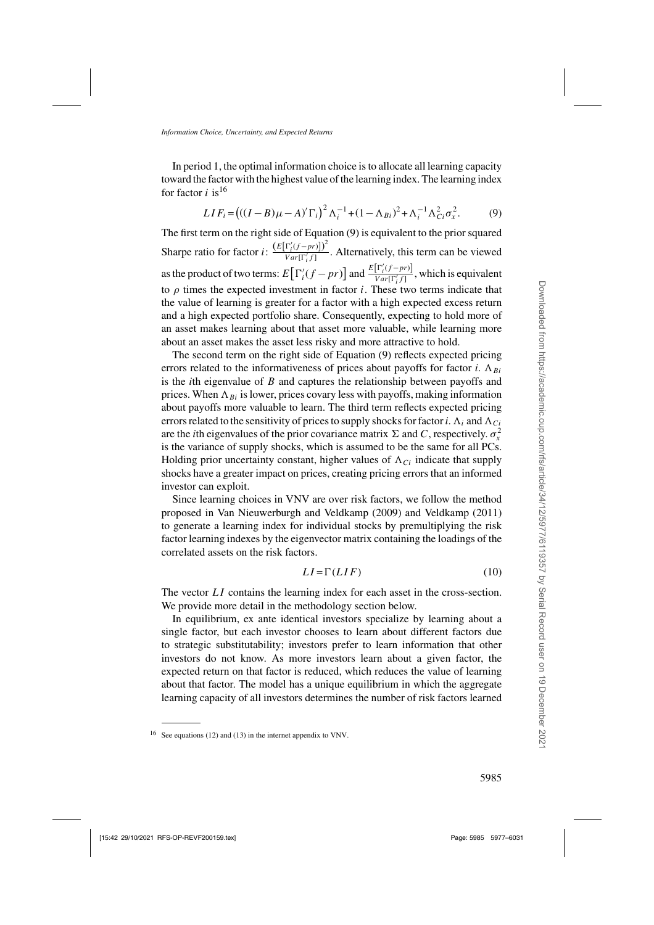In period 1, the optimal information choice is to allocate all learning capacity toward the factor with the highest value of the learning index. The learning index for factor *i* is<sup>16</sup>

$$
LIF_i = ((I - B)\mu - A)^{r_i} \Gamma_i^2 \Lambda_i^{-1} + (1 - \Lambda_{Bi})^2 + \Lambda_i^{-1} \Lambda_{Ci}^2 \sigma_x^2.
$$
 (9)

The first term on the right side of Equation (9) is equivalent to the prior squared Sharpe ratio for factor  $i: \frac{\left(E[\Gamma_i'(f-pr)\right])^2}{Var[\Gamma_i'(f-r)]}$  $\frac{Y_i(y - P(y))}{Var[\Gamma_i^t f]}$ . Alternatively, this term can be viewed as the product of two terms:  $E\left[\Gamma_i'(f-pr)\right]$  and  $\frac{E[\Gamma_i'(f-pr)]}{Var[\Gamma_i' f]}$  $\frac{[f'(y - P')]}{Var[\Gamma'_i f]}$ , which is equivalent to  $\rho$  times the expected investment in factor *i*. These two terms indicate that the value of learning is greater for a factor with a high expected excess return and a high expected portfolio share. Consequently, expecting to hold more of an asset makes learning about that asset more valuable, while learning more about an asset makes the asset less risky and more attractive to hold.

The second term on the right side of Equation (9) reflects expected pricing errors related to the informativeness of prices about payoffs for factor *i*.  $\Lambda_{Bi}$ is the *i*th eigenvalue of B and captures the relationship between payoffs and prices. When  $\Lambda_{Bi}$  is lower, prices covary less with payoffs, making information about payoffs more valuable to learn. The third term reflects expected pricing errors related to the sensitivity of prices to supply shocks for factor *i*.  $\Lambda_i$  and  $\Lambda_{Ci}$ are the *i*th eigenvalues of the prior covariance matrix  $\Sigma$  and C, respectively.  $\sigma_x^2$ is the variance of supply shocks, which is assumed to be the same for all PCs. Holding prior uncertainty constant, higher values of  $\Lambda_{Ci}$  indicate that supply shocks have a greater impact on prices, creating pricing errors that an informed investor can exploit.

Since learning choices in [VNV](#page-54-0) are over risk factors, we follow the method proposed in [Van Nieuwerburgh and Veldkamp](#page-54-0) [\(2009\)](#page-54-0) and [Veldkamp](#page-54-0) [\(2011](#page-54-0)) to generate a learning index for individual stocks by premultiplying the risk factor learning indexes by the eigenvector matrix containing the loadings of the correlated assets on the risk factors.

$$
LI = \Gamma(LIF) \tag{10}
$$

The vector LI contains the learning index for each asset in the cross-section. We provide more detail in the methodology section below.

In equilibrium, ex ante identical investors specialize by learning about a single factor, but each investor chooses to learn about different factors due to strategic substitutability; investors prefer to learn information that other investors do not know. As more investors learn about a given factor, the expected return on that factor is reduced, which reduces the value of learning about that factor. The model has a unique equilibrium in which the aggregate learning capacity of all investors determines the number of risk factors learned

<sup>16</sup> See equations (12) and (13) in the internet appendix to [VNV.](#page-54-0)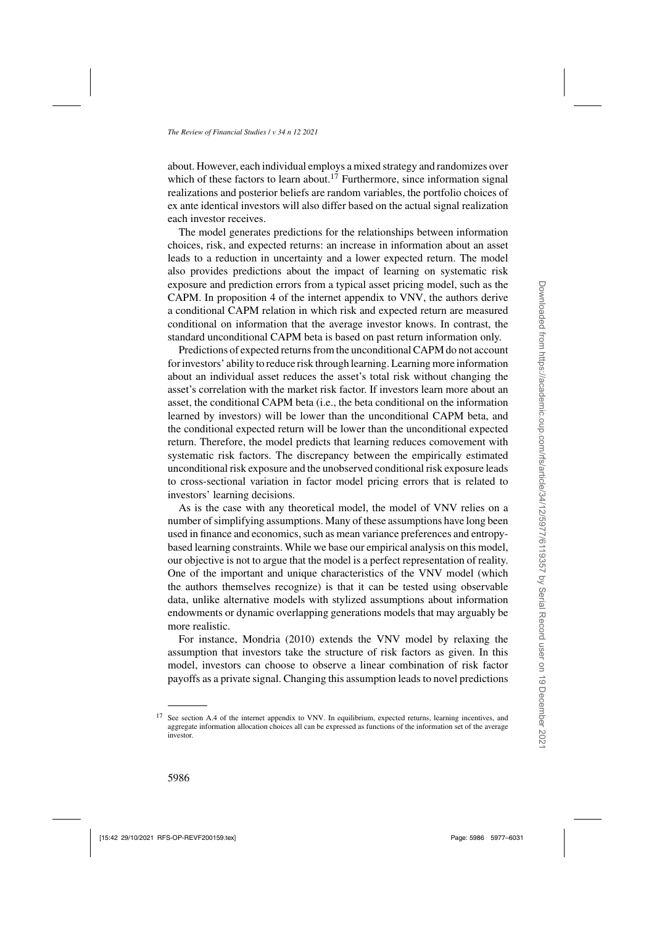about. However, each individual employs a mixed strategy and randomizes over which of these factors to learn about.<sup>17</sup> Furthermore, since information signal realizations and posterior beliefs are random variables, the portfolio choices of ex ante identical investors will also differ based on the actual signal realization each investor receives.

The model generates predictions for the relationships between information choices, risk, and expected returns: an increase in information about an asset leads to a reduction in uncertainty and a lower expected return. The model also provides predictions about the impact of learning on systematic risk exposure and prediction errors from a typical asset pricing model, such as the CAPM. In proposition 4 of the internet appendix to [VNV,](#page-54-0) the authors derive a conditional CAPM relation in which risk and expected return are measured conditional on information that the average investor knows. In contrast, the standard unconditional CAPM beta is based on past return information only.

Predictions of expected returns from the unconditional CAPM do not account for investors' ability to reduce risk through learning. Learning more information about an individual asset reduces the asset's total risk without changing the asset's correlation with the market risk factor. If investors learn more about an asset, the conditional CAPM beta (i.e., the beta conditional on the information learned by investors) will be lower than the unconditional CAPM beta, and the conditional expected return will be lower than the unconditional expected return. Therefore, the model predicts that learning reduces comovement with systematic risk factors. The discrepancy between the empirically estimated unconditional risk exposure and the unobserved conditional risk exposure leads to cross-sectional variation in factor model pricing errors that is related to investors' learning decisions.

As is the case with any theoretical model, the model of [VNV](#page-54-0) relies on a number of simplifying assumptions. Many of these assumptions have long been used in finance and economics, such as mean variance preferences and entropybased learning constraints. While we base our empirical analysis on this model, our objective is not to argue that the model is a perfect representation of reality. One of the important and unique characteristics of the [VNV](#page-54-0) model (which the authors themselves recognize) is that it can be tested using observable data, unlike alternative models with stylized assumptions about information endowments or dynamic overlapping generations models that may arguably be more realistic.

For instance, [Mondria](#page-54-0) [\(2010\)](#page-54-0) extends the [VNV](#page-54-0) model by relaxing the assumption that investors take the structure of risk factors as given. In this model, investors can choose to observe a linear combination of risk factor payoffs as a private signal. Changing this assumption leads to novel predictions

<sup>17</sup> See section A.4 of the internet appendix to [VNV](#page-54-0). In equilibrium, expected returns, learning incentives, and aggregate information allocation choices all can be expressed as functions of the information set of the average investor.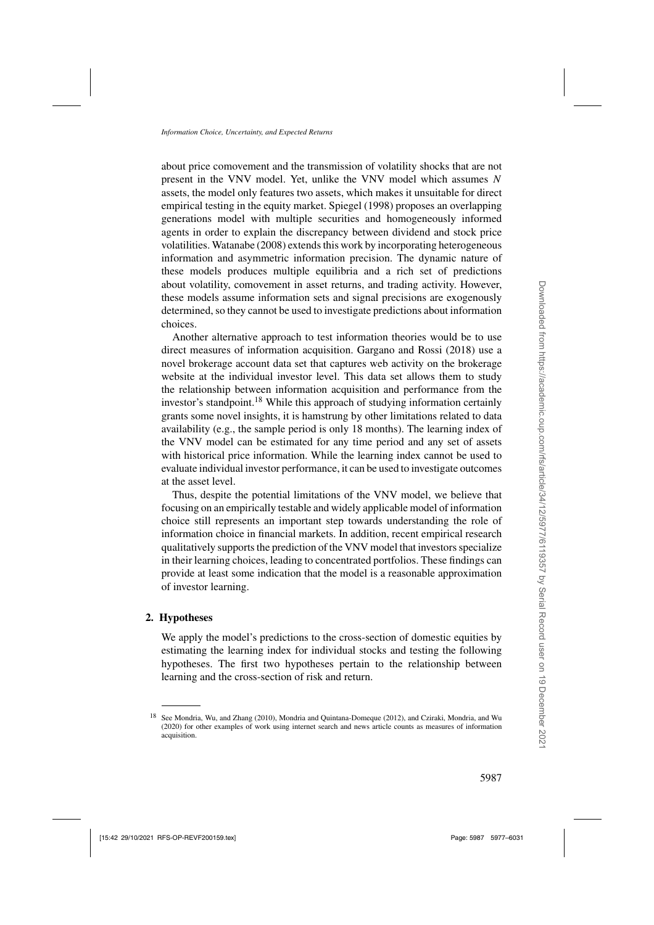about price comovement and the transmission of volatility shocks that are not present in the [VNV](#page-54-0) model. Yet, unlike the VNV model which assumes  $N$ assets, the model only features two assets, which makes it unsuitable for direct empirical testing in the equity market. [Spiegel](#page-54-0) [\(1998](#page-54-0)) proposes an overlapping generations model with multiple securities and homogeneously informed agents in order to explain the discrepancy between dividend and stock price volatilities. [Watanabe](#page-54-0) [\(2008\)](#page-54-0) extends this work by incorporating heterogeneous information and asymmetric information precision. The dynamic nature of these models produces multiple equilibria and a rich set of predictions about volatility, comovement in asset returns, and trading activity. However, these models assume information sets and signal precisions are exogenously determined, so they cannot be used to investigate predictions about information choices.

Another alternative approach to test information theories would be to use direct measures of information acquisition. [Gargano and Rossi](#page-53-0) [\(2018\)](#page-53-0) use a novel brokerage account data set that captures web activity on the brokerage website at the individual investor level. This data set allows them to study the relationship between information acquisition and performance from the investor's standpoint.<sup>18</sup> While this approach of studying information certainly grants some novel insights, it is hamstrung by other limitations related to data availability (e.g., the sample period is only 18 months). The learning index of the [VNV](#page-54-0) model can be estimated for any time period and any set of assets with historical price information. While the learning index cannot be used to evaluate individual investor performance, it can be used to investigate outcomes at the asset level.

Thus, despite the potential limitations of the [VNV](#page-54-0) model, we believe that focusing on an empirically testable and widely applicable model of information choice still represents an important step towards understanding the role of information choice in financial markets. In addition, recent empirical research qualitatively supports the prediction of the [VNV](#page-54-0) model that investors specialize in their learning choices, leading to concentrated portfolios. These findings can provide at least some indication that the model is a reasonable approximation of investor learning.

### **2. Hypotheses**

We apply the model's predictions to the cross-section of domestic equities by estimating the learning index for individual stocks and testing the following hypotheses. The first two hypotheses pertain to the relationship between learning and the cross-section of risk and return.

<sup>18</sup> See [Mondria, Wu, and Zhang](#page-54-0) [\(2010\)](#page-54-0), [Mondria and Quintana-Domeque](#page-54-0) [\(2012\)](#page-54-0), and [Cziraki, Mondria, and Wu](#page-52-0) [\(2020\)](#page-52-0) for other examples of work using internet search and news article counts as measures of information acquisition.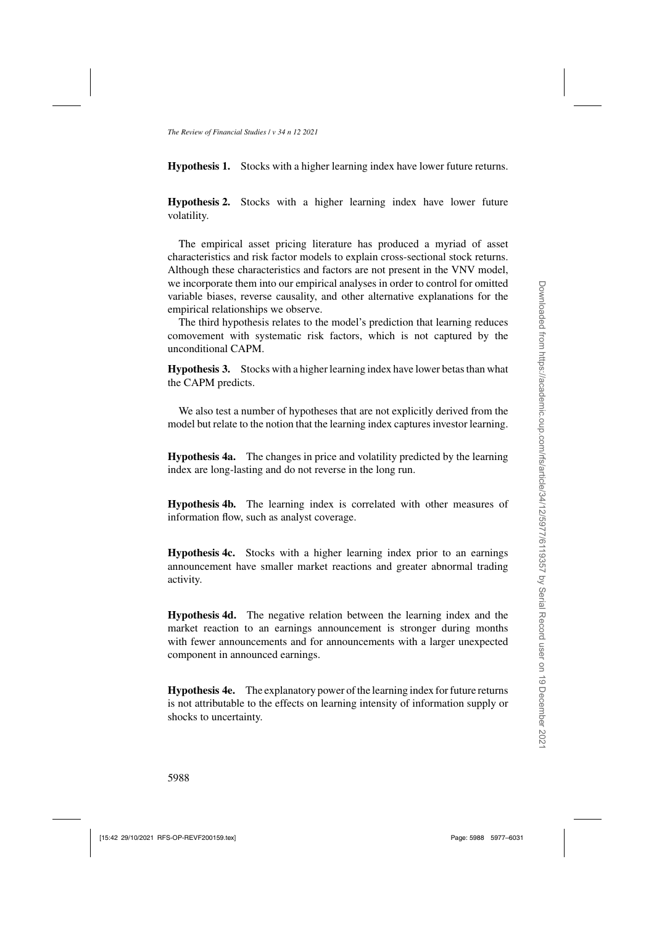**Hypothesis 1.** Stocks with a higher learning index have lower future returns.

**Hypothesis 2.** Stocks with a higher learning index have lower future volatility.

The empirical asset pricing literature has produced a myriad of asset characteristics and risk factor models to explain cross-sectional stock returns. Although these characteristics and factors are not present in the [VNV](#page-54-0) model, we incorporate them into our empirical analyses in order to control for omitted variable biases, reverse causality, and other alternative explanations for the empirical relationships we observe.

The third hypothesis relates to the model's prediction that learning reduces comovement with systematic risk factors, which is not captured by the unconditional CAPM.

**Hypothesis 3.** Stocks with a higher learning index have lower betas than what the CAPM predicts.

We also test a number of hypotheses that are not explicitly derived from the model but relate to the notion that the learning index captures investor learning.

**Hypothesis 4a.** The changes in price and volatility predicted by the learning index are long-lasting and do not reverse in the long run.

**Hypothesis 4b.** The learning index is correlated with other measures of information flow, such as analyst coverage.

**Hypothesis 4c.** Stocks with a higher learning index prior to an earnings announcement have smaller market reactions and greater abnormal trading activity.

**Hypothesis 4d.** The negative relation between the learning index and the market reaction to an earnings announcement is stronger during months with fewer announcements and for announcements with a larger unexpected component in announced earnings.

**Hypothesis 4e.** The explanatory power of the learning index for future returns is not attributable to the effects on learning intensity of information supply or shocks to uncertainty.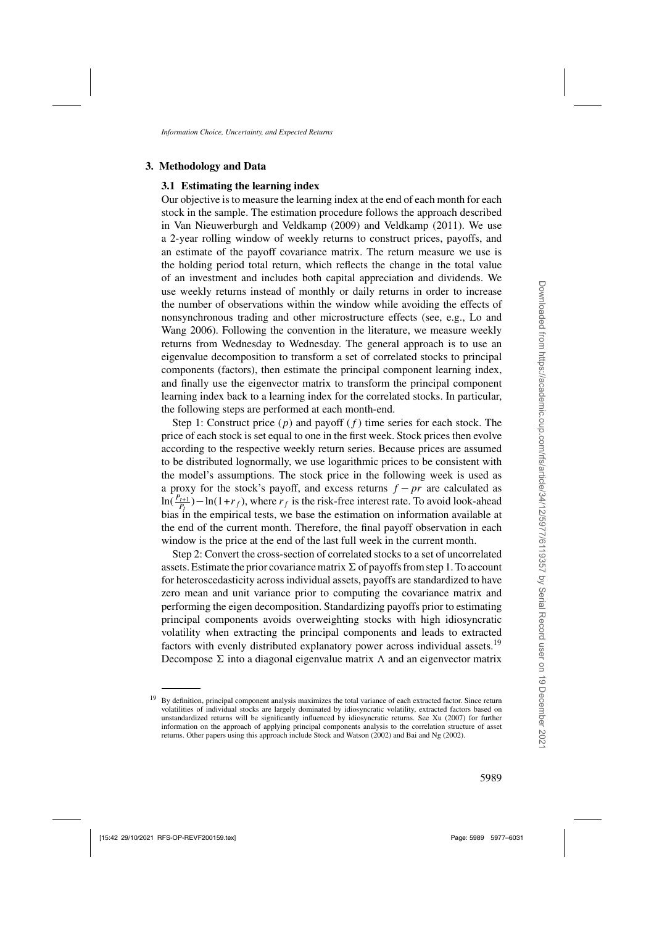# <span id="page-12-0"></span>**3. Methodology and Data**

# **3.1 Estimating the learning index**

Our objective is to measure the learning index at the end of each month for each stock in the sample. The estimation procedure follows the approach described in [Van Nieuwerburgh and Veldkamp](#page-54-0) [\(2009](#page-54-0)) and [Veldkamp](#page-54-0) [\(2011\)](#page-54-0). We use a 2-year rolling window of weekly returns to construct prices, payoffs, and an estimate of the payoff covariance matrix. The return measure we use is the holding period total return, which reflects the change in the total value of an investment and includes both capital appreciation and dividends. We use weekly returns instead of monthly or daily returns in order to increase the number of observations within the window while avoiding the effects of nons[ynchronous trading and other microstructure effects \(see, e.g.,](#page-53-0) Lo and Wang [2006\)](#page-53-0). Following the convention in the literature, we measure weekly returns from Wednesday to Wednesday. The general approach is to use an eigenvalue decomposition to transform a set of correlated stocks to principal components (factors), then estimate the principal component learning index, and finally use the eigenvector matrix to transform the principal component learning index back to a learning index for the correlated stocks. In particular, the following steps are performed at each month-end.

Step 1: Construct price  $(p)$  and payoff  $(f)$  time series for each stock. The price of each stock is set equal to one in the first week. Stock prices then evolve according to the respective weekly return series. Because prices are assumed to be distributed lognormally, we use logarithmic prices to be consistent with the model's assumptions. The stock price in the following week is used as a proxy for the stock's payoff, and excess returns  $f - pr$  are calculated as  $\ln(\frac{P_{t+1}}{P_t}) - \ln(1+r_f)$ , where  $r_f$  is the risk-free interest rate. To avoid look-ahead bias in the empirical tests, we base the estimation on information available at the end of the current month. Therefore, the final payoff observation in each window is the price at the end of the last full week in the current month.

Step 2: Convert the cross-section of correlated stocks to a set of uncorrelated assets. Estimate the prior covariance matrix  $\Sigma$  of payoffs from step 1. To account for heteroscedasticity across individual assets, payoffs are standardized to have zero mean and unit variance prior to computing the covariance matrix and performing the eigen decomposition. Standardizing payoffs prior to estimating principal components avoids overweighting stocks with high idiosyncratic volatility when extracting the principal components and leads to extracted factors with evenly distributed explanatory power across individual assets.<sup>19</sup> Decompose  $\Sigma$  into a diagonal eigenvalue matrix  $\Lambda$  and an eigenvector matrix

<sup>&</sup>lt;sup>19</sup> By definition, principal component analysis maximizes the total variance of each extracted factor. Since return volatilities of individual stocks are largely dominated by idiosyncratic volatility, extracted factors based on unstandardized returns will be significantly influenced by idiosyncratic returns. See [Xu](#page-54-0) [\(2007](#page-54-0)) for further information on the approach of applying principal components analysis to the correlation structure of asset returns. Other papers using this approach include [Stock and Watson](#page-54-0) [\(2002\)](#page-54-0) and [Bai and Ng](#page-52-0) [\(2002](#page-52-0)).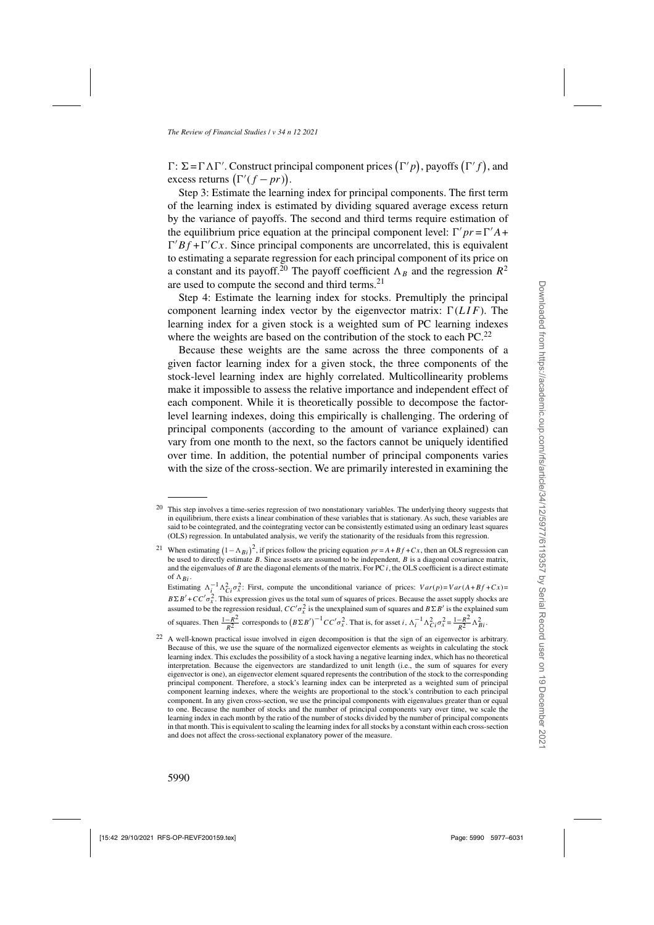$\Gamma: \Sigma = \Gamma \Lambda \Gamma'$ . Construct principal component prices  $(\Gamma' p)$ , payoffs  $(\Gamma' f)$ , and excess returns  $(\Gamma'(f-pr)).$ 

Step 3: Estimate the learning index for principal components. The first term of the learning index is estimated by dividing squared average excess return by the variance of payoffs. The second and third terms require estimation of the equilibrium price equation at the principal component level:  $\Gamma' pr = \Gamma' A +$  $\Gamma' B f + \Gamma' C x$ . Since principal components are uncorrelated, this is equivalent to estimating a separate regression for each principal component of its price on a constant and its payoff.<sup>20</sup> The payoff coefficient  $\Lambda_B$  and the regression  $R^2$ are used to compute the second and third terms.<sup>21</sup>

Step 4: Estimate the learning index for stocks. Premultiply the principal component learning index vector by the eigenvector matrix:  $\Gamma(LIF)$ . The learning index for a given stock is a weighted sum of PC learning indexes where the weights are based on the contribution of the stock to each  $PC<sup>22</sup>$ .

Because these weights are the same across the three components of a given factor learning index for a given stock, the three components of the stock-level learning index are highly correlated. Multicollinearity problems make it impossible to assess the relative importance and independent effect of each component. While it is theoretically possible to decompose the factorlevel learning indexes, doing this empirically is challenging. The ordering of principal components (according to the amount of variance explained) can vary from one month to the next, so the factors cannot be uniquely identified over time. In addition, the potential number of principal components varies with the size of the cross-section. We are primarily interested in examining the

<sup>&</sup>lt;sup>20</sup> This step involves a time-series regression of two nonstationary variables. The underlying theory suggests that in equilibrium, there exists a linear combination of these variables that is stationary. As such, these variables are said to be cointegrated, and the cointegrating vector can be consistently estimated using an ordinary least squares (OLS) regression. In untabulated analysis, we verify the stationarity of the residuals from this regression.

<sup>&</sup>lt;sup>21</sup> When estimating  $(1 - \Lambda_{Bi})^2$ , if prices follow the pricing equation  $pr = A + Bf + Cx$ , then an OLS regression can be used to directly estimate B. Since assets are assumed to be independent, B is a diagonal covariance matrix, and the eigenvalues of  $B$  are the diagonal elements of the matrix. For PC  $i$ , the OLS coefficient is a direct estimate of  $\Lambda_{Bi}$ .

Estimating  $\Lambda_i^{-1} \Lambda_{Ci}^2 \sigma_x^2$ : First, compute the unconditional variance of prices:  $Var(p) = Var(A+Bf+Cx)$  $B\Sigma B' + CC'\sigma_x^2$ . This expression gives us the total sum of squares of prices. Because the asset supply shocks are assumed to be the regression residual,  $CC'\sigma_x^2$  is the unexplained sum of squares and  $B\Sigma B'$  is the explained sum of squares. Then  $\frac{1-R^2}{R^2}$  corresponds to  $(B \Sigma B')^{-1} C C' \sigma_x^2$ . That is, for asset  $i$ ,  $\Lambda_i^{-1} \Lambda_{Ci}^2 \sigma_x^2 = \frac{1-R^2}{R^2} \Lambda_{Bi}^2$ .

<sup>&</sup>lt;sup>22</sup> A well-known practical issue involved in eigen decomposition is that the sign of an eigenvector is arbitrary. Because of this, we use the square of the normalized eigenvector elements as weights in calculating the stock learning index. This excludes the possibility of a stock having a negative learning index, which has no theoretical interpretation. Because the eigenvectors are standardized to unit length (i.e., the sum of squares for every eigenvector is one), an eigenvector element squared represents the contribution of the stock to the corresponding principal component. Therefore, a stock's learning index can be interpreted as a weighted sum of principal component learning indexes, where the weights are proportional to the stock's contribution to each principal component. In any given cross-section, we use the principal components with eigenvalues greater than or equal to one. Because the number of stocks and the number of principal components vary over time, we scale the learning index in each month by the ratio of the number of stocks divided by the number of principal components in that month. This is equivalent to scaling the learning index for all stocks by a constant within each cross-section and does not affect the cross-sectional explanatory power of the measure.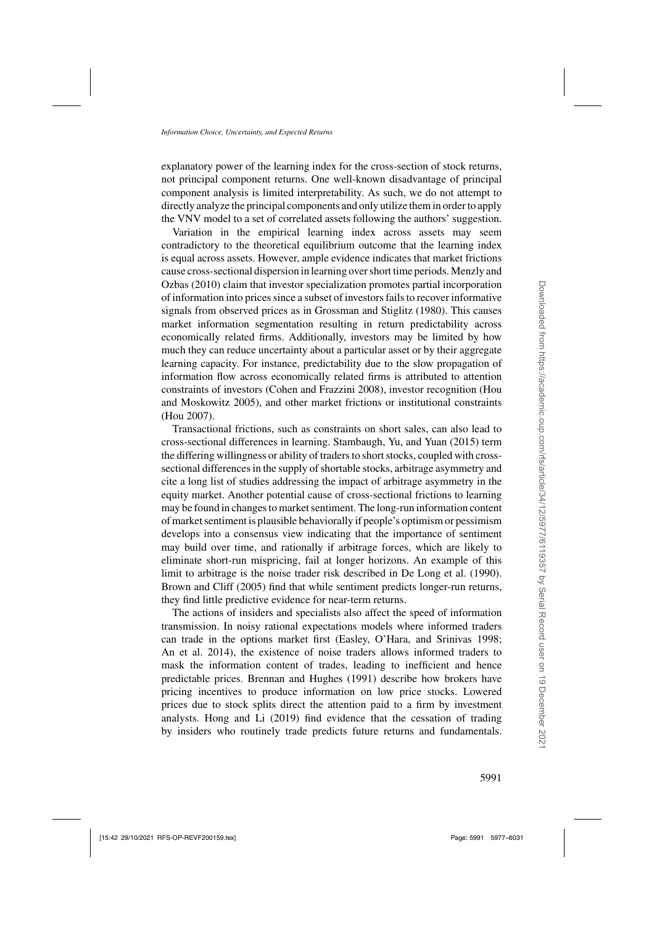explanatory power of the learning index for the cross-section of stock returns, not principal component returns. One well-known disadvantage of principal component analysis is limited interpretability. As such, we do not attempt to directly analyze the principal components and only utilize them in order to apply the [VNV](#page-54-0) model to a set of correlated assets following the authors' suggestion.

Variation in the empirical learning index across assets may seem contradictory to the theoretical equilibrium outcome that the learning index is equal across assets. However, ample evidence indicates that market frictions cause [cross-sectional dispersion in learning over short time periods.](#page-54-0) Menzly and Ozbas [\(2010](#page-54-0)) claim that investor specialization promotes partial incorporation of information into prices since a subset of investors fails to recover informative signals from observed prices as in [Grossman and Stiglitz](#page-53-0) [\(1980](#page-53-0)). This causes market information segmentation resulting in return predictability across economically related firms. Additionally, investors may be limited by how much they can reduce uncertainty about a particular asset or by their aggregate learning capacity. For instance, predictability due to the slow propagation of information flow across economically related firms is attributed to attention constraints of i[nvestors](#page-53-0) [\(Cohen and Frazzini 2008](#page-52-0)[\), investor recognition \(](#page-53-0)Hou and Moskowitz [2005](#page-53-0)), and other market frictions or institutional constraints [\(Hou 2007\)](#page-53-0).

Transactional frictions, such as constraints on short sales, can also lead to cross-sectional differences in learning. [Stambaugh, Yu, and Yuan](#page-54-0) [\(2015](#page-54-0)) term the differing willingness or ability of traders to short stocks, coupled with crosssectional differences in the supply of shortable stocks, arbitrage asymmetry and cite a long list of studies addressing the impact of arbitrage asymmetry in the equity market. Another potential cause of cross-sectional frictions to learning may be found in changes to market sentiment. The long-run information content of market sentiment is plausible behaviorally if people's optimism or pessimism develops into a consensus view indicating that the importance of sentiment may build over time, and rationally if arbitrage forces, which are likely to eliminate short-run mispricing, fail at longer horizons. An example of this limit to arbitrage is the noise trader risk described in [De Long et al.](#page-52-0) [\(1990\)](#page-52-0). [Brown and Cliff](#page-52-0) [\(2005](#page-52-0)) find that while sentiment predicts longer-run returns, they find little predictive evidence for near-term returns.

The actions of insiders and specialists also affect the speed of information transmission. In noisy rational expectations models where informed traders can trade in the options market first [\(Easley, O'Hara, and Srinivas 1998;](#page-53-0) [An et al. 2014\)](#page-52-0), the existence of noise traders allows informed traders to mask the information content of trades, leading to inefficient and hence predictable prices. [Brennan and Hughes](#page-52-0) [\(1991\)](#page-52-0) describe how brokers have pricing incentives to produce information on low price stocks. Lowered prices due to stock splits direct the attention paid to a firm by investment analysts. [Hong and Li](#page-53-0) [\(2019\)](#page-53-0) find evidence that the cessation of trading by insiders who routinely trade predicts future returns and fundamentals.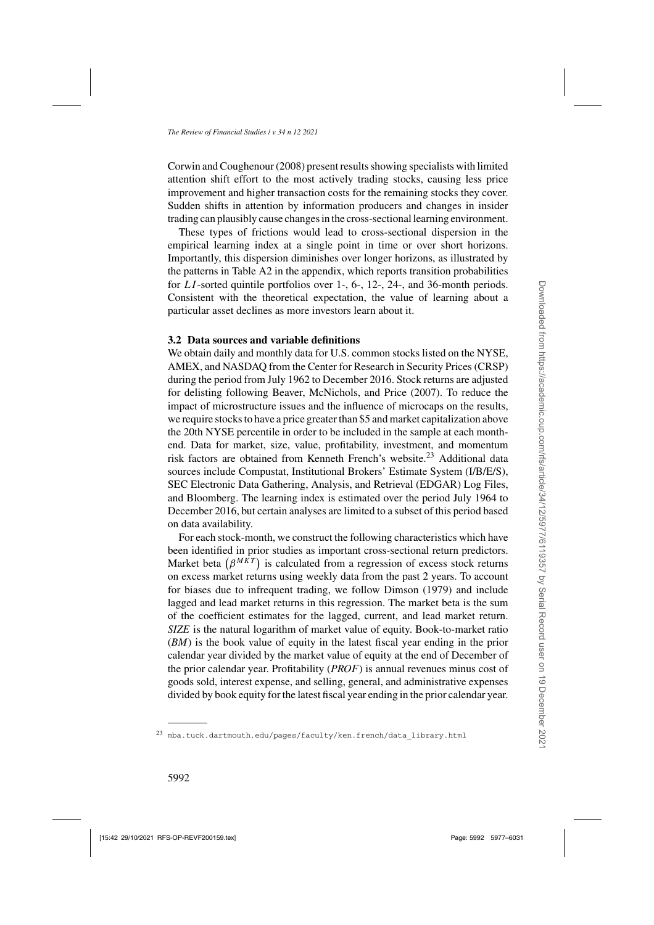[Corwin and Coughenour](#page-52-0) [\(2008\)](#page-52-0) present results showing specialists with limited attention shift effort to the most actively trading stocks, causing less price improvement and higher transaction costs for the remaining stocks they cover. Sudden shifts in attention by information producers and changes in insider trading can plausibly cause changes in the cross-sectional learning environment.

These types of frictions would lead to cross-sectional dispersion in the empirical learning index at a single point in time or over short horizons. Importantly, this dispersion diminishes over longer horizons, as illustrated by the patterns in Table [A2](#page-17-0) in the appendix, which reports transition probabilities for LI -sorted quintile portfolios over 1-, 6-, 12-, 24-, and 36-month periods. Consistent with the theoretical expectation, the value of learning about a particular asset declines as more investors learn about it.

#### **3.2 Data sources and variable definitions**

We obtain daily and monthly data for U.S. common stocks listed on the NYSE, AMEX, and NASDAQ from the Center for Research in Security Prices (CRSP) during the period from July 1962 to December 2016. Stock returns are adjusted for delisting following [Beaver, McNichols, and Price](#page-52-0) [\(2007\)](#page-52-0). To reduce the impact of microstructure issues and the influence of microcaps on the results, we require stocks to have a price greater than \$5 and market capitalization above the 20th NYSE percentile in order to be included in the sample at each monthend. Data for market, size, value, profitability, investment, and momentum risk factors are obtained from Kenneth French's website.<sup>23</sup> Additional data sources include Compustat, Institutional Brokers' Estimate System (I/B/E/S), SEC Electronic Data Gathering, Analysis, and Retrieval (EDGAR) Log Files, and Bloomberg. The learning index is estimated over the period July 1964 to December 2016, but certain analyses are limited to a subset of this period based on data availability.

For each stock-month, we construct the following characteristics which have been identified in prior studies as important cross-sectional return predictors. Market beta  $(\beta^{MKT})$  is calculated from a regression of excess stock returns on excess market returns using weekly data from the past 2 years. To account for biases due to infrequent trading, we follow [Dimson](#page-52-0) [\(1979\)](#page-52-0) and include lagged and lead market returns in this regression. The market beta is the sum of the coefficient estimates for the lagged, current, and lead market return. *SIZE* is the natural logarithm of market value of equity. Book-to-market ratio (*BM*) is the book value of equity in the latest fiscal year ending in the prior calendar year divided by the market value of equity at the end of December of the prior calendar year. Profitability (*PROF*) is annual revenues minus cost of goods sold, interest expense, and selling, general, and administrative expenses divided by book equity for the latest fiscal year ending in the prior calendar year.

 $^{23}$  [mba.tuck.dartmouth.edu/pages/faculty/ken.french/data\\_library.html](mba.tuck.dartmouth.edu/pages/faculty/ken.french/data_library.html)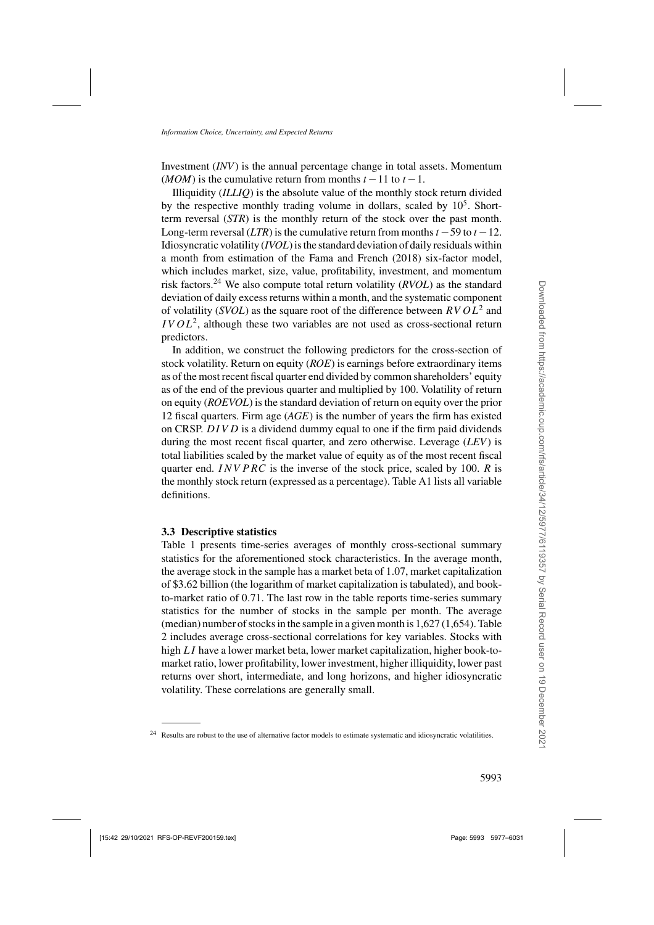Investment (*INV*) is the annual percentage change in total assets. Momentum (*MOM*) is the cumulative return from months  $t - 11$  to  $t - 1$ .

Illiquidity (*ILLIQ*) is the absolute value of the monthly stock return divided by the respective monthly trading volume in dollars, scaled by  $10<sup>5</sup>$ . Shortterm reversal (*STR*) is the monthly return of the stock over the past month. Long-term reversal (*LTR*) is the cumulative return from months  $t - 59$  to  $t - 12$ . Idiosyncratic volatility (*IVOL*) is the standard deviation of daily residuals within a month from estimation of the [Fama and French](#page-53-0) [\(2018\)](#page-53-0) six-factor model, which includes market, size, value, profitability, investment, and momentum risk factors.<sup>24</sup> We also compute total return volatility (*RVOL*) as the standard deviation of daily excess returns within a month, and the systematic component of volatility (*SVOL*) as the square root of the difference between  $RVOL^2$  and  $IVOL<sup>2</sup>$ , although these two variables are not used as cross-sectional return predictors.

In addition, we construct the following predictors for the cross-section of stock volatility. Return on equity (*ROE*) is earnings before extraordinary items as of the most recent fiscal quarter end divided by common shareholders' equity as of the end of the previous quarter and multiplied by 100. Volatility of return on equity (*ROEVOL*) is the standard deviation of return on equity over the prior 12 fiscal quarters. Firm age (*AGE*) is the number of years the firm has existed on CRSP.  $DIVD$  is a dividend dummy equal to one if the firm paid dividends during the most recent fiscal quarter, and zero otherwise. Leverage (*LEV*) is total liabilities scaled by the market value of equity as of the most recent fiscal quarter end. INV PRC is the inverse of the stock price, scaled by 100. R is the monthly stock return (expressed as a percentage). Table [A1](#page-17-0) lists all variable definitions.

#### **3.3 Descriptive statistics**

Table [1](#page-17-0) presents time-series averages of monthly cross-sectional summary statistics for the aforementioned stock characteristics. In the average month, the average stock in the sample has a market beta of 1.07, market capitalization of \$3.62 billion (the logarithm of market capitalization is tabulated), and bookto-market ratio of 0.71. The last row in the table reports time-series summary statistics for the number of stocks in the sample per month. The average (median) number of stocks in the sample in a given month is 1,627 (1,654). Table [2](#page-17-0) includes average cross-sectional correlations for key variables. Stocks with high LI have a lower market beta, lower market capitalization, higher book-tomarket ratio, lower profitability, lower investment, higher illiquidity, lower past returns over short, intermediate, and long horizons, and higher idiosyncratic volatility. These correlations are generally small.

<sup>&</sup>lt;sup>24</sup> Results are robust to the use of alternative factor models to estimate systematic and idiosyncratic volatilities.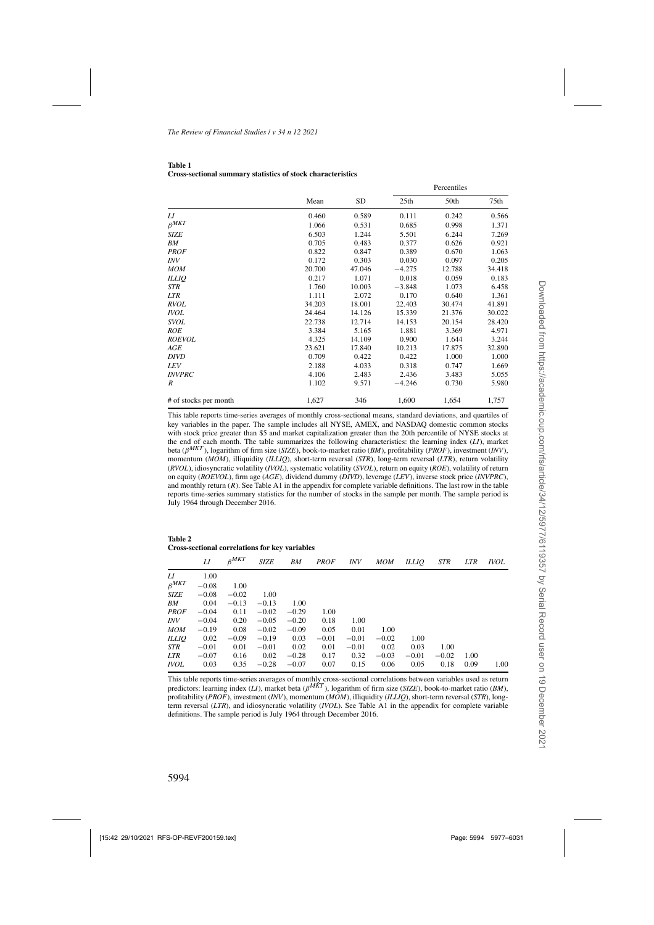<span id="page-17-0"></span>

| <b>Table 1</b>                                              |  |  |
|-------------------------------------------------------------|--|--|
| Cross-sectional summary statistics of stock characteristics |  |  |

|                       |        |        | Percentiles      |        |        |  |
|-----------------------|--------|--------|------------------|--------|--------|--|
|                       | Mean   | SD     | 25 <sub>th</sub> | 50th   | 75th   |  |
| LI                    | 0.460  | 0.589  | 0.111            | 0.242  | 0.566  |  |
| $\beta^{MKT}$         | 1.066  | 0.531  | 0.685            | 0.998  | 1.371  |  |
| <b>SIZE</b>           | 6.503  | 1.244  | 5.501            | 6.244  | 7.269  |  |
| ΒM                    | 0.705  | 0.483  | 0.377            | 0.626  | 0.921  |  |
| <b>PROF</b>           | 0.822  | 0.847  | 0.389            | 0.670  | 1.063  |  |
| <b>INV</b>            | 0.172  | 0.303  | 0.030            | 0.097  | 0.205  |  |
| <b>MOM</b>            | 20.700 | 47.046 | $-4.275$         | 12.788 | 34.418 |  |
| <b>ILLIQ</b>          | 0.217  | 1.071  | 0.018            | 0.059  | 0.183  |  |
| STR                   | 1.760  | 10.003 | $-3.848$         | 1.073  | 6.458  |  |
| <b>LTR</b>            | 1.111  | 2.072  | 0.170            | 0.640  | 1.361  |  |
| <b>RVOL</b>           | 34.203 | 18.001 | 22.403           | 30.474 | 41.891 |  |
| <b>IVOL</b>           | 24.464 | 14.126 | 15.339           | 21.376 | 30.022 |  |
| <b>SVOL</b>           | 22.738 | 12.714 | 14.153           | 20.154 | 28.420 |  |
| ROE                   | 3.384  | 5.165  | 1.881            | 3.369  | 4.971  |  |
| <b>ROEVOL</b>         | 4.325  | 14.109 | 0.900            | 1.644  | 3.244  |  |
| AGE                   | 23.621 | 17.840 | 10.213           | 17.875 | 32.890 |  |
| DIVD                  | 0.709  | 0.422  | 0.422            | 1.000  | 1.000  |  |
| LEV                   | 2.188  | 4.033  | 0.318            | 0.747  | 1.669  |  |
| <b>INVPRC</b>         | 4.106  | 2.483  | 2.436            | 3.483  | 5.055  |  |
| R                     | 1.102  | 9.571  | $-4.246$         | 0.730  | 5.980  |  |
| # of stocks per month | 1,627  | 346    | 1,600            | 1,654  | 1,757  |  |

This table reports time-series averages of monthly cross-sectional means, standard deviations, and quartiles of key variables in the paper. The sample includes all NYSE, AMEX, and NASDAQ domestic common stocks with stock price greater than \$5 and market capitalization greater than the 20th percentile of NYSE stocks at the end of each month. The table summarizes the following characteristics: the learning index (*LI*), market beta (β*MKT* ), logarithm of firm size (*SIZE*), book-to-market ratio (*BM*), profitability (*PROF*), investment (*INV*), momentum (*MOM*), illiquidity (*ILLIQ*), short-term reversal (*STR*), long-term reversal (*LTR*), return volatility (*RVOL*), idiosyncratic volatility (*IVOL*), systematic volatility (*SVOL*), return on equity (*ROE*), volatility of return on equity (*ROEVOL*), firm age (*AGE*), dividend dummy (*DIVD*), leverage (*LEV*), inverse stock price (*INVPRC*), and monthly return  $(R)$ . See Table A1 in the appendix for complete variable definitions. The last row in the table reports time-series summary statistics for the number of stocks in the sample per month. The sample period is July 1964 through December 2016.

**Table 2 Cross-sectional correlations for key variables**

| LI      | $\beta^{MKT}$ | <b>SIZE</b> | BM      | <b>PROF</b> | <i>INV</i> | MOM     | ILLIO   | STR     | <b>LTR</b> | <i>IVOL</i> |
|---------|---------------|-------------|---------|-------------|------------|---------|---------|---------|------------|-------------|
| 1.00    |               |             |         |             |            |         |         |         |            |             |
| $-0.08$ | 1.00          |             |         |             |            |         |         |         |            |             |
| $-0.08$ | $-0.02$       | 1.00        |         |             |            |         |         |         |            |             |
| 0.04    | $-0.13$       | $-0.13$     | 1.00    |             |            |         |         |         |            |             |
| $-0.04$ | 0.11          | $-0.02$     | $-0.29$ | 1.00        |            |         |         |         |            |             |
| $-0.04$ | 0.20          | $-0.05$     | $-0.20$ | 0.18        | 1.00       |         |         |         |            |             |
| $-0.19$ | 0.08          | $-0.02$     | $-0.09$ | 0.05        | 0.01       | 1.00    |         |         |            |             |
| 0.02    | $-0.09$       | $-0.19$     | 0.03    | $-0.01$     | $-0.01$    | $-0.02$ | 1.00    |         |            |             |
| $-0.01$ | 0.01          | $-0.01$     | 0.02    | 0.01        | $-0.01$    | 0.02    | 0.03    | 1.00    |            |             |
| $-0.07$ | 0.16          | 0.02        | $-0.28$ | 0.17        | 0.32       | $-0.03$ | $-0.01$ | $-0.02$ | 1.00       |             |
| 0.03    | 0.35          | $-0.28$     | $-0.07$ | 0.07        | 0.15       | 0.06    | 0.05    | 0.18    | 0.09       | 1.00        |
|         |               |             |         |             |            |         |         |         |            |             |

This table reports time-series averages of monthly cross-sectional correlations between variables used as return predictors: learning index (*LI*), market beta (β*MKT* ), logarithm of firm size (*SIZE*), book-to-market ratio (*BM*), profitability (*PROF*), investment (*INV*), momentum (*MOM*), illiquidity (*ILLIQ*), short-term reversal (*STR*), longterm reversal (*LTR*), and idiosyncratic volatility (*IVOL*). See Table A1 in the appendix for complete variable definitions. The sample period is July 1964 through December 2016.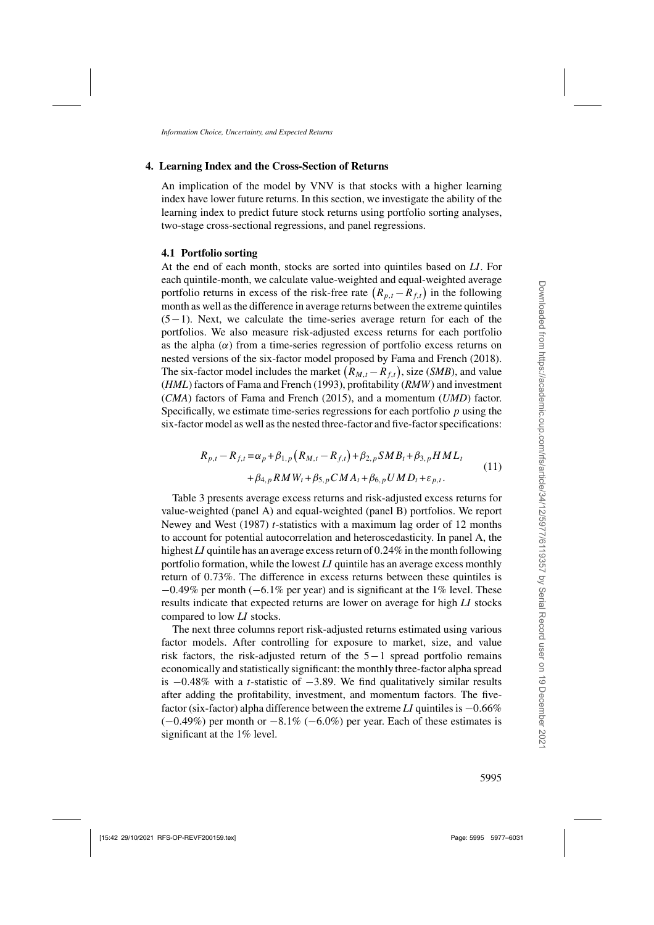# <span id="page-18-0"></span>**4. Learning Index and the Cross-Section of Returns**

An implication of the model by [VNV](#page-54-0) is that stocks with a higher learning index have lower future returns. In this section, we investigate the ability of the learning index to predict future stock returns using portfolio sorting analyses, two-stage cross-sectional regressions, and panel regressions.

# **4.1 Portfolio sorting**

At the end of each month, stocks are sorted into quintiles based on *LI*. For each quintile-month, we calculate value-weighted and equal-weighted average portfolio returns in excess of the risk-free rate  $(R_{p,t} - R_{f,t})$  in the following month as well as the difference in average returns between the extreme quintiles (5−1). Next, we calculate the time-series average return for each of the portfolios. We also measure risk-adjusted excess returns for each portfolio as the alpha  $(\alpha)$  from a time-series regression of portfolio excess returns on nested versions of the six-factor model proposed by [Fama and French](#page-53-0) [\(2018\)](#page-53-0). The six-factor model includes the market  $(R_{M,t} - R_{f,t})$ , size (*SMB*), and value (*HML*) factors of [Fama and French](#page-53-0) [\(1993](#page-53-0)), profitability (*RMW*) and investment (*CMA*) factors of [Fama and French](#page-53-0) [\(2015](#page-53-0)), and a momentum (*UMD*) factor. Specifically, we estimate time-series regressions for each portfolio  $p$  using the six-factor model as well as the nested three-factor and five-factor specifications:

$$
R_{p,t} - R_{f,t} = \alpha_p + \beta_{1,p} (R_{M,t} - R_{f,t}) + \beta_{2,p} SMB_t + \beta_{3,p} HML_t + \beta_{4,p} RMW_t + \beta_{5,p} CMA_t + \beta_{6,p} UMD_t + \varepsilon_{p,t}.
$$
\n(11)

Table [3](#page-19-0) presents average excess returns and risk-adjusted excess returns for value-weighted (panel A) and equal-weighted (panel B) portfolios. We report [Newey and West](#page-54-0) [\(1987](#page-54-0)) *t*-statistics with a maximum lag order of 12 months to account for potential autocorrelation and heteroscedasticity. In panel A, the highest *LI* quintile has an average excess return of 0.24% in the month following portfolio formation, while the lowest *LI* quintile has an average excess monthly return of 0.73%. The difference in excess returns between these quintiles is  $-0.49\%$  per month ( $-6.1\%$  per year) and is significant at the 1% level. These results indicate that expected returns are lower on average for high *LI* stocks compared to low *LI* stocks.

The next three columns report risk-adjusted returns estimated using various factor models. After controlling for exposure to market, size, and value risk factors, the risk-adjusted return of the 5−1 spread portfolio remains economically and statistically significant: the monthly three-factor alpha spread is <sup>−</sup>0.48% with a *<sup>t</sup>*-statistic of <sup>−</sup>3.89. We find qualitatively similar results after adding the profitability, investment, and momentum factors. The fivefactor (six-factor) alpha difference between the extreme *LI* quintiles is <sup>−</sup>0.66%  $(-0.49\%)$  per month or  $-8.1\%$  ( $-6.0\%$ ) per year. Each of these estimates is significant at the 1% level.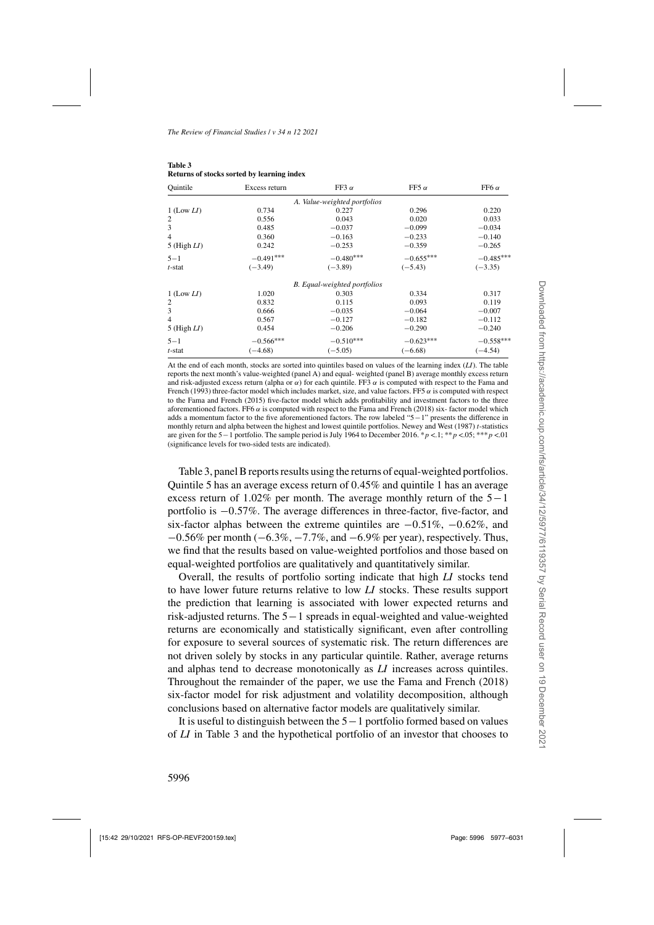| Ouintile        | Excess return | FF3 $\alpha$                 | FF5 $\alpha$ | FF6 $\alpha$ |
|-----------------|---------------|------------------------------|--------------|--------------|
|                 |               | A. Value-weighted portfolios |              |              |
| $1$ (Low $LI$ ) | 0.734         | 0.227                        | 0.296        | 0.220        |
| 2               | 0.556         | 0.043                        | 0.020        | 0.033        |
| 3               | 0.485         | $-0.037$                     | $-0.099$     | $-0.034$     |
| 4               | 0.360         | $-0.163$                     | $-0.233$     | $-0.140$     |
| 5 (High $LI$ )  | 0.242         | $-0.253$                     | $-0.359$     | $-0.265$     |
| $5 - 1$         | $-0.491***$   | $-0.480***$                  | $-0.655***$  | $-0.485***$  |
| t-stat          | $(-3.49)$     | $(-3.89)$                    | $(-5.43)$    | $(-3.35)$    |
|                 |               | B. Equal-weighted portfolios |              |              |
| $1$ (Low $LI$ ) | 1.020         | 0.303                        | 0.334        | 0.317        |
| 2               | 0.832         | 0.115                        | 0.093        | 0.119        |
| 3               | 0.666         | $-0.035$                     | $-0.064$     | $-0.007$     |
| 4               | 0.567         | $-0.127$                     | $-0.182$     | $-0.112$     |
| 5 (High $LI$ )  | 0.454         | $-0.206$                     | $-0.290$     | $-0.240$     |
| $5 - 1$         | $-0.566***$   | $-0.510***$                  | $-0.623***$  | $-0.558***$  |
| t-stat          | $(-4.68)$     | $(-5.05)$                    | $(-6.68)$    | $(-4.54)$    |

<span id="page-19-0"></span>**Table 3 Returns of stocks sorted by learning index**

At the end of each month, stocks are sorted into quintiles based on values of the learning index (*LI*). The table reports the next month's value-weighted (panel A) and equal- weighted (panel B) average monthly excess return and ris[k-adjusted](#page-53-0) [excess](#page-53-0) [return](#page-53-0) [\(alpha](#page-53-0) [or](#page-53-0)  $\alpha$ ) for each quintile. FF3  $\alpha$  is computed with respect to the Fama and French [\(1993](#page-53-0)) three-factor model which includes market, size, and value factors. FF5  $\alpha$  is computed with respect to the [Fama and French](#page-53-0) [\(2015\)](#page-53-0) five-factor model which adds profitability and investment factors to the three aforementioned factors. FF6  $\alpha$  is computed with respect to the [Fama and French \(2018](#page-53-0)) six-factor model which adds a momentum factor to the five aforementioned factors. The row labeled "5−1" presents the difference in monthly return and alpha between the highest and lowest quintile portfolios. [Newey and West](#page-54-0) [\(1987\)](#page-54-0) *t*-statistics are given for the <sup>5</sup>−<sup>1</sup> portfolio. The sample period is July 1964 to December 2016. \*<sup>p</sup> <.1; \*\*<sup>p</sup> <.05; \*\*\*<sup>p</sup> <.01 (significance levels for two-sided tests are indicated).

Table 3, panel B reports results using the returns of equal-weighted portfolios. Quintile 5 has an average excess return of 0.45% and quintile 1 has an average excess return of 1.02% per month. The average monthly return of the 5−<sup>1</sup> portfolio is <sup>−</sup>0.57%. The average differences in three-factor, five-factor, and six-factor alphas between the extreme quintiles are  $-0.51\%$ ,  $-0.62\%$ , and <sup>−</sup>0.56% per month (−6.3%, <sup>−</sup>7.7%, and <sup>−</sup>6.9% per year), respectively. Thus, we find that the results based on value-weighted portfolios and those based on equal-weighted portfolios are qualitatively and quantitatively similar.

Overall, the results of portfolio sorting indicate that high *LI* stocks tend to have lower future returns relative to low *LI* stocks. These results support the prediction that learning is associated with lower expected returns and risk-adjusted returns. The 5−1 spreads in equal-weighted and value-weighted returns are economically and statistically significant, even after controlling for exposure to several sources of systematic risk. The return differences are not driven solely by stocks in any particular quintile. Rather, average returns and alphas tend to decrease monotonically as *LI* increases across quintiles. Throughout the remainder of the paper, we use the [Fama and French](#page-53-0) [\(2018\)](#page-53-0) six-factor model for risk adjustment and volatility decomposition, although conclusions based on alternative factor models are qualitatively similar.

It is useful to distinguish between the 5−1 portfolio formed based on values of *LI* in Table 3 and the hypothetical portfolio of an investor that chooses to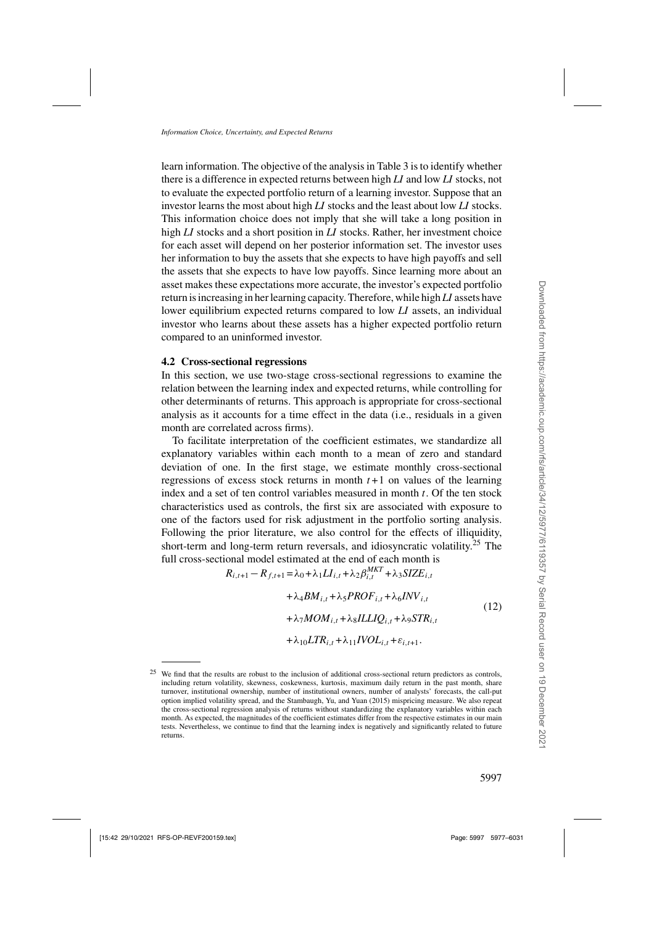<span id="page-20-0"></span>learn information. The objective of the analysis in Table [3](#page-19-0) is to identify whether there is a difference in expected returns between high *LI* and low *LI* stocks, not to evaluate the expected portfolio return of a learning investor. Suppose that an investor learns the most about high *LI* stocks and the least about low *LI* stocks. This information choice does not imply that she will take a long position in high *LI* stocks and a short position in *LI* stocks. Rather, her investment choice for each asset will depend on her posterior information set. The investor uses her information to buy the assets that she expects to have high payoffs and sell the assets that she expects to have low payoffs. Since learning more about an asset makes these expectations more accurate, the investor's expected portfolio return is increasing in her learning capacity. Therefore, while high *LI* assets have lower equilibrium expected returns compared to low *LI* assets, an individual investor who learns about these assets has a higher expected portfolio return compared to an uninformed investor.

## **4.2 Cross-sectional regressions**

In this section, we use two-stage cross-sectional regressions to examine the relation between the learning index and expected returns, while controlling for other determinants of returns. This approach is appropriate for cross-sectional analysis as it accounts for a time effect in the data (i.e., residuals in a given month are correlated across firms).

To facilitate interpretation of the coefficient estimates, we standardize all explanatory variables within each month to a mean of zero and standard deviation of one. In the first stage, we estimate monthly cross-sectional regressions of excess stock returns in month  $t+1$  on values of the learning index and a set of ten control variables measured in month  $t$ . Of the ten stock characteristics used as controls, the first six are associated with exposure to one of the factors used for risk adjustment in the portfolio sorting analysis. Following the prior literature, we also control for the effects of illiquidity, short-term and long-term return reversals, and idiosyncratic volatility.<sup>25</sup> The full cross-sectional model estimated at the end of each month is

$$
R_{i,t+1} - R_{f,t+1} = \lambda_0 + \lambda_1 LI_{i,t} + \lambda_2 \beta_{i,t}^{MKT} + \lambda_3 SIZE_{i,t}
$$
  
+  $\lambda_4 BM_{i,t} + \lambda_5 PROF_{i,t} + \lambda_6 INV_{i,t}$   
+  $\lambda_7 MOM_{i,t} + \lambda_8 ILLIQ_{i,t} + \lambda_9 STR_{i,t}$   
+  $\lambda_{10} LTR_{i,t} + \lambda_{11} IVOL_{i,t} + \varepsilon_{i,t+1}$ . (12)

<sup>&</sup>lt;sup>25</sup> We find that the results are robust to the inclusion of additional cross-sectional return predictors as controls, including return volatility, skewness, coskewness, kurtosis, maximum daily return in the past month, share turnover, institutional ownership, number of institutional owners, number of analysts' forecasts, the call-put option implied volatility spread, and the [Stambaugh, Yu, and Yuan](#page-54-0) [\(2015](#page-54-0)) mispricing measure. We also repeat the cross-sectional regression analysis of returns without standardizing the explanatory variables within each month. As expected, the magnitudes of the coefficient estimates differ from the respective estimates in our main tests. Nevertheless, we continue to find that the learning index is negatively and significantly related to future returns.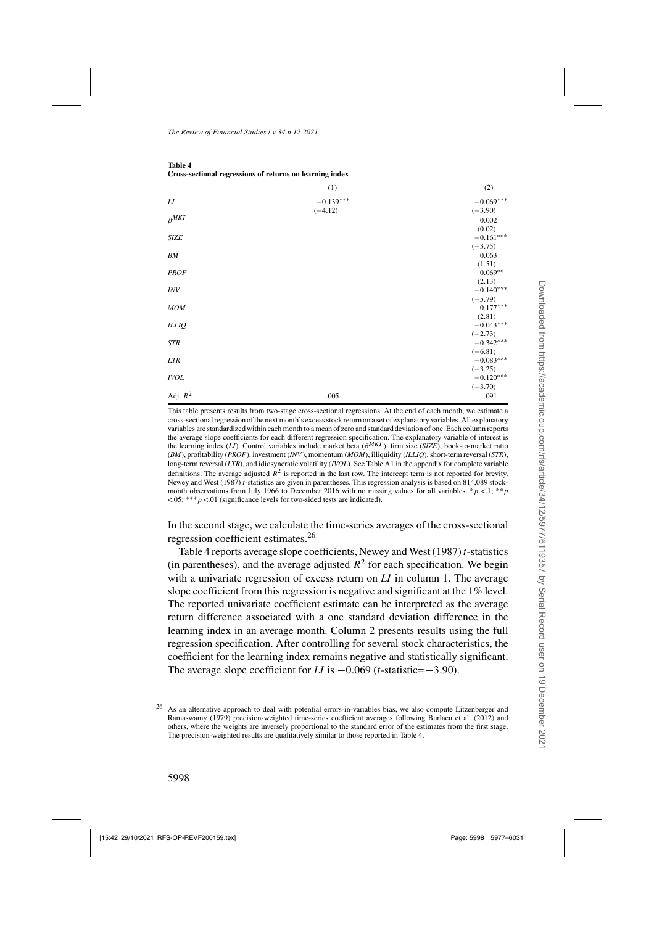<span id="page-21-0"></span>

| Table 4                                                  |
|----------------------------------------------------------|
| Cross-sectional regressions of returns on learning index |

|               | (1)         | (2)                      |
|---------------|-------------|--------------------------|
| L I           | $-0.139***$ | $-0.069***$              |
|               | $(-4.12)$   | $(-3.90)$                |
| $\beta^{MKT}$ |             | 0.002                    |
|               |             | (0.02)                   |
| <b>SIZE</b>   |             | $-0.161***$              |
| BМ            |             | $(-3.75)$<br>0.063       |
|               |             | (1.51)                   |
| <b>PROF</b>   |             | $0.069**$                |
|               |             | (2.13)                   |
| <b>INV</b>    |             | $-0.140***$              |
|               |             | $(-5.79)$                |
| <b>MOM</b>    |             | $0.177***$               |
|               |             | (2.81)                   |
| <b>ILLIQ</b>  |             | $-0.043***$              |
|               |             | $(-2.73)$                |
| <b>STR</b>    |             | $-0.342***$              |
|               |             | $(-6.81)$<br>$-0.083***$ |
| <b>LTR</b>    |             | $(-3.25)$                |
| <b>IVOL</b>   |             | $-0.120***$              |
|               |             | $(-3.70)$                |
| Adj. $R^2$    | .005        | .091                     |
|               |             |                          |

This table presents results from two-stage cross-sectional regressions. At the end of each month, we estimate a cross-sectional regression of the next month's excess stock return on a set of explanatory variables. All explanatory variables are standardized within each month to a mean of zero and standard deviation of one. Each column reports the average slope coefficients for each different regression specification. The explanatory variable of interest is the learning index (*LI*). Control variables include market beta (β*MKT* ), firm size (*SIZE*), book-to-market ratio (*BM*), profitability (*PROF*), investment (*INV*), momentum (*MOM*), illiquidity (*ILLIQ*), short-term reversal (*STR*), long-term reversal (*LTR*), and idiosyncratic volatility (*IVOL*). See Table [A1](#page-17-0) in the appendix for complete variable definitions. The average adjusted  $R^2$  is reported in the last row. The intercept term is not reported for brevity. [Newey and West](#page-54-0) [\(1987\)](#page-54-0) *t*-statistics are given in parentheses. This regression analysis is based on 814,089 stockmonth observations from July 1966 to December 2016 with no missing values for all variables. \*p <.1; \*\*p  $\lt$ .05; \*\*\*p  $\lt$ .01 (significance levels for two-sided tests are indicated).

In the second stage, we calculate the time-series averages of the cross-sectional regression coefficient estimates.<sup>26</sup>

Table 4 reports average slope coefficients, [Newey and West](#page-54-0) [\(1987](#page-54-0))*t*-statistics (in parentheses), and the average adjusted  $R^2$  for each specification. We begin with a univariate regression of excess return on *LI* in column 1. The average slope coefficient from this regression is negative and significant at the 1% level. The reported univariate coefficient estimate can be interpreted as the average return difference associated with a one standard deviation difference in the learning index in an average month. Column 2 presents results using the full regression specification. After controlling for several stock characteristics, the coefficient for the learning index remains negative and statistically significant. The average slope coefficient for *LI* is <sup>−</sup>0.069 (*t*-statistic=−3.90).

<sup>&</sup>lt;sup>26</sup> As an altern[ative approach to deal with potential errors-in-variables bias, we also compute](#page-53-0) Litzenberger and Ramaswamy [\(1979](#page-53-0)) precision-weighted time-series coefficient averages following [Burlacu et al.](#page-52-0) [\(2012](#page-52-0)) and others, where the weights are inversely proportional to the standard error of the estimates from the first stage. The precision-weighted results are qualitatively similar to those reported in Table 4.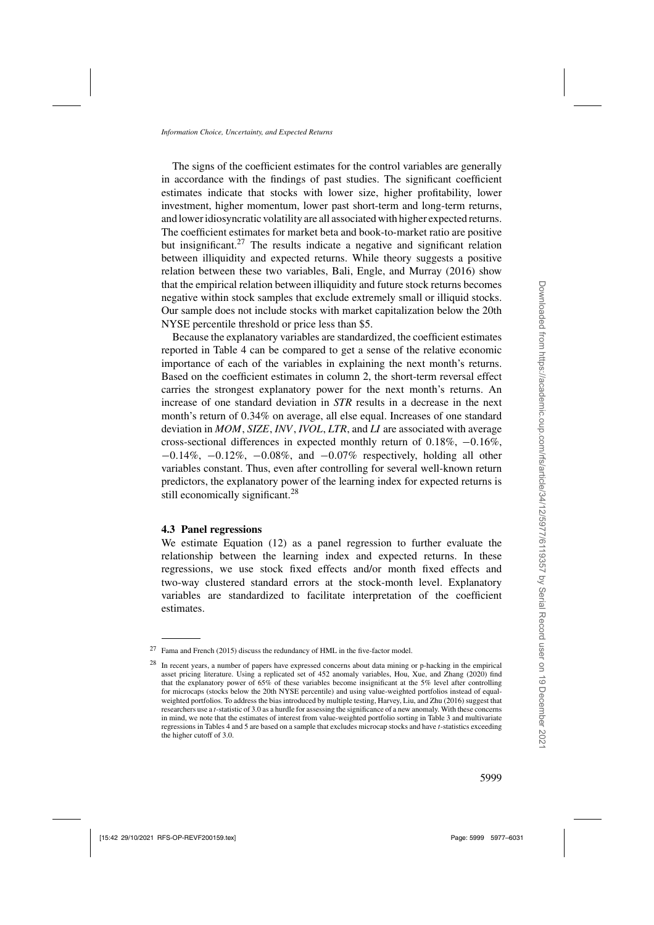The signs of the coefficient estimates for the control variables are generally in accordance with the findings of past studies. The significant coefficient estimates indicate that stocks with lower size, higher profitability, lower investment, higher momentum, lower past short-term and long-term returns, and lower idiosyncratic volatility are all associated with higher expected returns. The coefficient estimates for market beta and book-to-market ratio are positive but insignificant.<sup>27</sup> The results indicate a negative and significant relation between illiquidity and expected returns. While theory suggests a positive relation between these two variables, [Bali, Engle, and Murray](#page-52-0) [\(2016\)](#page-52-0) show that the empirical relation between illiquidity and future stock returns becomes negative within stock samples that exclude extremely small or illiquid stocks. Our sample does not include stocks with market capitalization below the 20th NYSE percentile threshold or price less than \$5.

Because the explanatory variables are standardized, the coefficient estimates reported in Table [4](#page-21-0) can be compared to get a sense of the relative economic importance of each of the variables in explaining the next month's returns. Based on the coefficient estimates in column 2, the short-term reversal effect carries the strongest explanatory power for the next month's returns. An increase of one standard deviation in *STR* results in a decrease in the next month's return of 0.34% on average, all else equal. Increases of one standard deviation in *MOM*, *SIZE*, *INV*, *IVOL*, *LTR*, and *LI* are associated with average cross-sectional differences in expected monthly return of 0.18%, <sup>−</sup>0.16%,  $-0.14\%$ ,  $-0.12\%$ ,  $-0.08\%$ , and  $-0.07\%$  respectively, holding all other variables constant. Thus, even after controlling for several well-known return predictors, the explanatory power of the learning index for expected returns is still economically significant.<sup>28</sup>

## **4.3 Panel regressions**

We estimate Equation [\(12\)](#page-20-0) as a panel regression to further evaluate the relationship between the learning index and expected returns. In these regressions, we use stock fixed effects and/or month fixed effects and two-way clustered standard errors at the stock-month level. Explanatory variables are standardized to facilitate interpretation of the coefficient estimates.

 $27$  [Fama and French](#page-53-0) [\(2015\)](#page-53-0) discuss the redundancy of HML in the five-factor model.

<sup>28</sup> In recent years, a number of papers have expressed concerns about data mining or p-hacking in the empirical asset pricing literature. Using a replicated set of 452 anomaly variables, [Hou, Xue, and Zhang](#page-53-0) [\(2020\)](#page-53-0) find that the explanatory power of 65% of these variables become insignificant at the 5% level after controlling for microcaps (stocks below the 20th NYSE percentile) and using value-weighted portfolios instead of equalweighted portfolios. To address the bias introduced by multiple testing, [Harvey, Liu, and Zhu](#page-53-0) [\(2016\)](#page-53-0) suggest that researchers use a *t*-statistic of 3.0 as a hurdle for assessing the significance of a new anomaly. With these concerns in mind, we note that the estimates of interest from value-weighted portfolio sorting in Table [3](#page-19-0) and multivariate regressions in Tables [4](#page-21-0) and [5](#page-23-0) are based on a sample that excludes microcap stocks and have *t*-statistics exceeding the higher cutoff of 3.0.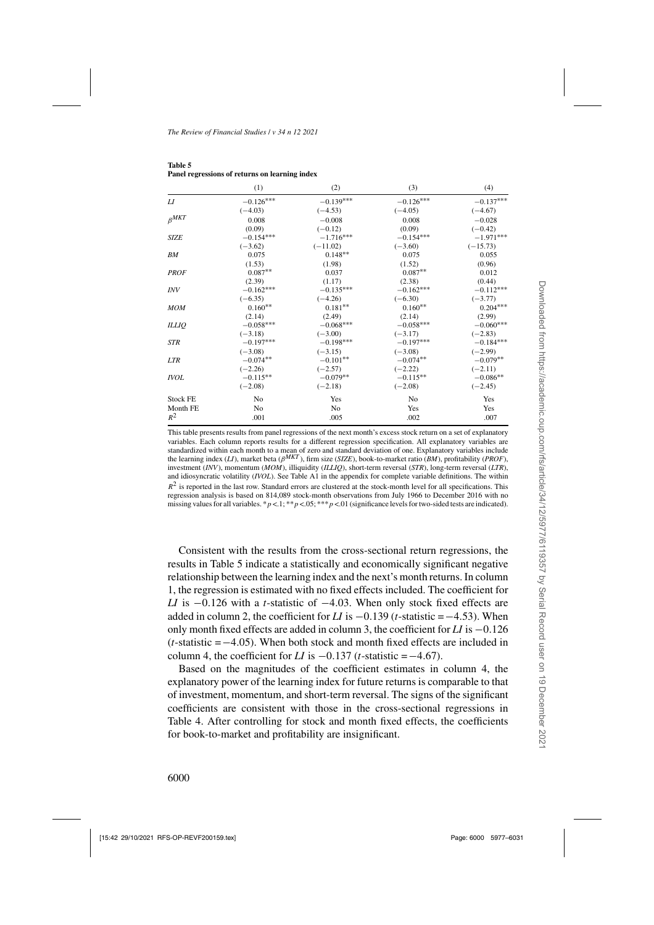|                 | (1)            | (2)         | (3)         | (4)         |
|-----------------|----------------|-------------|-------------|-------------|
| LI              | $-0.126***$    | $-0.139***$ | $-0.126***$ | $-0.137***$ |
|                 | $(-4.03)$      | $(-4.53)$   | $(-4.05)$   | $(-4.67)$   |
| $\beta^{MKT}$   | 0.008          | $-0.008$    | 0.008       | $-0.028$    |
|                 | (0.09)         | $(-0.12)$   | (0.09)      | $(-0.42)$   |
| <b>SIZE</b>     | $-0.154***$    | $-1.716***$ | $-0.154***$ | $-1.971***$ |
|                 | $(-3.62)$      | $(-11.02)$  | $(-3.60)$   | $(-15.73)$  |
| BM              | 0.075          | $0.148**$   | 0.075       | 0.055       |
|                 | (1.53)         | (1.98)      | (1.52)      | (0.96)      |
| <b>PROF</b>     | $0.087**$      | 0.037       | $0.087**$   | 0.012       |
|                 | (2.39)         | (1.17)      | (2.38)      | (0.44)      |
| <b>INV</b>      | $-0.162***$    | $-0.135***$ | $-0.162***$ | $-0.112***$ |
|                 | $(-6.35)$      | $(-4.26)$   | $(-6.30)$   | $(-3.77)$   |
| <b>MOM</b>      | $0.160**$      | $0.181**$   | $0.160**$   | $0.204***$  |
|                 | (2.14)         | (2.49)      | (2.14)      | (2.99)      |
| <b>ILLIQ</b>    | $-0.058***$    | $-0.068***$ | $-0.058***$ | $-0.060***$ |
|                 | $(-3.18)$      | $(-3.00)$   | $(-3.17)$   | $(-2.83)$   |
| <b>STR</b>      | $-0.197***$    | $-0.198***$ | $-0.197***$ | $-0.184***$ |
|                 | $(-3.08)$      | $(-3.15)$   | $(-3.08)$   | $(-2.99)$   |
| <b>LTR</b>      | $-0.074**$     | $-0.101**$  | $-0.074**$  | $-0.079**$  |
|                 | $(-2.26)$      | $(-2.57)$   | $(-2.22)$   | $(-2.11)$   |
| <b>IVOL</b>     | $-0.115**$     | $-0.079**$  | $-0.115**$  | $-0.086**$  |
|                 | $(-2.08)$      | $(-2.18)$   | $(-2.08)$   | $(-2.45)$   |
| <b>Stock FE</b> | N <sub>0</sub> | Yes         | No          | Yes         |
| Month FE        | No             | No          | Yes         | Yes         |
| $R^2$           | .001           | .005        | .002        | .007        |

<span id="page-23-0"></span>**Table 5 Panel regressions of returns on learning index**

This table presents results from panel regressions of the next month's excess stock return on a set of explanatory variables. Each column reports results for a different regression specification. All explanatory variables are standardized within each month to a mean of zero and standard deviation of one. Explanatory variables include the learning index (*LI*), market beta (β*MKT* ), firm size (*SIZE*), book-to-market ratio (*BM*), profitability (*PROF*), investment (*INV*), momentum (*MOM*), illiquidity (*ILLIQ*), short-term reversal (*STR*), long-term reversal (*LTR*), and idiosyncratic volatility (*IVOL*). See Table [A1](#page-17-0) in the appendix for complete variable definitions. The within  $R<sup>2</sup>$  is reported in the last row. Standard errors are clustered at the stock-month level for all specifications. This regression analysis is based on 814,089 stock-month observations from July 1966 to December 2016 with no missing values for all variables. \*p <.1; \*\*p <.05; \*\*\*p <.01 (significance levels for two-sided tests are indicated).

Consistent with the results from the cross-sectional return regressions, the results in Table 5 indicate a statistically and economically significant negative relationship between the learning index and the next's month returns. In column 1, the regression is estimated with no fixed effects included. The coefficient for *LI* is −0.126 with a *t*-statistic of −4.03. When only stock fixed effects are added in column 2, the coefficient for *LI* is <sup>−</sup>0.139 (*t*-statistic =−4.53). When only month fixed effects are added in column 3, the coefficient for *LI* is <sup>−</sup>0.<sup>126</sup> (*t*-statistic =−4.05). When both stock and month fixed effects are included in column 4, the coefficient for *LI* is  $-0.137$  (*t*-statistic =  $-4.67$ ).

Based on the magnitudes of the coefficient estimates in column 4, the explanatory power of the learning index for future returns is comparable to that of investment, momentum, and short-term reversal. The signs of the significant coefficients are consistent with those in the cross-sectional regressions in Table [4.](#page-21-0) After controlling for stock and month fixed effects, the coefficients for book-to-market and profitability are insignificant.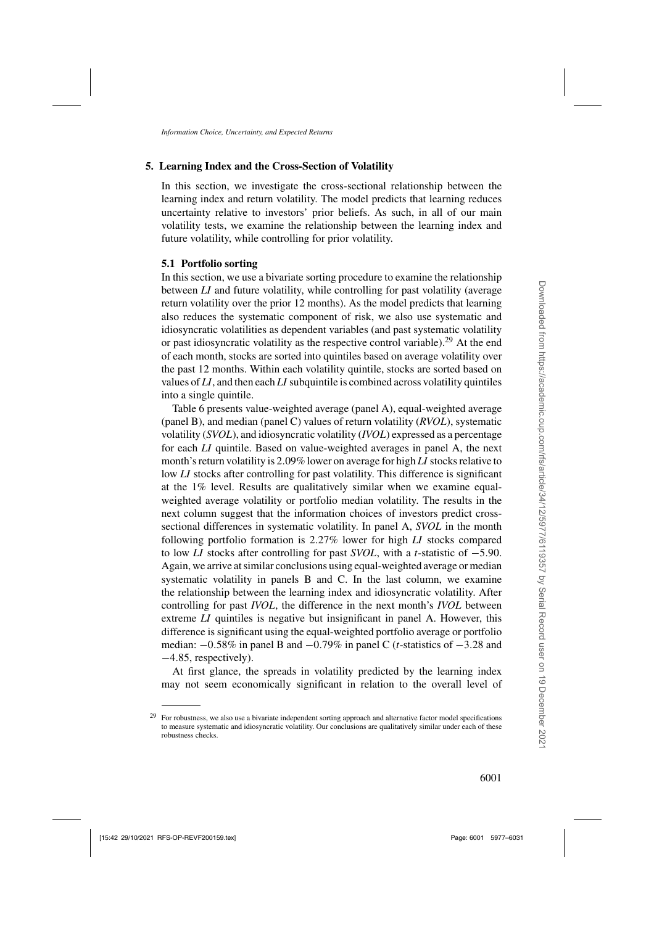# **5. Learning Index and the Cross-Section of Volatility**

In this section, we investigate the cross-sectional relationship between the learning index and return volatility. The model predicts that learning reduces uncertainty relative to investors' prior beliefs. As such, in all of our main volatility tests, we examine the relationship between the learning index and future volatility, while controlling for prior volatility.

# **5.1 Portfolio sorting**

In this section, we use a bivariate sorting procedure to examine the relationship between *LI* and future volatility, while controlling for past volatility (average return volatility over the prior 12 months). As the model predicts that learning also reduces the systematic component of risk, we also use systematic and idiosyncratic volatilities as dependent variables (and past systematic volatility or past idiosyncratic volatility as the respective control variable).<sup>29</sup> At the end of each month, stocks are sorted into quintiles based on average volatility over the past 12 months. Within each volatility quintile, stocks are sorted based on values of *LI*, and then each *LI* subquintile is combined across volatility quintiles into a single quintile.

Table [6](#page-25-0) presents value-weighted average (panel A), equal-weighted average (panel B), and median (panel C) values of return volatility (*RVOL*), systematic volatility (*SVOL*), and idiosyncratic volatility (*IVOL*) expressed as a percentage for each *LI* quintile. Based on value-weighted averages in panel A, the next month's return volatility is 2.09% lower on average for high *LI* stocks relative to low *LI* stocks after controlling for past volatility. This difference is significant at the 1% level. Results are qualitatively similar when we examine equalweighted average volatility or portfolio median volatility. The results in the next column suggest that the information choices of investors predict crosssectional differences in systematic volatility. In panel A, *SVOL* in the month following portfolio formation is 2.27% lower for high *LI* stocks compared to low *LI* stocks after controlling for past *SVOL*, with a *<sup>t</sup>*-statistic of <sup>−</sup>5.90. Again, we arrive at similar conclusions using equal-weighted average or median systematic volatility in panels B and C. In the last column, we examine the relationship between the learning index and idiosyncratic volatility. After controlling for past *IVOL*, the difference in the next month's *IVOL* between extreme *LI* quintiles is negative but insignificant in panel A. However, this difference is significant using the equal-weighted portfolio average or portfolio median: <sup>−</sup>0.58% in panel B and <sup>−</sup>0.79% in panel C (*t*-statistics of <sup>−</sup>3.28 and <sup>−</sup>4.85, respectively).

At first glance, the spreads in volatility predicted by the learning index may not seem economically significant in relation to the overall level of

<sup>&</sup>lt;sup>29</sup> For robustness, we also use a bivariate independent sorting approach and alternative factor model specifications to measure systematic and idiosyncratic volatility. Our conclusions are qualitatively similar under each of these robustness checks.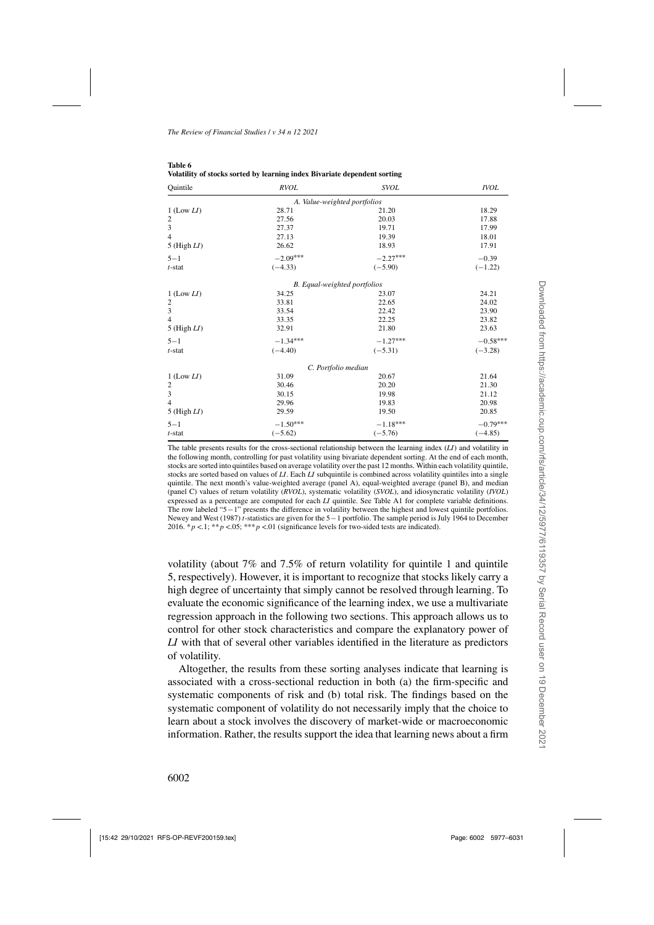| Quintile         | <b>RVOL</b>                  | <b>SVOL</b>                  | <b>IVOL</b> |
|------------------|------------------------------|------------------------------|-------------|
|                  | A. Value-weighted portfolios |                              |             |
| $1$ (Low $LI$ )  | 28.71                        | 21.20                        | 18.29       |
| $\overline{c}$   | 27.56                        | 20.03                        | 17.88       |
| 3                | 27.37                        | 19.71                        | 17.99       |
| $\overline{4}$   | 27.13                        | 19.39                        | 18.01       |
| $5$ (High $LI$ ) | 26.62                        | 18.93                        | 17.91       |
| $5 - 1$          | $-2.09***$                   | $-2.27***$                   | $-0.39$     |
| $t$ -stat        | $(-4.33)$                    | $(-5.90)$                    | $(-1.22)$   |
|                  |                              | B. Equal-weighted portfolios |             |
| $1$ (Low $LI$ )  | 34.25                        | 23.07                        | 24.21       |
| $\overline{c}$   | 33.81                        | 22.65                        | 24.02       |
| 3                | 33.54                        | 22.42                        | 23.90       |
| $\overline{4}$   | 33.35                        | 22.25                        | 23.82       |
| $5$ (High $LI$ ) | 32.91                        | 21.80                        | 23.63       |
| $5 - 1$          | $-1.34***$                   | $-1.27***$                   | $-0.58***$  |
| $t$ -stat        | $(-4.40)$                    | $(-5.31)$                    | $(-3.28)$   |
|                  |                              | C. Portfolio median          |             |
| $1$ (Low $LI$ )  | 31.09                        | 20.67                        | 21.64       |
| $\overline{2}$   | 30.46                        | 20.20                        | 21.30       |
| 3                | 30.15                        | 19.98                        | 21.12       |
| $\overline{4}$   | 29.96                        | 19.83                        | 20.98       |
| $5$ (High $LI$ ) | 29.59                        | 19.50                        | 20.85       |
| $5 - 1$          | $-1.50***$                   | $-1.18***$                   | $-0.79***$  |
| $t$ -stat        | $(-5.62)$                    | $(-5.76)$                    | $(-4.85)$   |

<span id="page-25-0"></span>

| Table 6                                                                   |  |
|---------------------------------------------------------------------------|--|
| Volatility of stocks sorted by learning index Bivariate dependent sorting |  |

The table presents results for the cross-sectional relationship between the learning index (*LI*) and volatility in the following month, controlling for past volatility using bivariate dependent sorting. At the end of each month, stocks are sorted into quintiles based on average volatility over the past 12 months. Within each volatility quintile, stocks are sorted based on values of *LI*. Each *LI* subquintile is combined across volatility quintiles into a single quintile. The next month's value-weighted average (panel A), equal-weighted average (panel B), and median (panel C) values of return volatility (*RVOL*), systematic volatility (*SVOL*), and idiosyncratic volatility (*IVOL*) expressed as a percentage are computed for each *LI* quintile. See Table [A1](#page-17-0) for complete variable definitions. The row labeled "5−1" presents the difference in volatility between the highest and lowest quintile portfolios. [Newey and West \(1987](#page-54-0)) *t*-statistics are given for the 5−1 portfolio. The sample period is July 1964 to December 2016. \*  $p < 1$ ; \* \*  $p < 0.05$ ; \* \* \*  $p < 0.01$  (significance levels for two-sided tests are indicated).

volatility (about 7% and 7.5% of return volatility for quintile 1 and quintile 5, respectively). However, it is important to recognize that stocks likely carry a high degree of uncertainty that simply cannot be resolved through learning. To evaluate the economic significance of the learning index, we use a multivariate regression approach in the following two sections. This approach allows us to control for other stock characteristics and compare the explanatory power of *LI* with that of several other variables identified in the literature as predictors of volatility.

Altogether, the results from these sorting analyses indicate that learning is associated with a cross-sectional reduction in both (a) the firm-specific and systematic components of risk and (b) total risk. The findings based on the systematic component of volatility do not necessarily imply that the choice to learn about a stock involves the discovery of market-wide or macroeconomic information. Rather, the results support the idea that learning news about a firm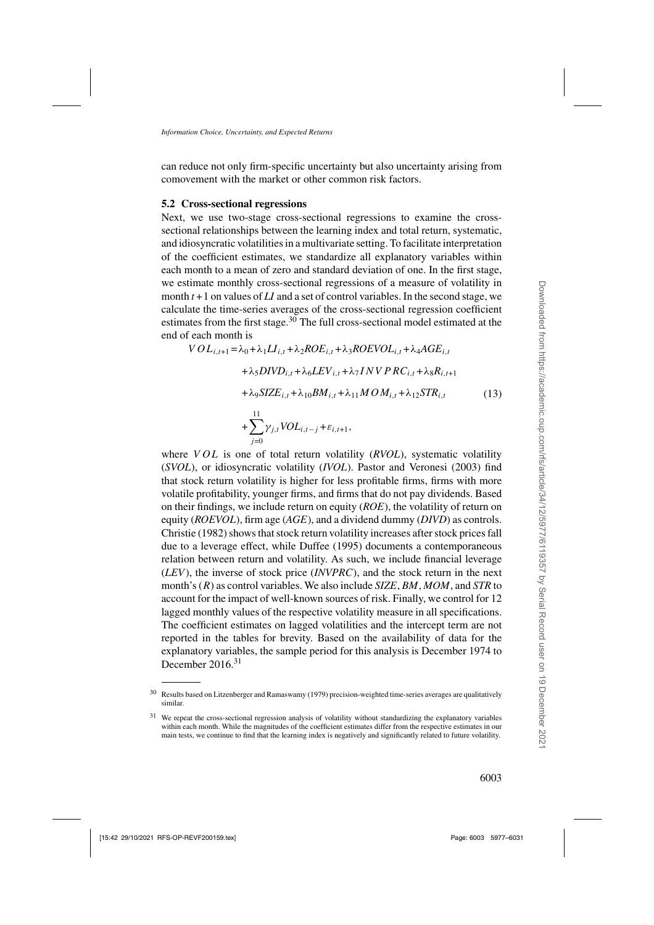<span id="page-26-0"></span>can reduce not only firm-specific uncertainty but also uncertainty arising from comovement with the market or other common risk factors.

## **5.2 Cross-sectional regressions**

 $j=0$ 

Next, we use two-stage cross-sectional regressions to examine the crosssectional relationships between the learning index and total return, systematic, and idiosyncratic volatilities in a multivariate setting. To facilitate interpretation of the coefficient estimates, we standardize all explanatory variables within each month to a mean of zero and standard deviation of one. In the first stage, we estimate monthly cross-sectional regressions of a measure of volatility in month  $t + 1$  on values of  $LI$  and a set of control variables. In the second stage, we calculate the time-series averages of the cross-sectional regression coefficient estimates from the first stage.<sup>30</sup> The full cross-sectional model estimated at the end of each month is

$$
VOL_{i,t+1} = \lambda_0 + \lambda_1 LI_{i,t} + \lambda_2 ROE_{i,t} + \lambda_3 ROEVOL_{i,t} + \lambda_4 AGE_{i,t}
$$
  
+  $\lambda_5 DIVD_{i,t} + \lambda_6 LEV_{i,t} + \lambda_7 INVPRC_{i,t} + \lambda_8 R_{i,t+1}$   
+  $\lambda_9 SIZE_{i,t} + \lambda_{10} BM_{i,t} + \lambda_{11} MOM_{i,t} + \lambda_{12} STR_{i,t}$  (13)  
+  $\sum_{i} Y_{j,i} VOL_{i,t-j} + \varepsilon_{i,t+1}$ ,

where *VOL* is one of total return volatility *(RVOL)*, systematic volatility (*SVOL*), or idiosyncratic volatility (*IVOL*). [Pastor and Veronesi](#page-54-0) [\(2003\)](#page-54-0) find that stock return volatility is higher for less profitable firms, firms with more volatile profitability, younger firms, and firms that do not pay dividends. Based on their findings, we include return on equity (*ROE*), the volatility of return on equity (*ROEVOL*), firm age (*AGE*), and a dividend dummy (*DIVD*) as controls. [Christie](#page-52-0) [\(1982](#page-52-0)) shows that stock return volatility increases after stock prices fall due to a leverage effect, while [Duffee](#page-53-0) [\(1995\)](#page-53-0) documents a contemporaneous relation between return and volatility. As such, we include financial leverage (*LEV*), the inverse of stock price (*INVPRC*), and the stock return in the next month's (R) as control variables. We also include *SIZE*, *BM*, *MOM*, and *STR* to account for the impact of well-known sources of risk. Finally, we control for 12 lagged monthly values of the respective volatility measure in all specifications. The coefficient estimates on lagged volatilities and the intercept term are not reported in the tables for brevity. Based on the availability of data for the explanatory variables, the sample period for this analysis is December 1974 to December 2016.<sup>31</sup>

<sup>30</sup> Results based on [Litzenberger and Ramaswamy](#page-53-0) [\(1979\)](#page-53-0) precision-weighted time-series averages are qualitatively similar.

<sup>&</sup>lt;sup>31</sup> We repeat the cross-sectional regression analysis of volatility without standardizing the explanatory variables within each month. While the magnitudes of the coefficient estimates differ from the respective estimates in our main tests, we continue to find that the learning index is negatively and significantly related to future volatility.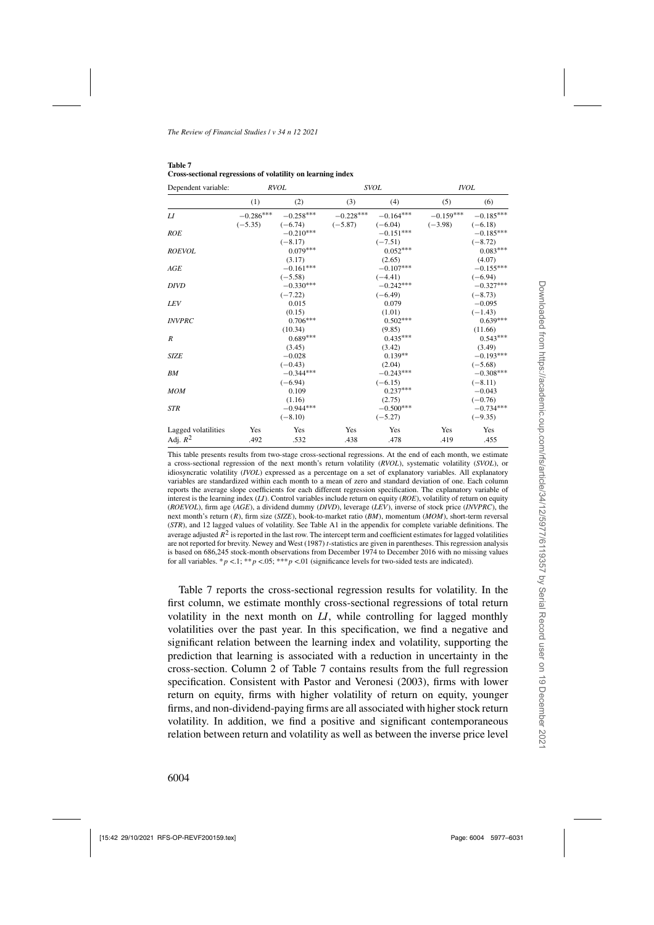| Dependent variable: | <b>RVOL</b>      |             | <b>SVOL</b> |             | <b>IVOL</b> |             |  |
|---------------------|------------------|-------------|-------------|-------------|-------------|-------------|--|
|                     | (1)              | (2)         | (3)         | (4)         | (5)         | (6)         |  |
| L I                 | $-0.286^{***}\,$ | $-0.258***$ | $-0.228***$ | $-0.164***$ | $-0.159***$ | $-0.185***$ |  |
|                     | $(-5.35)$        | $(-6.74)$   | $(-5.87)$   | $(-6.04)$   | $(-3.98)$   | $(-6.18)$   |  |
| <b>ROE</b>          |                  | $-0.210***$ |             | $-0.151***$ |             | $-0.185***$ |  |
|                     |                  | $(-8.17)$   |             | $(-7.51)$   |             | $(-8.72)$   |  |
| <b>ROEVOL</b>       |                  | $0.079***$  |             | $0.052***$  |             | $0.083***$  |  |
|                     |                  | (3.17)      |             | (2.65)      |             | (4.07)      |  |
| AGE                 |                  | $-0.161***$ |             | $-0.107***$ |             | $-0.155***$ |  |
|                     |                  | $(-5.58)$   |             | $(-4.41)$   |             | $(-6.94)$   |  |
| <b>DIVD</b>         |                  | $-0.330***$ |             | $-0.242***$ |             | $-0.327***$ |  |
|                     |                  | $(-7.22)$   |             | $(-6.49)$   |             | $(-8.73)$   |  |
| <b>LEV</b>          |                  | 0.015       |             | 0.079       |             | $-0.095$    |  |
|                     |                  | (0.15)      |             | (1.01)      |             | $(-1.43)$   |  |
| <b>INVPRC</b>       |                  | $0.706***$  |             | $0.502***$  |             | $0.639***$  |  |
|                     |                  | (10.34)     |             | (9.85)      |             | (11.66)     |  |
| $\boldsymbol{R}$    |                  | $0.689***$  |             | $0.435***$  |             | $0.543***$  |  |
|                     |                  | (3.45)      |             | (3.42)      |             | (3.49)      |  |
| <b>SIZE</b>         |                  | $-0.028$    |             | $0.139**$   |             | $-0.193***$ |  |
|                     |                  | $(-0.43)$   |             | (2.04)      |             | $(-5.68)$   |  |
| <b>BM</b>           |                  | $-0.344***$ |             | $-0.243***$ |             | $-0.308***$ |  |
|                     |                  | $(-6.94)$   |             | $(-6.15)$   |             | $(-8.11)$   |  |
| <b>MOM</b>          |                  | 0.109       |             | $0.237***$  |             | $-0.043$    |  |
|                     |                  | (1.16)      |             | (2.75)      |             | $(-0.76)$   |  |
| <b>STR</b>          |                  | $-0.944***$ |             | $-0.500***$ |             | $-0.734***$ |  |
|                     |                  | $(-8.10)$   |             | $(-5.27)$   |             | $(-9.35)$   |  |
| Lagged volatilities | Yes              | Yes         | Yes         | Yes         | Yes         | Yes         |  |
| Adj. $R^2$          | .492             | .532        | .438        | .478        | .419        | .455        |  |

<span id="page-27-0"></span>

| Table 7 |                                                             |
|---------|-------------------------------------------------------------|
|         | Cross-sectional regressions of volatility on learning index |

This table presents results from two-stage cross-sectional regressions. At the end of each month, we estimate a cross-sectional regression of the next month's return volatility (*RVOL*), systematic volatility (*SVOL*), or idiosyncratic volatility (*IVOL*) expressed as a percentage on a set of explanatory variables. All explanatory variables are standardized within each month to a mean of zero and standard deviation of one. Each column reports the average slope coefficients for each different regression specification. The explanatory variable of interest is the learning index (*LI*). Control variables include return on equity (*ROE*), volatility of return on equity (*ROEVOL*), firm age (*AGE*), a dividend dummy (*DIVD*), leverage (*LEV*), inverse of stock price (*INVPRC*), the next month's return (R), firm size (*SIZE*), book-to-market ratio (*BM*), momentum (*MOM*), short-term reversal (*STR*), and 12 lagged values of volatility. See Table [A1](#page-17-0) in the appendix for complete variable definitions. The average adjusted  $R<sup>2</sup>$  is reported in the last row. The intercept term and coefficient estimates for lagged volatilities are not reported for brevity. [Newey and West](#page-54-0) [\(1987](#page-54-0)) *t*-statistics are given in parentheses. This regression analysis is based on 686,245 stock-month observations from December 1974 to December 2016 with no missing values for all variables. \*  $p < 0.1$ ; \*\* $p < 0.05$ ; \*\*\*  $p < 0.01$  (significance levels for two-sided tests are indicated).

Table 7 reports the cross-sectional regression results for volatility. In the first column, we estimate monthly cross-sectional regressions of total return volatility in the next month on *LI*, while controlling for lagged monthly volatilities over the past year. In this specification, we find a negative and significant relation between the learning index and volatility, supporting the prediction that learning is associated with a reduction in uncertainty in the cross-section. Column 2 of Table 7 contains results from the full regression specification. Consistent with [Pastor and Veronesi](#page-54-0) [\(2003\)](#page-54-0), firms with lower return on equity, firms with higher volatility of return on equity, younger firms, and non-dividend-paying firms are all associated with higher stock return volatility. In addition, we find a positive and significant contemporaneous relation between return and volatility as well as between the inverse price level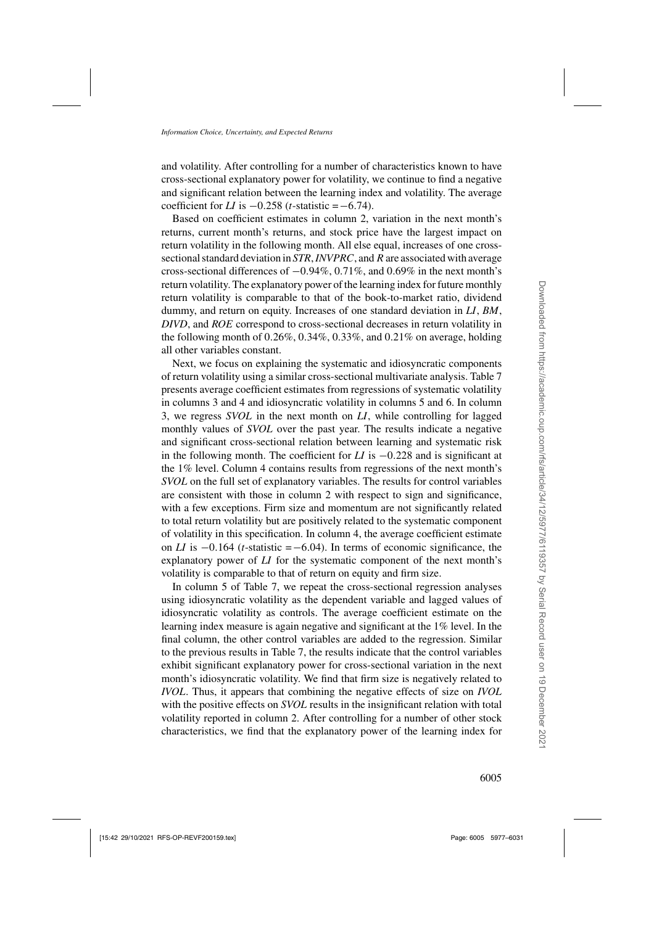and volatility. After controlling for a number of characteristics known to have cross-sectional explanatory power for volatility, we continue to find a negative and significant relation between the learning index and volatility. The average coefficient for *LI* is  $-0.258$  (*t*-statistic =  $-6.74$ ).

Based on coefficient estimates in column 2, variation in the next month's returns, current month's returns, and stock price have the largest impact on return volatility in the following month. All else equal, increases of one crosssectional standard deviation in *STR*,*INVPRC*, and R are associated with average cross-sectional differences of <sup>−</sup>0.94%, 0.71%, and 0.69% in the next month's return volatility. The explanatory power of the learning index for future monthly return volatility is comparable to that of the book-to-market ratio, dividend dummy, and return on equity. Increases of one standard deviation in *LI*, *BM*, *DIVD*, and *ROE* correspond to cross-sectional decreases in return volatility in the following month of 0.26%, 0.34%, 0.33%, and 0.21% on average, holding all other variables constant.

Next, we focus on explaining the systematic and idiosyncratic components of return volatility using a similar cross-sectional multivariate analysis. Table [7](#page-27-0) presents average coefficient estimates from regressions of systematic volatility in columns 3 and 4 and idiosyncratic volatility in columns 5 and 6. In column 3, we regress *SVOL* in the next month on *LI*, while controlling for lagged monthly values of *SVOL* over the past year. The results indicate a negative and significant cross-sectional relation between learning and systematic risk in the following month. The coefficient for *LI* is <sup>−</sup>0.228 and is significant at the 1% level. Column 4 contains results from regressions of the next month's *SVOL* on the full set of explanatory variables. The results for control variables are consistent with those in column 2 with respect to sign and significance, with a few exceptions. Firm size and momentum are not significantly related to total return volatility but are positively related to the systematic component of volatility in this specification. In column 4, the average coefficient estimate on *LI* is  $-0.164$  (*t*-statistic = −6.04). In terms of economic significance, the explanatory power of *LI* for the systematic component of the next month's volatility is comparable to that of return on equity and firm size.

In column 5 of Table [7,](#page-27-0) we repeat the cross-sectional regression analyses using idiosyncratic volatility as the dependent variable and lagged values of idiosyncratic volatility as controls. The average coefficient estimate on the learning index measure is again negative and significant at the 1% level. In the final column, the other control variables are added to the regression. Similar to the previous results in Table [7,](#page-27-0) the results indicate that the control variables exhibit significant explanatory power for cross-sectional variation in the next month's idiosyncratic volatility. We find that firm size is negatively related to *IVOL*. Thus, it appears that combining the negative effects of size on *IVOL* with the positive effects on *SVOL* results in the insignificant relation with total volatility reported in column 2. After controlling for a number of other stock characteristics, we find that the explanatory power of the learning index for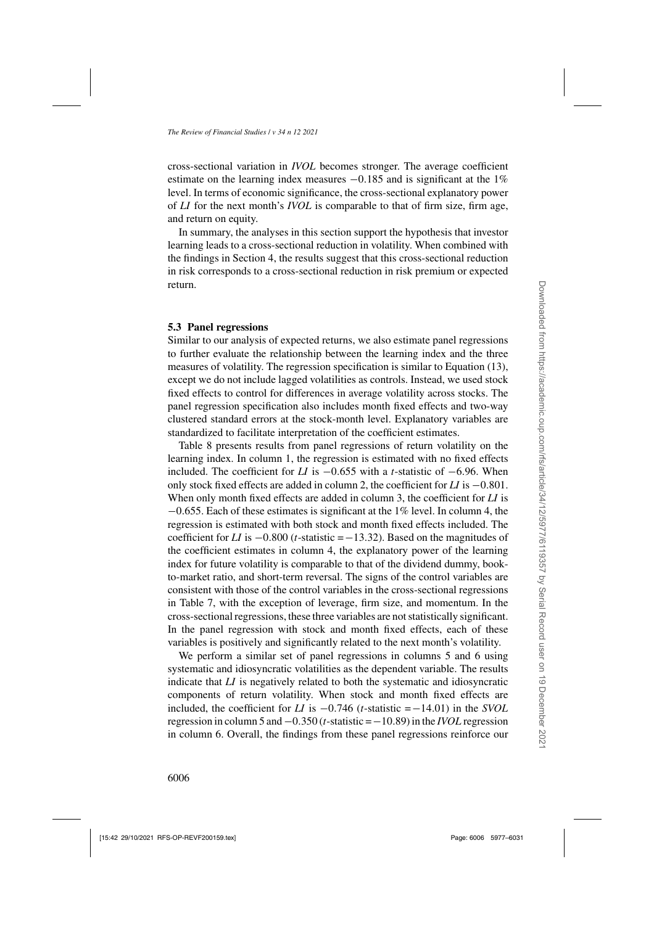cross-sectional variation in *IVOL* becomes stronger. The average coefficient estimate on the learning index measures  $-0.185$  and is significant at the 1% level. In terms of economic significance, the cross-sectional explanatory power of *LI* for the next month's *IVOL* is comparable to that of firm size, firm age, and return on equity.

In summary, the analyses in this section support the hypothesis that investor learning leads to a cross-sectional reduction in volatility. When combined with the findings in Section [4,](#page-18-0) the results suggest that this cross-sectional reduction in risk corresponds to a cross-sectional reduction in risk premium or expected return.

## **5.3 Panel regressions**

Similar to our analysis of expected returns, we also estimate panel regressions to further evaluate the relationship between the learning index and the three measures of volatility. The regression specification is similar to Equation [\(13\)](#page-26-0), except we do not include lagged volatilities as controls. Instead, we used stock fixed effects to control for differences in average volatility across stocks. The panel regression specification also includes month fixed effects and two-way clustered standard errors at the stock-month level. Explanatory variables are standardized to facilitate interpretation of the coefficient estimates.

Table [8](#page-30-0) presents results from panel regressions of return volatility on the learning index. In column 1, the regression is estimated with no fixed effects included. The coefficient for *LI* is <sup>−</sup>0.655 with a *<sup>t</sup>*-statistic of <sup>−</sup>6.96. When only stock fixed effects are added in column 2, the coefficient for *LI* is <sup>−</sup>0.801. When only month fixed effects are added in column 3, the coefficient for *LI* is <sup>−</sup>0.655. Each of these estimates is significant at the 1% level. In column 4, the regression is estimated with both stock and month fixed effects included. The coefficient for *LI* is <sup>−</sup>0.800 (*t*-statistic =−13.32). Based on the magnitudes of the coefficient estimates in column 4, the explanatory power of the learning index for future volatility is comparable to that of the dividend dummy, bookto-market ratio, and short-term reversal. The signs of the control variables are consistent with those of the control variables in the cross-sectional regressions in Table [7,](#page-27-0) with the exception of leverage, firm size, and momentum. In the cross-sectional regressions, these three variables are not statistically significant. In the panel regression with stock and month fixed effects, each of these variables is positively and significantly related to the next month's volatility.

We perform a similar set of panel regressions in columns 5 and 6 using systematic and idiosyncratic volatilities as the dependent variable. The results indicate that *LI* is negatively related to both the systematic and idiosyncratic components of return volatility. When stock and month fixed effects are included, the coefficient for *LI* is <sup>−</sup>0.746 (*t*-statistic =−14.01) in the *SVOL* regression in column 5 and <sup>−</sup>0.350 (*t*-statistic =−10.89) in the *IVOL* regression in column 6. Overall, the findings from these panel regressions reinforce our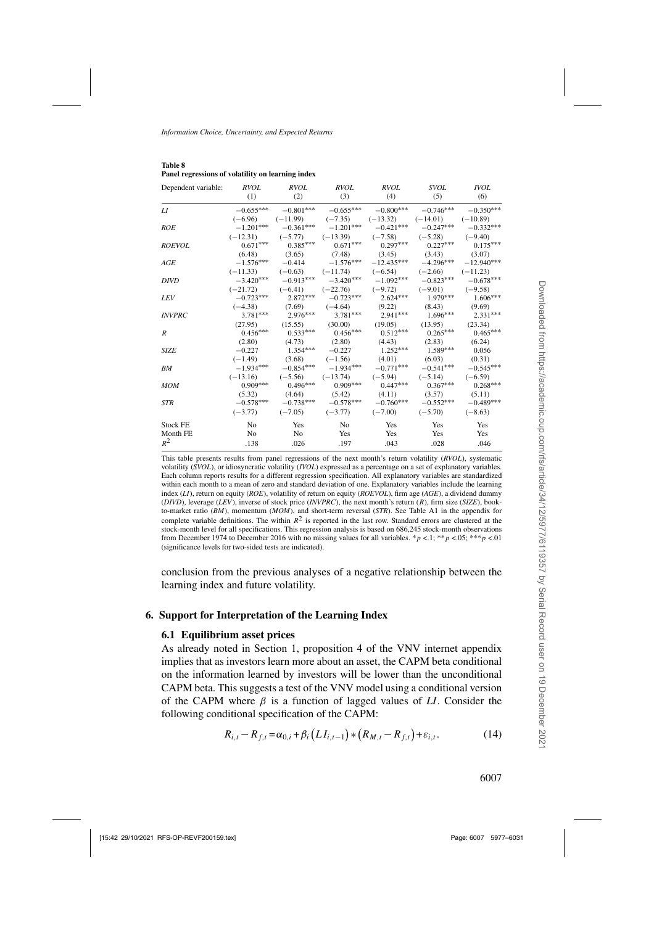| Dependent variable: RVOL RVOL |             |                                                                         | <i>RVOL</i>          | RVOL                                                   | <i>SVOL</i>                           | <i>IVOL</i> |
|-------------------------------|-------------|-------------------------------------------------------------------------|----------------------|--------------------------------------------------------|---------------------------------------|-------------|
|                               | (1)         | (2)                                                                     | (3)                  | (4)                                                    | (5)                                   | (6)         |
| LI                            |             | $-0.655***$ $-0.801***$ $-0.655***$ $-0.800***$ $-0.746***$ $-0.350***$ |                      |                                                        |                                       |             |
|                               |             | $(-6.96)$ $(-11.99)$ $(-7.35)$ $(-13.32)$ $(-14.01)$ $(-10.89)$         |                      |                                                        |                                       |             |
| <b>ROE</b>                    |             | $-1.201***$ $-0.361***$ $-1.201***$ $-0.421***$ $-0.247***$ $-0.332***$ |                      |                                                        |                                       |             |
|                               |             | $(-12.31)$ $(-5.77)$ $(-13.39)$ $(-7.58)$ $(-5.28)$ $(-9.40)$           |                      |                                                        |                                       |             |
| <b>ROEVOL</b>                 |             | $0.071***$ $0.385***$ $0.671***$ $0.297***$ $0.227***$ $0.175***$       |                      |                                                        |                                       |             |
|                               |             | $(6.48)$ $(3.65)$ $(7.48)$ $(3.45)$ $(3.43)$                            |                      |                                                        |                                       | (3.07)      |
| AGE                           |             | $-1.576***$ $-0.414$ $-1.576***$                                        |                      |                                                        | $-12.435***$ $-4.296***$ $-12.940***$ |             |
|                               |             | $(-11.33)$ $(-0.63)$ $(-11.74)$ $(-6.54)$ $(-2.66)$                     |                      |                                                        |                                       | $(-11.23)$  |
| <b>DIVD</b>                   |             | $-3.420***$ $-0.913***$ $-3.420***$ $-1.092***$ $-0.823***$ $-0.678***$ |                      |                                                        |                                       |             |
|                               | $(-21.72)$  |                                                                         |                      | $(-6.41)$ $(-22.76)$ $(-9.72)$ $(-9.01)$ $(-9.58)$     |                                       |             |
| LEV <sub></sub>               |             | $-0.723***$ 2.872*** $-0.723***$ 2.624*** 1.979*** 1.606***             |                      |                                                        |                                       |             |
|                               |             | $(-4.38)$ $(7.69)$ $(-4.64)$ $(9.22)$                                   |                      |                                                        | (8.43)                                | (9.69)      |
| <b>INVPRC</b>                 |             | 3.781*** 2.976*** 3.781*** 2.941*** 1.696*** 2.331***                   |                      |                                                        |                                       |             |
|                               | (27.95)     |                                                                         |                      | $(15.55)$ $(30.00)$ $(19.05)$                          | (13.95)                               | (23.34)     |
| R                             |             | $0.456***$ $0.533***$ $0.456***$ $0.512***$ $0.265***$ $0.465***$       |                      |                                                        |                                       |             |
|                               | (2.80)      |                                                                         | $(4.73)$ $(2.80)$    | (4.43)                                                 | (2.83)                                | (6.24)      |
| <b>SIZE</b>                   |             | $-0.227$ 1.354*** $-0.227$ 1.252*** 1.589***                            |                      |                                                        |                                       | 0.056       |
|                               | $(-1.49)$   |                                                                         | $(3.68)$ $(-1.56)$   | (4.01)                                                 | (6.03)                                | (0.31)      |
| BM                            | $-1.934***$ |                                                                         |                      | $-0.854***$ $-1.934***$ $-0.771***$                    | $-0.541***$                           | $-0.545***$ |
|                               | $(-13.16)$  |                                                                         | $(-5.56)$ $(-13.74)$ |                                                        | $(-5.94)$ $(-5.14)$ $(-6.59)$         |             |
| <b>MOM</b>                    | $0.909***$  |                                                                         |                      | $0.496***$ $0.909***$ $0.447***$ $0.367***$ $0.268***$ |                                       |             |
|                               | (5.32)      |                                                                         |                      | $(4.64)$ $(5.42)$ $(4.11)$ $(3.57)$                    |                                       | (5.11)      |
| <b>STR</b>                    |             | $-0.578***$ $-0.738***$ $-0.578***$ $-0.760***$ $-0.552***$             |                      |                                                        |                                       | $-0.489***$ |
|                               | $(-3.77)$   | $(-7.05)$                                                               |                      | $(-3.77)$ $(-7.00)$ $(-5.70)$ $(-8.63)$                |                                       |             |
| <b>Stock FE</b>               | No.         | Yes                                                                     | No                   | Yes                                                    | Yes                                   | Yes         |
| Month FE                      | No          | No                                                                      | Yes                  | Yes                                                    | Yes                                   | Yes         |
| $R^2$                         | .138        | .026                                                                    | .197                 | .043                                                   | .028                                  | .046        |

<span id="page-30-0"></span>**Table 8 Panel regressions of volatility on learning index**

This table presents results from panel regressions of the next month's return volatility (*RVOL*), systematic volatility (*SVOL*), or idiosyncratic volatility (*IVOL*) expressed as a percentage on a set of explanatory variables. Each column reports results for a different regression specification. All explanatory variables are standardized within each month to a mean of zero and standard deviation of one. Explanatory variables include the learning index (*LI*), return on equity (*ROE*), volatility of return on equity (*ROEVOL*), firm age (*AGE*), a dividend dummy (*DIVD*), leverage (*LEV*), inverse of stock price (*INVPRC*), the next month's return (R), firm size (*SIZE*), bookto-market ratio (*BM*), momentum (*MOM*), and short-term reversal (*STR*). See Table [A1](#page-17-0) in the appendix for complete variable definitions. The within  $R^2$  is reported in the last row. Standard errors are clustered at the stock-month level for all specifications. This regression analysis is based on 686,245 stock-month observations from December 1974 to December 2016 with no missing values for all variables. \*p <.1; \*\*p <.05; \*\*\*p <.01 (significance levels for two-sided tests are indicated).

conclusion from the previous analyses of a negative relationship between the learning index and future volatility.

### **6. Support for Interpretation of the Learning Index**

#### **6.1 Equilibrium asset prices**

As already noted in Section [1,](#page-4-0) proposition 4 of the [VNV](#page-54-0) internet appendix implies that as investors learn more about an asset, the CAPM beta conditional on the information learned by investors will be lower than the unconditional CAPM beta. This suggests a test of the [VNV](#page-54-0) model using a conditional version of the CAPM where  $\beta$  is a function of lagged values of *LI*. Consider the following conditional specification of the CAPM:

$$
R_{i,t} - R_{f,t} = \alpha_{0,i} + \beta_i \left( L I_{i,t-1} \right) * \left( R_{M,t} - R_{f,t} \right) + \varepsilon_{i,t}.
$$
 (14)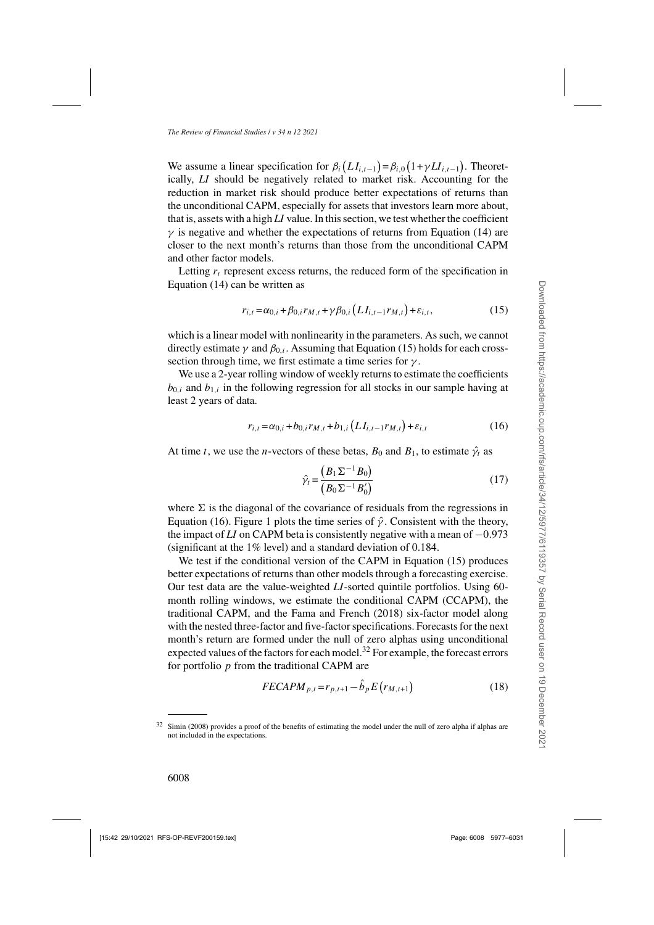<span id="page-31-0"></span>We assume a linear specification for  $\beta_i(LI_{i,t-1}) = \beta_{i,0}(1 + \gamma LI_{i,t-1})$ . Theoretically, *LI* should be negatively related to market risk. Accounting for the reduction in market risk should produce better expectations of returns than the unconditional CAPM, especially for assets that investors learn more about, that is, assets with a high *LI* value. In this section, we test whether the coefficient  $\gamma$  is negative and whether the expectations of returns from Equation [\(14\)](#page-30-0) are closer to the next month's returns than those from the unconditional CAPM and other factor models.

Letting  $r_t$  represent excess returns, the reduced form of the specification in Equation [\(14\)](#page-30-0) can be written as

$$
r_{i,t} = \alpha_{0,i} + \beta_{0,i} r_{M,t} + \gamma \beta_{0,i} \left( L I_{i,t-1} r_{M,t} \right) + \varepsilon_{i,t},\tag{15}
$$

which is a linear model with nonlinearity in the parameters. As such, we cannot directly estimate  $\gamma$  and  $\beta_0$ . Assuming that Equation (15) holds for each crosssection through time, we first estimate a time series for  $\gamma$ .

We use a 2-year rolling window of weekly returns to estimate the coefficients  $b_{0,i}$  and  $b_{1,i}$  in the following regression for all stocks in our sample having at least 2 years of data.

$$
r_{i,t} = \alpha_{0,i} + b_{0,i}r_{M,t} + b_{1,i}\left(LI_{i,t-1}r_{M,t}\right) + \varepsilon_{i,t}
$$
\n(16)

At time t, we use the *n*-vectors of these betas,  $B_0$  and  $B_1$ , to estimate  $\hat{\gamma}_t$  as

$$
\hat{\gamma}_t = \frac{\left(B_1 \Sigma^{-1} B_0\right)}{\left(B_0 \Sigma^{-1} B_0'\right)}\tag{17}
$$

where  $\Sigma$  is the diagonal of the covariance of residuals from the regressions in Equation (16). Figure [1](#page-32-0) plots the time series of  $\hat{\gamma}$ . Consistent with the theory, the impact of *LI* on CAPM beta is consistently negative with a mean of <sup>−</sup>0.<sup>973</sup> (significant at the 1% level) and a standard deviation of 0.184.

We test if the conditional version of the CAPM in Equation (15) produces better expectations of returns than other models through a forecasting exercise. Our test data are the value-weighted *LI*-sorted quintile portfolios. Using 60 month rolling windows, we estimate the conditional CAPM (CCAPM), the traditional CAPM, and the [Fama and French](#page-53-0) [\(2018\)](#page-53-0) six-factor model along with the nested three-factor and five-factor specifications. Forecasts for the next month's return are formed under the null of zero alphas using unconditional expected values of the factors for each model.<sup>32</sup> For example, the forecast errors for portfolio  $p$  from the traditional CAPM are

$$
FECAPM_{p,t} = r_{p,t+1} - \hat{b}_p E(r_{M,t+1})
$$
\n(18)

<sup>32</sup> [Simin](#page-54-0) [\(2008](#page-54-0)) provides a proof of the benefits of estimating the model under the null of zero alpha if alphas are not included in the expectations.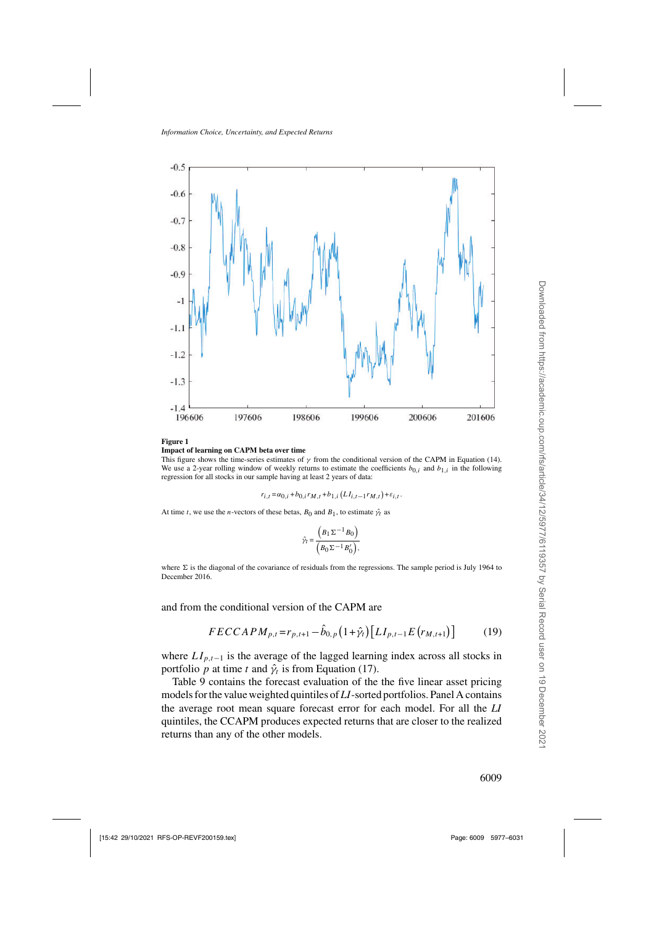<span id="page-32-0"></span>

#### **Figure 1 Impact of learning on CAPM beta over time**

This figure shows the time-series estimates of  $\gamma$  from the conditional version of the CAPM in Equation [\(14\)](#page-30-0). We use a 2-year rolling window of weekly returns to estimate the coefficients  $b_{0i}$  and  $b_{1i}$  in the following regression for all stocks in our sample having at least 2 years of data:

$$
r_{i,t}\!=\!\alpha_{0,i}\!+\!b_{0,i}r_{M,t}\!+\!b_{1,i}\left(LI_{i,t-1}r_{M,t}\right)\!+\!\varepsilon_{i,t}.
$$

At time t, we use the n-vectors of these betas,  $B_0$  and  $B_1$ , to estimate  $\hat{\gamma}_t$  as

$$
\hat{\gamma}_t = \frac{\left(B_1 \Sigma^{-1} B_0\right)}{\left(B_0 \Sigma^{-1} B_0'\right)},
$$

where  $\Sigma$  is the diagonal of the covariance of residuals from the regressions. The sample period is July 1964 to December 2016.

and from the conditional version of the CAPM are

$$
FECCAPM_{p,t} = r_{p,t+1} - \hat{b}_{0,p} \left(1 + \hat{\gamma}_t\right) \left[LI_{p,t-1}E\left(r_{M,t+1}\right)\right] \tag{19}
$$

where  $LI_{p,t-1}$  is the average of the lagged learning index across all stocks in portfolio p at time t and  $\hat{\gamma}_t$  is from Equation [\(17\)](#page-31-0).

Table [9](#page-33-0) contains the forecast evaluation of the the five linear asset pricing models for the value weighted quintiles of *LI*-sorted portfolios. Panel A contains the average root mean square forecast error for each model. For all the *LI* quintiles, the CCAPM produces expected returns that are closer to the realized returns than any of the other models.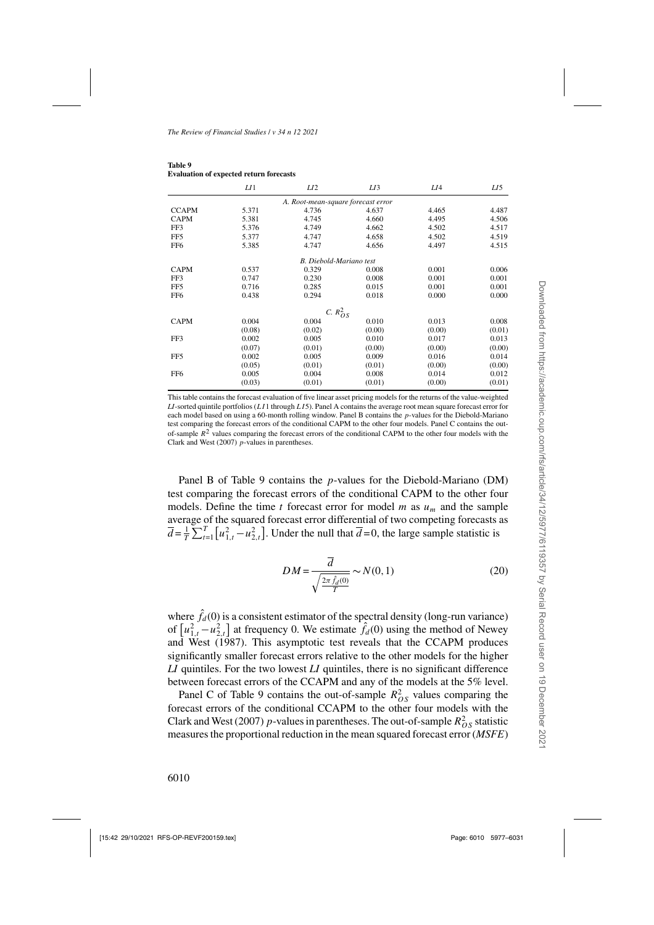|                 | LI     | LI <sub>2</sub>                    | LI3    | LI4    | LI5    |
|-----------------|--------|------------------------------------|--------|--------|--------|
|                 |        | A. Root-mean-square forecast error |        |        |        |
| <b>CCAPM</b>    | 5.371  | 4.736                              | 4.637  | 4.465  | 4.487  |
| <b>CAPM</b>     | 5.381  | 4.745                              | 4.660  | 4.495  | 4.506  |
| FF3             | 5.376  | 4.749                              | 4.662  | 4.502  | 4.517  |
| FF5             | 5.377  | 4.747                              | 4.658  | 4.502  | 4.519  |
| FF6             | 5.385  | 4.747                              | 4.656  | 4.497  | 4.515  |
|                 |        | B. Diebold-Mariano test            |        |        |        |
| <b>CAPM</b>     | 0.537  | 0.329                              | 0.008  | 0.001  | 0.006  |
| FF3             | 0.747  | 0.230                              | 0.008  | 0.001  | 0.001  |
| FF5             | 0.716  | 0.285                              | 0.015  | 0.001  | 0.001  |
| FF6             | 0.438  | 0.294                              | 0.018  | 0.000  | 0.000  |
|                 |        | C. $R_{OS}^2$                      |        |        |        |
| <b>CAPM</b>     | 0.004  | 0.004                              | 0.010  | 0.013  | 0.008  |
|                 | (0.08) | (0.02)                             | (0.00) | (0.00) | (0.01) |
| FF3             | 0.002  | 0.005                              | 0.010  | 0.017  | 0.013  |
|                 | (0.07) | (0.01)                             | (0.00) | (0.00) | (0.00) |
| FF5             | 0.002  | 0.005                              | 0.009  | 0.016  | 0.014  |
|                 | (0.05) | (0.01)                             | (0.01) | (0.00) | (0.00) |
| FF <sub>6</sub> | 0.005  | 0.004                              | 0.008  | 0.014  | 0.012  |
|                 | (0.03) | (0.01)                             | (0.01) | (0.00) | (0.01) |

#### <span id="page-33-0"></span>**Table 9 Evaluation of expected return forecasts**

This table contains the forecast evaluation of five linear asset pricing models for the returns of the value-weighted *LI*-sorted quintile portfolios (LI1 through LI5). Panel A contains the average root mean square forecast error for each model based on using a 60-month rolling window. Panel B contains the p-values for the Diebold-Mariano test comparing the forecast errors of the conditional CAPM to the other four models. Panel C contains the outof-sample  $R^2$  values comparing the forecast errors of the conditional CAPM to the other four models with the [Clark and West](#page-52-0) [\(2007](#page-52-0)) p-values in parentheses.

Panel B of Table 9 contains the p-values for the Diebold-Mariano (DM) test comparing the forecast errors of the conditional CAPM to the other four models. Define the time t forecast error for model m as  $u_m$  and the sample average of the squared forecast error differential of two competing forecasts as  $\overline{d} = \frac{1}{T} \sum_{t=1}^{T} [u_{1,t}^2 - u_{2,t}^2]$ . Under the null that  $\overline{d} = 0$ , the large sample statistic is

$$
DM = \frac{\overline{d}}{\sqrt{\frac{2\pi \hat{f}_d(0)}{T}}} \sim N(0, 1)
$$
\n(20)

where  $\hat{f}_d(0)$  is a consistent estimator of the spectral density (long-run variance) of  $\left[u_{1,t}^2 - u_{2,t}^2\right]$  [at frequency 0. We estimate](#page-54-0)  $\hat{f}_d(0)$  using the method of Newey and West [\(1987\)](#page-54-0). This asymptotic test reveals that the CCAPM produces significantly smaller forecast errors relative to the other models for the higher *LI* quintiles. For the two lowest *LI* quintiles, there is no significant difference between forecast errors of the CCAPM and any of the models at the 5% level.

Panel C of Table 9 contains the out-of-sample  $R_{OS}^2$  values comparing the forecast errors of the conditional CCAPM to the other four models with the [Clark and West](#page-52-0) [\(2007\)](#page-52-0) p-values in parentheses. The out-of-sample  $R_{OS}^2$  statistic measures the proportional reduction in the mean squared forecast error (*MSFE*)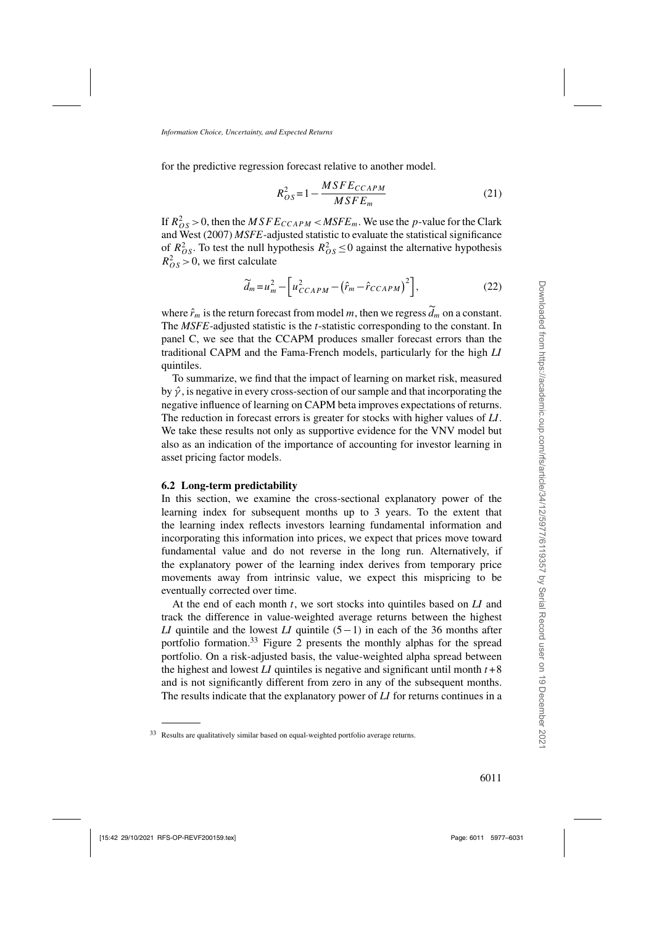for the predictive regression forecast relative to another model.

$$
R_{OS}^2 = 1 - \frac{MSFE_{CCAPM}}{MSFE_m} \tag{21}
$$

If  $R_{OS}^2 > 0$ , then the  $MSFE_{CCAPM} < MSFE_m$ . We use the p[-value for the](#page-52-0) Clark and West [\(2007](#page-52-0)) *MSFE*-adjusted statistic to evaluate the statistical significance of  $R_{OS}^2$ . To test the null hypothesis  $R_{OS}^2 \le 0$  against the alternative hypothesis  $R_{OS}^2 > 0$ , we first calculate

$$
\widetilde{d}_m = u_m^2 - \left[ u_{CCAPM}^2 - \left( \hat{r}_m - \hat{r}_{CCAPM} \right)^2 \right],\tag{22}
$$

where  $\hat{r}_m$  is the return forecast from model m, then we regress  $\tilde{d}_m$  on a constant. The *MSFE*-adjusted statistic is the *t*-statistic corresponding to the constant. In panel C, we see that the CCAPM produces smaller forecast errors than the traditional CAPM and the Fama-French models, particularly for the high *LI* quintiles.

To summarize, we find that the impact of learning on market risk, measured by  $\hat{\gamma}$ , is negative in every cross-section of our sample and that incorporating the negative influence of learning on CAPM beta improves expectations of returns. The reduction in forecast errors is greater for stocks with higher values of *LI*. We take these results not only as supportive evidence for the [VNV](#page-54-0) model but also as an indication of the importance of accounting for investor learning in asset pricing factor models.

#### **6.2 Long-term predictability**

In this section, we examine the cross-sectional explanatory power of the learning index for subsequent months up to 3 years. To the extent that the learning index reflects investors learning fundamental information and incorporating this information into prices, we expect that prices move toward fundamental value and do not reverse in the long run. Alternatively, if the explanatory power of the learning index derives from temporary price movements away from intrinsic value, we expect this mispricing to be eventually corrected over time.

At the end of each month t, we sort stocks into quintiles based on *LI* and track the difference in value-weighted average returns between the highest *LI* quintile and the lowest *LI* quintile (5−1) in each of the 36 months after portfolio formation.<sup>33</sup> Figure [2](#page-35-0) presents the monthly alphas for the spread portfolio. On a risk-adjusted basis, the value-weighted alpha spread between the highest and lowest *LI* quintiles is negative and significant until month  $t + 8$ and is not significantly different from zero in any of the subsequent months. The results indicate that the explanatory power of *LI* for returns continues in a

<sup>33</sup> Results are qualitatively similar based on equal-weighted portfolio average returns.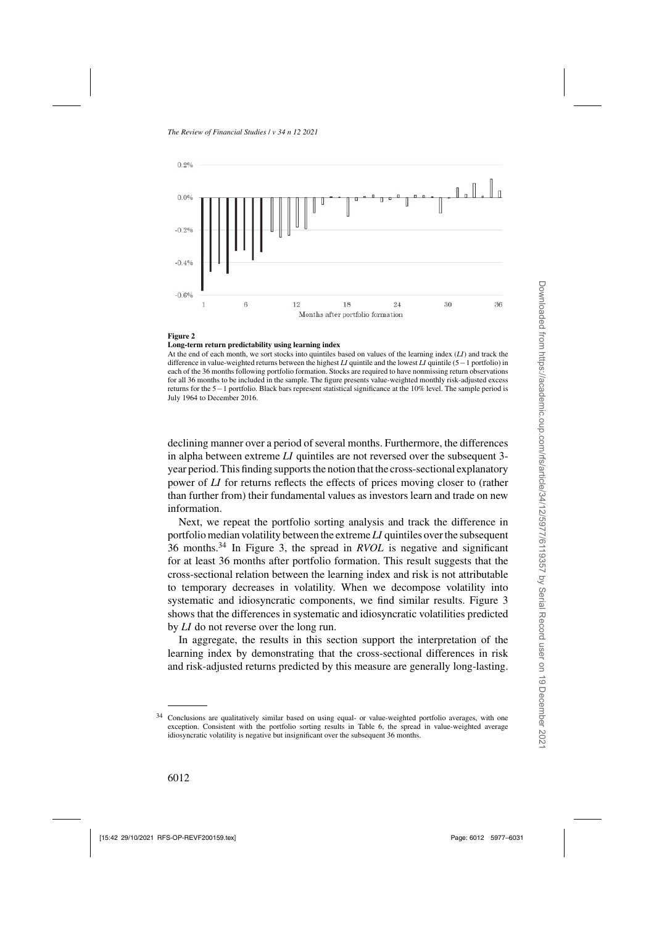<span id="page-35-0"></span>

#### **Figure 2**

#### **Long-term return predictability using learning index**

At the end of each month, we sort stocks into quintiles based on values of the learning index (*LI*) and track the difference in value-weighted returns between the highest *LI* quintile and the lowest *LI* quintile (5−1 portfolio) in each of the 36 months following portfolio formation. Stocks are required to have nonmissing return observations for all 36 months to be included in the sample. The figure presents value-weighted monthly risk-adjusted excess returns for the 5−1 portfolio. Black bars represent statistical significance at the 10% level. The sample period is July 1964 to December 2016.

declining manner over a period of several months. Furthermore, the differences in alpha between extreme *LI* quintiles are not reversed over the subsequent 3 year period. This finding supports the notion that the cross-sectional explanatory power of *LI* for returns reflects the effects of prices moving closer to (rather than further from) their fundamental values as investors learn and trade on new information.

Next, we repeat the portfolio sorting analysis and track the difference in portfolio median volatility between the extreme *LI* quintiles over the subsequent 36 months.<sup>34</sup> In Figure [3,](#page-36-0) the spread in *RVOL* is negative and significant for at least 36 months after portfolio formation. This result suggests that the cross-sectional relation between the learning index and risk is not attributable to temporary decreases in volatility. When we decompose volatility into systematic and idiosyncratic components, we find similar results. Figure [3](#page-36-0) shows that the differences in systematic and idiosyncratic volatilities predicted by *LI* do not reverse over the long run.

In aggregate, the results in this section support the interpretation of the learning index by demonstrating that the cross-sectional differences in risk and risk-adjusted returns predicted by this measure are generally long-lasting.

<sup>34</sup> Conclusions are qualitatively similar based on using equal- or value-weighted portfolio averages, with one exception. Consistent with the portfolio sorting results in Table [6,](#page-25-0) the spread in value-weighted average idiosyncratic volatility is negative but insignificant over the subsequent 36 months.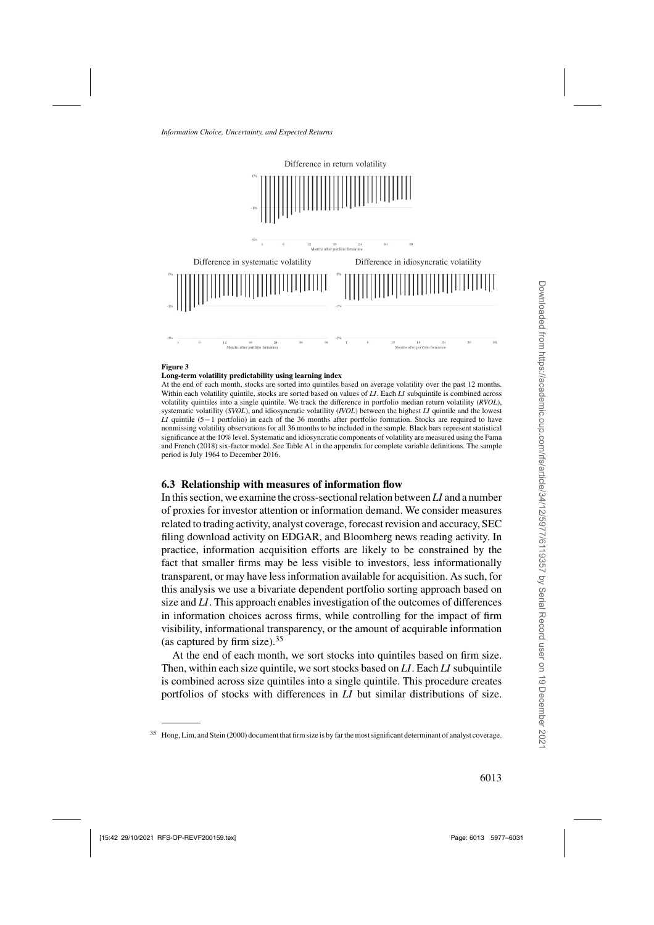<span id="page-36-0"></span>

#### **Figure 3**

#### **Long-term volatility predictability using learning index**

At the end of each month, stocks are sorted into quintiles based on average volatility over the past 12 months. Within each volatility quintile, stocks are sorted based on values of *LI*. Each *LI* subquintile is combined across volatility quintiles into a single quintile. We track the difference in portfolio median return volatility (*RVOL*), systematic volatility (*SVOL*), and idiosyncratic volatility (*IVOL*) between the highest *LI* quintile and the lowest *LI* quintile (5−1 portfolio) in each of the 36 months after portfolio formation. Stocks are required to have nonmissing volatility observations for all 36 months to be included in the sample. Black bars represent statistical significanc[e at the 10% level. Systematic and idiosyncratic components of volatility are measured using the](#page-53-0) Fama and French [\(2018](#page-53-0)) six-factor model. See Table [A1](#page-17-0) in the appendix for complete variable definitions. The sample period is July 1964 to December 2016.

## **6.3 Relationship with measures of information flow**

In this section, we examine the cross-sectional relation between *LI* and a number of proxies for investor attention or information demand. We consider measures related to trading activity, analyst coverage, forecast revision and accuracy, SEC filing download activity on EDGAR, and Bloomberg news reading activity. In practice, information acquisition efforts are likely to be constrained by the fact that smaller firms may be less visible to investors, less informationally transparent, or may have less information available for acquisition. As such, for this analysis we use a bivariate dependent portfolio sorting approach based on size and *LI*. This approach enables investigation of the outcomes of differences in information choices across firms, while controlling for the impact of firm visibility, informational transparency, or the amount of acquirable information (as captured by firm size).  $35$ 

At the end of each month, we sort stocks into quintiles based on firm size. Then, within each size quintile, we sort stocks based on *LI*. Each *LI* subquintile is combined across size quintiles into a single quintile. This procedure creates portfolios of stocks with differences in *LI* but similar distributions of size.

<sup>35</sup> [Hong, Lim, and Stein \(2000](#page-53-0)) document that firm size is by far the most significant determinant of analyst coverage.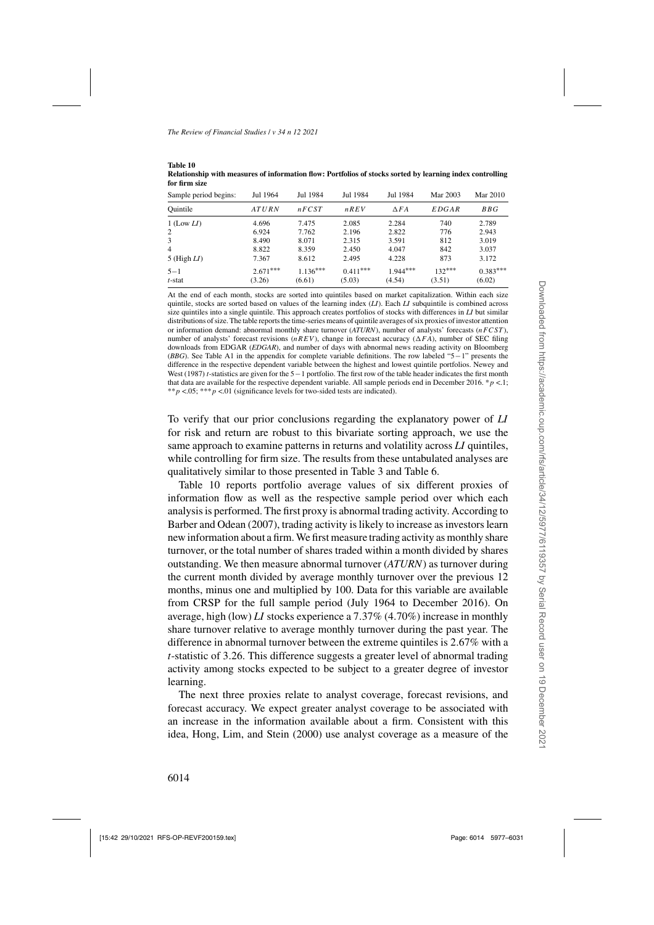| Sample period begins: | Jul 1964   | Jul 1984   | Jul 1984    | Jul 1984       | Mar 2003     | Mar 2010   |
|-----------------------|------------|------------|-------------|----------------|--------------|------------|
| Ouintile              | ATURN      | nFCST      | $n$ R $E$ V | $\triangle FA$ | <i>EDGAR</i> | BBG        |
| $1$ (Low $LI$ )       | 4.696      | 7.475      | 2.085       | 2.284          | 740          | 2.789      |
| $\overline{2}$        | 6.924      | 7.762      | 2.196       | 2.822          | 776          | 2.943      |
| 3                     | 8.490      | 8.071      | 2.315       | 3.591          | 812          | 3.019      |
| $\overline{4}$        | 8.822      | 8.359      | 2.450       | 4.047          | 842          | 3.037      |
| 5 (High $LI$ )        | 7.367      | 8.612      | 2.495       | 4.228          | 873          | 3.172      |
| $5 - 1$               | $2.671***$ | $1.136***$ | $0.411***$  | $1.944***$     | $132***$     | $0.383***$ |
| $t$ -stat             | (3.26)     | (6.61)     | (5.03)      | (4.54)         | (3.51)       | (6.02)     |

<span id="page-37-0"></span>**Table 10 Relationship with measures of information flow: Portfolios of stocks sorted by learning index controlling for firm size**

At the end of each month, stocks are sorted into quintiles based on market capitalization. Within each size quintile, stocks are sorted based on values of the learning index (*LI*). Each *LI* subquintile is combined across size quintiles into a single quintile. This approach creates portfolios of stocks with differences in *LI* but similar distributions of size. The table reports the time-series means of quintile averages of six proxies of investor attention or information demand: abnormal monthly share turnover (*ATURN*), number of analysts' forecasts (nFCST), number of analysts' forecast revisions (nREV), change in forecast accuracy ( $\Delta FA$ ), number of SEC filing downloads from EDGAR (*EDGAR*), and number of days with abnormal news reading activity on Bloomberg (*BBG*). See Table [A1](#page-17-0) in the appendix for complete variable definitions. The row labeled "5−1" presents the diffe[rence in the respective dependent variable between the highest and lowest quintile portfolios.](#page-54-0) Newey and West [\(1987\)](#page-54-0) *t*-statistics are given for the 5−1 portfolio. The first row of the table header indicates the first month that data are available for the respective dependent variable. All sample periods end in December 2016. \*  $p < 1$ ; \*\*p <.05; \*\*\*p <.01 (significance levels for two-sided tests are indicated).

To verify that our prior conclusions regarding the explanatory power of *LI* for risk and return are robust to this bivariate sorting approach, we use the same approach to examine patterns in returns and volatility across *LI* quintiles, while controlling for firm size. The results from these untabulated analyses are qualitatively similar to those presented in Table [3](#page-19-0) and Table [6.](#page-25-0)

Table 10 reports portfolio average values of six different proxies of information flow as well as the respective sample period over which each analysis is performed. The first proxy is abnormal trading activity. According to [Barber and Odean](#page-52-0) [\(2007\)](#page-52-0), trading activity is likely to increase as investors learn new information about a firm.We first measure trading activity as monthly share turnover, or the total number of shares traded within a month divided by shares outstanding. We then measure abnormal turnover (*ATURN*) as turnover during the current month divided by average monthly turnover over the previous 12 months, minus one and multiplied by 100. Data for this variable are available from CRSP for the full sample period (July 1964 to December 2016). On average, high (low) *LI* stocks experience a 7.37% (4.70%) increase in monthly share turnover relative to average monthly turnover during the past year. The difference in abnormal turnover between the extreme quintiles is 2.67% with a *t*-statistic of 3.26. This difference suggests a greater level of abnormal trading activity among stocks expected to be subject to a greater degree of investor learning.

The next three proxies relate to analyst coverage, forecast revisions, and forecast accuracy. We expect greater analyst coverage to be associated with an increase in the information available about a firm. Consistent with this idea, [Hong, Lim, and Stein](#page-53-0) [\(2000](#page-53-0)) use analyst coverage as a measure of the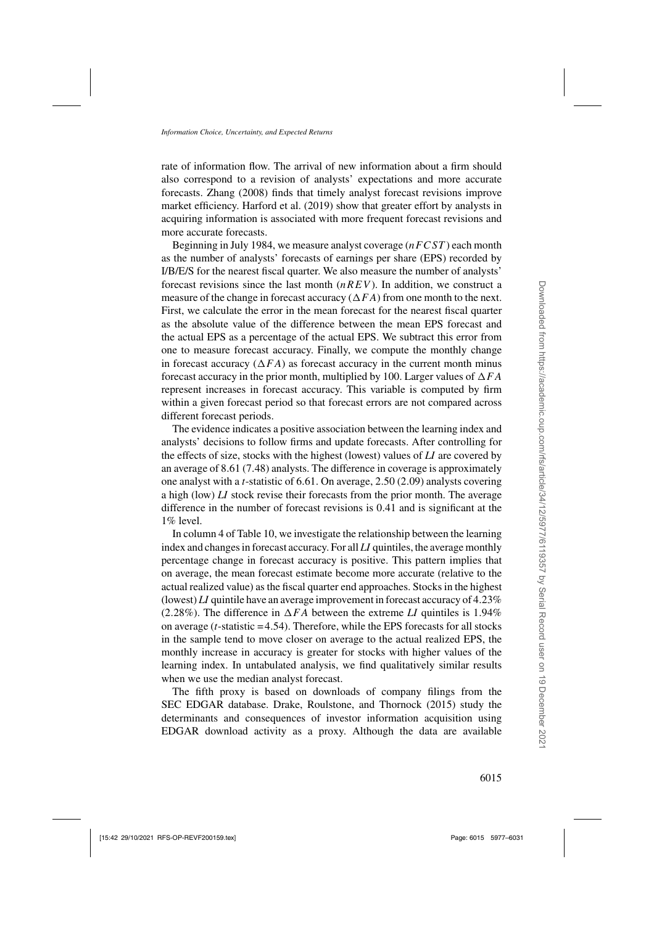rate of information flow. The arrival of new information about a firm should also correspond to a revision of analysts' expectations and more accurate forecasts. [Zhang](#page-54-0) [\(2008](#page-54-0)) finds that timely analyst forecast revisions improve market efficiency. [Harford et al.](#page-53-0) [\(2019\)](#page-53-0) show that greater effort by analysts in acquiring information is associated with more frequent forecast revisions and more accurate forecasts.

Beginning in July 1984, we measure analyst coverage  $(nF CST)$  each month as the number of analysts' forecasts of earnings per share (EPS) recorded by I/B/E/S for the nearest fiscal quarter. We also measure the number of analysts' forecast revisions since the last month  $(nREV)$ . In addition, we construct a measure of the change in forecast accuracy  $(\Delta FA)$  from one month to the next. First, we calculate the error in the mean forecast for the nearest fiscal quarter as the absolute value of the difference between the mean EPS forecast and the actual EPS as a percentage of the actual EPS. We subtract this error from one to measure forecast accuracy. Finally, we compute the monthly change in forecast accuracy ( $\Delta FA$ ) as forecast accuracy in the current month minus forecast accuracy in the prior month, multiplied by 100. Larger values of  $\Delta FA$ represent increases in forecast accuracy. This variable is computed by firm within a given forecast period so that forecast errors are not compared across different forecast periods.

The evidence indicates a positive association between the learning index and analysts' decisions to follow firms and update forecasts. After controlling for the effects of size, stocks with the highest (lowest) values of *LI* are covered by an average of 8.61 (7.48) analysts. The difference in coverage is approximately one analyst with a *t*-statistic of 6.61. On average, 2.50 (2.09) analysts covering a high (low) *LI* stock revise their forecasts from the prior month. The average difference in the number of forecast revisions is 0.41 and is significant at the 1% level.

In column 4 of Table [10,](#page-37-0) we investigate the relationship between the learning index and changes in forecast accuracy. For all *LI* quintiles, the average monthly percentage change in forecast accuracy is positive. This pattern implies that on average, the mean forecast estimate become more accurate (relative to the actual realized value) as the fiscal quarter end approaches. Stocks in the highest (lowest) *LI* quintile have an average improvement in forecast accuracy of 4.23% (2.28%). The difference in  $\Delta FA$  between the extreme *LI* quintiles is 1.94% on average (*t*-statistic = 4.54). Therefore, while the EPS forecasts for all stocks in the sample tend to move closer on average to the actual realized EPS, the monthly increase in accuracy is greater for stocks with higher values of the learning index. In untabulated analysis, we find qualitatively similar results when we use the median analyst forecast.

The fifth proxy is based on downloads of company filings from the SEC EDGAR database. [Drake, Roulstone, and Thornock](#page-53-0) [\(2015](#page-53-0)) study the determinants and consequences of investor information acquisition using EDGAR download activity as a proxy. Although the data are available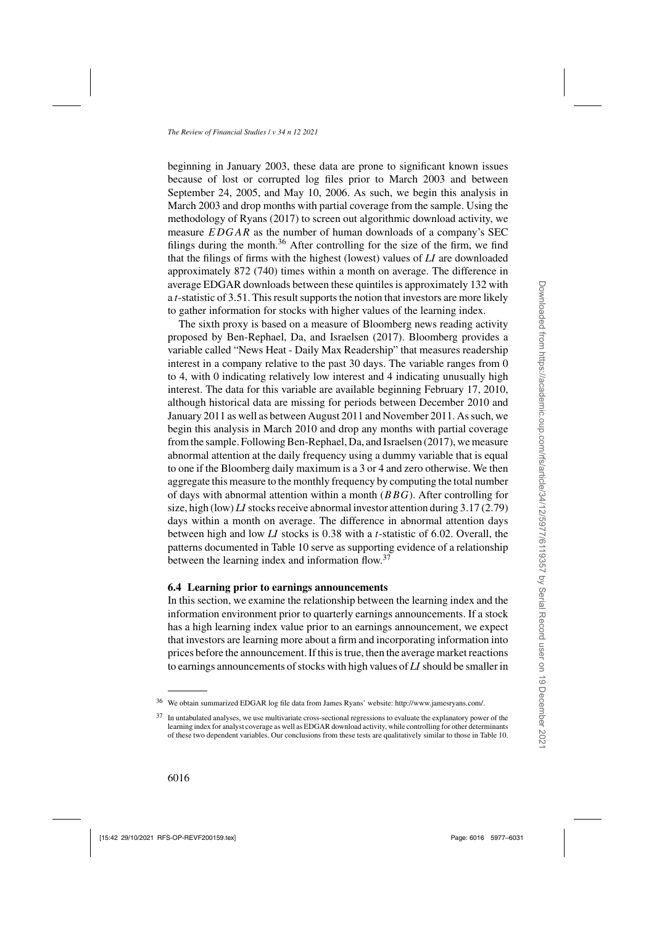beginning in January 2003, these data are prone to significant known issues because of lost or corrupted log files prior to March 2003 and between September 24, 2005, and May 10, 2006. As such, we begin this analysis in March 2003 and drop months with partial coverage from the sample. Using the methodology of [Ryans](#page-54-0) [\(2017](#page-54-0)) to screen out algorithmic download activity, we measure EDGAR as the number of human downloads of a company's SEC filings during the month.<sup>36</sup> After controlling for the size of the firm, we find that the filings of firms with the highest (lowest) values of *LI* are downloaded approximately 872 (740) times within a month on average. The difference in average EDGAR downloads between these quintiles is approximately 132 with a *t*-statistic of 3.51. This result supports the notion that investors are more likely to gather information for stocks with higher values of the learning index.

The sixth proxy is based on a measure of Bloomberg news reading activity proposed by [Ben-Rephael, Da, and Israelsen](#page-52-0) [\(2017](#page-52-0)). Bloomberg provides a variable called "News Heat - Daily Max Readership" that measures readership interest in a company relative to the past 30 days. The variable ranges from 0 to 4, with 0 indicating relatively low interest and 4 indicating unusually high interest. The data for this variable are available beginning February 17, 2010, although historical data are missing for periods between December 2010 and January 2011 as well as between August 2011 and November 2011. As such, we begin this analysis in March 2010 and drop any months with partial coverage from the sample. Following [Ben-Rephael, Da, and Israelsen](#page-52-0) [\(2017\)](#page-52-0), we measure abnormal attention at the daily frequency using a dummy variable that is equal to one if the Bloomberg daily maximum is a 3 or 4 and zero otherwise. We then aggregate this measure to the monthly frequency by computing the total number of days with abnormal attention within a month  $(BBG)$ . After controlling for size, high (low) *LI* stocks receive abnormal investor attention during 3.17 (2.79) days within a month on average. The difference in abnormal attention days between high and low *LI* stocks is 0.38 with a *t*-statistic of 6.02. Overall, the patterns documented in Table [10](#page-37-0) serve as supporting evidence of a relationship between the learning index and information flow.<sup>37</sup>

## **6.4 Learning prior to earnings announcements**

In this section, we examine the relationship between the learning index and the information environment prior to quarterly earnings announcements. If a stock has a high learning index value prior to an earnings announcement, we expect that investors are learning more about a firm and incorporating information into prices before the announcement. If this is true, then the average market reactions to earnings announcements of stocks with high values of *LI* should be smaller in

<sup>36</sup> We obtain summarized EDGAR log file data from James Ryans' website: [http://www.jamesryans.com/.](http://www.jamesryans.com/)

<sup>&</sup>lt;sup>37</sup> In untabulated analyses, we use multivariate cross-sectional regressions to evaluate the explanatory power of the learning index for analyst coverage as well as EDGAR download activity, while controlling for other determinants of these two dependent variables. Our conclusions from these tests are qualitatively similar to those in Table [10.](#page-37-0)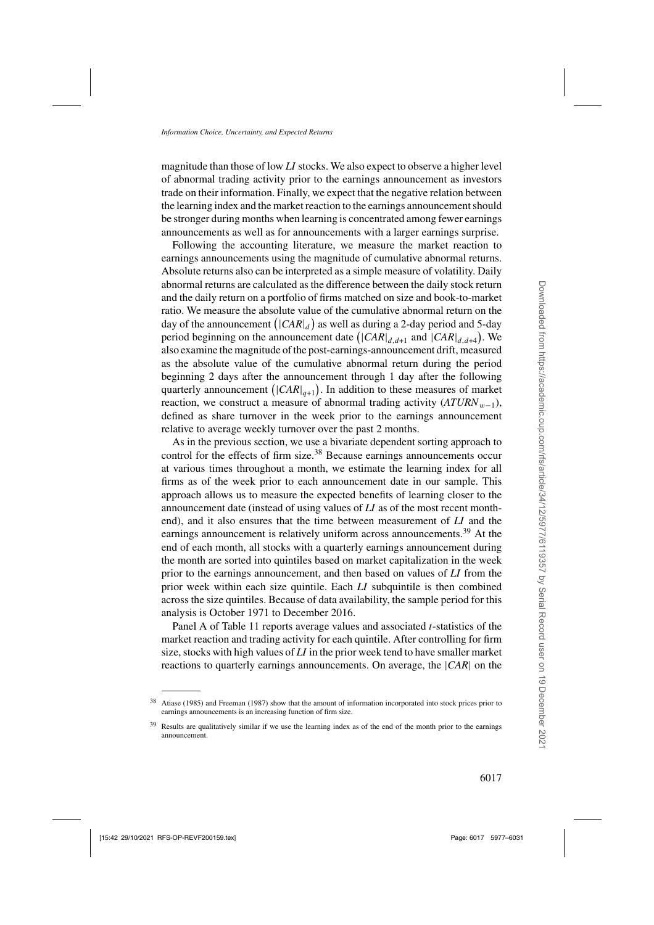magnitude than those of low *LI* stocks. We also expect to observe a higher level of abnormal trading activity prior to the earnings announcement as investors trade on their information. Finally, we expect that the negative relation between the learning index and the market reaction to the earnings announcement should be stronger during months when learning is concentrated among fewer earnings announcements as well as for announcements with a larger earnings surprise.

Following the accounting literature, we measure the market reaction to earnings announcements using the magnitude of cumulative abnormal returns. Absolute returns also can be interpreted as a simple measure of volatility. Daily abnormal returns are calculated as the difference between the daily stock return and the daily return on a portfolio of firms matched on size and book-to-market ratio. We measure the absolute value of the cumulative abnormal return on the day of the announcement  $(|CAR|_d)$  as well as during a 2-day period and 5-day period beginning on the announcement date  $(|CAR|_{d,d+1}$  and  $|CAR|_{d,d+4})$ . We also examine the magnitude of the post-earnings-announcement drift, measured as the absolute value of the cumulative abnormal return during the period beginning 2 days after the announcement through 1 day after the following quarterly announcement ( $|CAR|_{q+1}$ ). In addition to these measures of market reaction, we construct a measure of abnormal trading activity  $(ATURN_{w-1}),$ defined as share turnover in the week prior to the earnings announcement relative to average weekly turnover over the past 2 months.

As in the previous section, we use a bivariate dependent sorting approach to control for the effects of firm size.<sup>38</sup> Because earnings announcements occur at various times throughout a month, we estimate the learning index for all firms as of the week prior to each announcement date in our sample. This approach allows us to measure the expected benefits of learning closer to the announcement date (instead of using values of *LI* as of the most recent monthend), and it also ensures that the time between measurement of *LI* and the earnings announcement is relatively uniform across announcements.<sup>39</sup> At the end of each month, all stocks with a quarterly earnings announcement during the month are sorted into quintiles based on market capitalization in the week prior to the earnings announcement, and then based on values of *LI* from the prior week within each size quintile. Each *LI* subquintile is then combined across the size quintiles. Because of data availability, the sample period for this analysis is October 1971 to December 2016.

Panel A of Table [11](#page-41-0) reports average values and associated *t*-statistics of the market reaction and trading activity for each quintile. After controlling for firm size, stocks with high values of *LI* in the prior week tend to have smaller market reactions to quarterly earnings announcements. On average, the |*CAR*| on the

<sup>38</sup> [Atiase](#page-52-0) [\(1985\)](#page-52-0) and [Freeman](#page-53-0) [\(1987](#page-53-0)) show that the amount of information incorporated into stock prices prior to earnings announcements is an increasing function of firm size.

<sup>&</sup>lt;sup>39</sup> Results are qualitatively similar if we use the learning index as of the end of the month prior to the earnings announcement.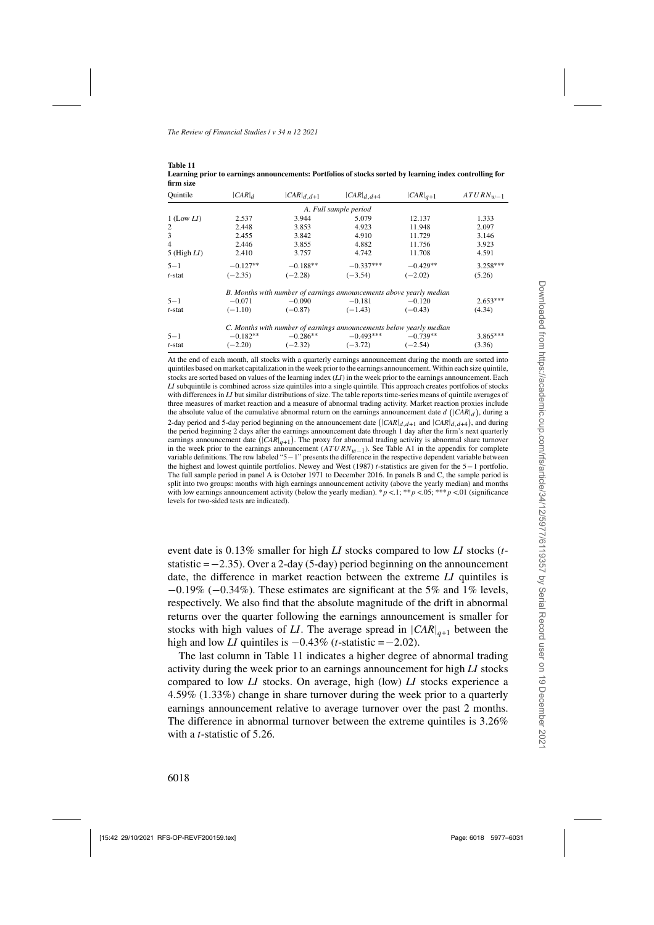<span id="page-41-0"></span>**Table 11**

| Ouintile        | $ CAR _d$                                                           | $ CAR _{d, d+1}$ | $ CAR _{d, d+4}$                                                    | $ CAR _{q+1}$ | $ATURN_{w-1}$ |  |  |  |
|-----------------|---------------------------------------------------------------------|------------------|---------------------------------------------------------------------|---------------|---------------|--|--|--|
|                 |                                                                     |                  | A. Full sample period                                               |               |               |  |  |  |
| $1$ (Low $LI$ ) | 2.537                                                               | 3.944            | 5.079                                                               | 12.137        | 1.333         |  |  |  |
| $\overline{2}$  | 2.448                                                               | 3.853            | 4.923                                                               | 11.948        | 2.097         |  |  |  |
| 3               | 2.455                                                               | 3.842            | 4.910                                                               | 11.729        | 3.146         |  |  |  |
| $\overline{4}$  | 2.446                                                               | 3.855            | 4.882                                                               | 11.756        | 3.923         |  |  |  |
| 5 (High $LI$ )  | 2.410                                                               | 3.757            | 4.742                                                               | 11.708        | 4.591         |  |  |  |
| $5 - 1$         | $-0.127**$                                                          | $-0.188**$       | $-0.337***$                                                         | $-0.429**$    | $3.258***$    |  |  |  |
| $t$ -stat       | $(-2.35)$                                                           | $(-2.28)$        | $(-3.54)$                                                           | $(-2.02)$     | (5.26)        |  |  |  |
|                 | B. Months with number of earnings announcements above yearly median |                  |                                                                     |               |               |  |  |  |
| $5 - 1$         | $-0.071$                                                            | $-0.090$         | $-0.181$                                                            | $-0.120$      | $2.653***$    |  |  |  |
| $t$ -stat       | $(-1.10)$                                                           | $(-0.87)$        | $(-1.43)$                                                           | $(-0.43)$     | (4.34)        |  |  |  |
|                 |                                                                     |                  | C. Months with number of earnings announcements below yearly median |               |               |  |  |  |
| $5 - 1$         | $-0.182**$                                                          | $-0.286**$       | $-0.493***$                                                         | $-0.739**$    | $3.865***$    |  |  |  |
| $t$ -stat       | $(-2.20)$                                                           | $(-2.32)$        | $(-3.72)$                                                           | $(-2.54)$     | (3.36)        |  |  |  |

| ---------                                                                                               |
|---------------------------------------------------------------------------------------------------------|
| Learning prior to earnings announcements: Portfolios of stocks sorted by learning index controlling for |
| firm size                                                                                               |

At the end of each month, all stocks with a quarterly earnings announcement during the month are sorted into quintiles based on market capitalization in the week prior to the earnings announcement. Within each size quintile, stocks are sorted based on values of the learning index (*LI*) in the week prior to the earnings announcement. Each *LI* subquintile is combined across size quintiles into a single quintile. This approach creates portfolios of stocks with differences in *LI* but similar distributions of size. The table reports time-series means of quintile averages of three measures of market reaction and a measure of abnormal trading activity. Market reaction proxies include the absolute value of the cumulative abnormal return on the earnings announcement date  $d$  ( $|CAR|_d$ ), during a 2-day period and 5-day period beginning on the announcement date  $(|CAR|_{d,d+1}$  and  $|CAR|_{d,d+4}$ ), and during the period beginning 2 days after the earnings announcement date through 1 day after the firm's next quarterly earnings announcement date  $(|CAR|_{q+1})$ . The proxy for abnormal trading activity is abnormal share turnover in the week prior to the earnings announcement  $(ATURN_{w-1})$ . See Table [A1](#page-17-0) in the appendix for complete variable definitions. The row labeled "5−1" presents the difference in the respective dependent variable between the highest and lowest quintile portfolios. [Newey and West](#page-54-0) [\(1987](#page-54-0)) *t*-statistics are given for the 5−1 portfolio. The full sample period in panel A is October 1971 to December 2016. In panels B and C, the sample period is split into two groups: months with high earnings announcement activity (above the yearly median) and months with low earnings announcement activity (below the yearly median). \*  $p < 0.1$ ; \*\*p <.05; \*\*\*p <.01 (significance levels for two-sided tests are indicated).

event date is 0.13% smaller for high *LI* stocks compared to low *LI* stocks (*t*statistic =−2.35). Over a 2-day (5-day) period beginning on the announcement date, the difference in market reaction between the extreme *LI* quintiles is  $-0.19\%$  ( $-0.34\%$ ). These estimates are significant at the 5% and 1% levels, respectively. We also find that the absolute magnitude of the drift in abnormal returns over the quarter following the earnings announcement is smaller for stocks with high values of *LI*. The average spread in  $|CAR|_{q+1}$  between the high and low *LI* quintiles is  $-0.43\%$  (*t*-statistic = $-2.02$ ).

The last column in Table 11 indicates a higher degree of abnormal trading activity during the week prior to an earnings announcement for high *LI* stocks compared to low *LI* stocks. On average, high (low) *LI* stocks experience a 4.59% (1.33%) change in share turnover during the week prior to a quarterly earnings announcement relative to average turnover over the past 2 months. The difference in abnormal turnover between the extreme quintiles is 3.26% with a *t*-statistic of 5.26.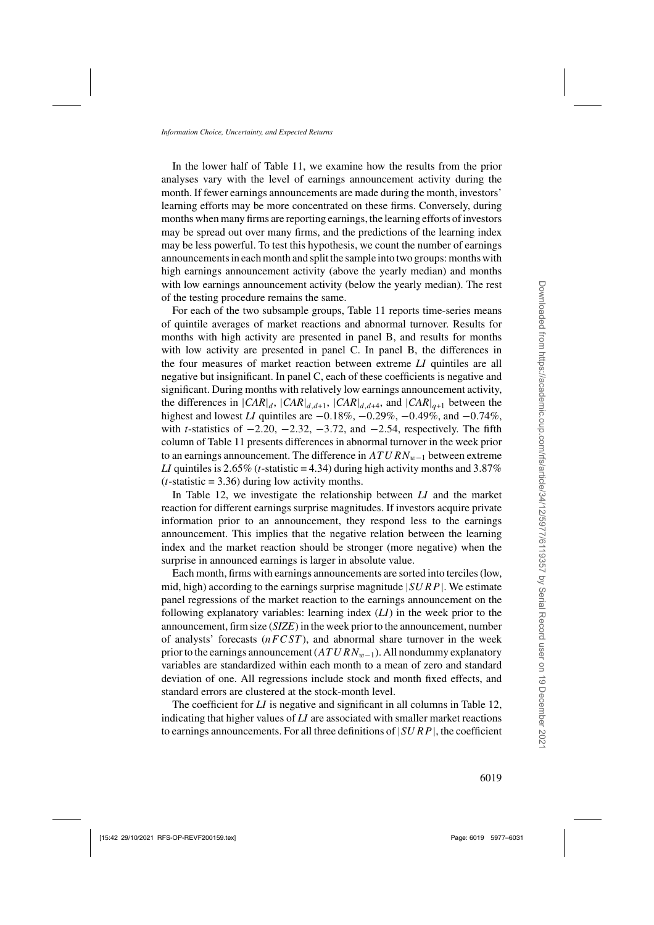In the lower half of Table [11,](#page-41-0) we examine how the results from the prior analyses vary with the level of earnings announcement activity during the month. If fewer earnings announcements are made during the month, investors' learning efforts may be more concentrated on these firms. Conversely, during months when many firms are reporting earnings, the learning efforts of investors may be spread out over many firms, and the predictions of the learning index may be less powerful. To test this hypothesis, we count the number of earnings announcements in each month and split the sample into two groups: months with high earnings announcement activity (above the yearly median) and months with low earnings announcement activity (below the yearly median). The rest of the testing procedure remains the same.

For each of the two subsample groups, Table [11](#page-41-0) reports time-series means of quintile averages of market reactions and abnormal turnover. Results for months with high activity are presented in panel B, and results for months with low activity are presented in panel C. In panel B, the differences in the four measures of market reaction between extreme *LI* quintiles are all negative but insignificant. In panel C, each of these coefficients is negative and significant. During months with relatively low earnings announcement activity, the differences in  $|CAR|_d$ ,  $|CAR|_{d,d+1}$ ,  $|CAR|_{d,d+4}$ , and  $|CAR|_{d+1}$  between the highest and lowest *LI* quintiles are <sup>−</sup>0.18%, <sup>−</sup>0.29%, <sup>−</sup>0.49%, and <sup>−</sup>0.74%, with *<sup>t</sup>*-statistics of <sup>−</sup>2.20, <sup>−</sup>2.32, <sup>−</sup>3.72, and <sup>−</sup>2.54, respectively. The fifth column of Table [11](#page-41-0) presents differences in abnormal turnover in the week prior to an earnings announcement. The difference in  $ATURN_{w-1}$  between extreme *LI* quintiles is 2.65% (*t*-statistic = 4.34) during high activity months and 3.87%  $(t\text{-statistic} = 3.36)$  during low activity months.

In Table [12,](#page-43-0) we investigate the relationship between *LI* and the market reaction for different earnings surprise magnitudes. If investors acquire private information prior to an announcement, they respond less to the earnings announcement. This implies that the negative relation between the learning index and the market reaction should be stronger (more negative) when the surprise in announced earnings is larger in absolute value.

Each month, firms with earnings announcements are sorted into terciles (low, mid, high) according to the earnings surprise magnitude  $|SURP|$ . We estimate panel regressions of the market reaction to the earnings announcement on the following explanatory variables: learning index (*LI*) in the week prior to the announcement, firm size (*SIZE*) in the week prior to the announcement, number of analysts' forecasts  $(nFCST)$ , and abnormal share turnover in the week prior to the earnings announcement  $(ATURN_{w-1})$ . All nondummy explanatory variables are standardized within each month to a mean of zero and standard deviation of one. All regressions include stock and month fixed effects, and standard errors are clustered at the stock-month level.

The coefficient for *LI* is negative and significant in all columns in Table [12,](#page-43-0) indicating that higher values of *LI* are associated with smaller market reactions to earnings announcements. For all three definitions of  $|SURP|$ , the coefficient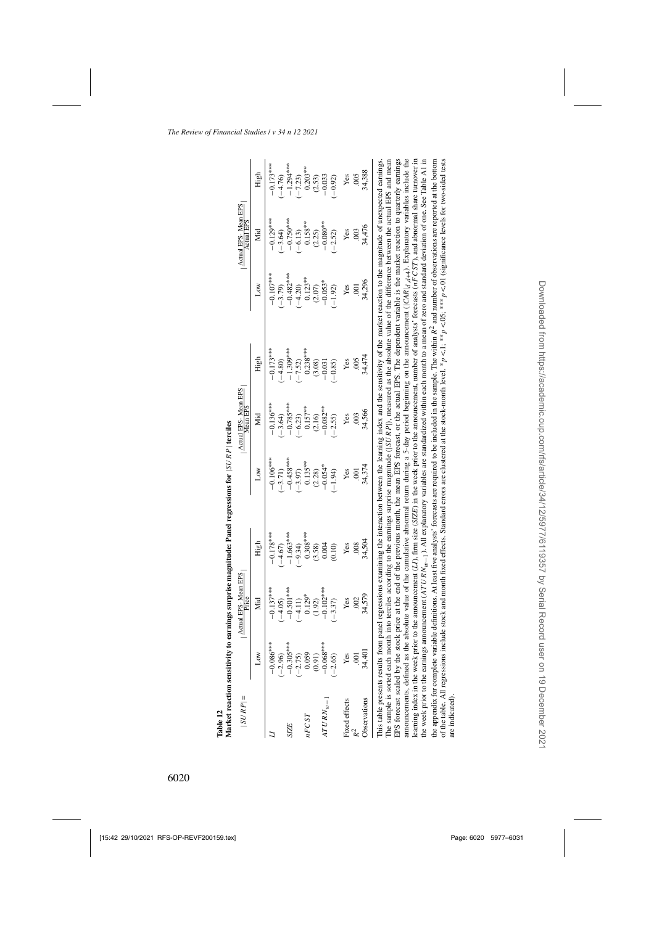<span id="page-43-0"></span>

| Table 12                    |                                   |                              | Market reaction sensitivity to earnings surprise magnitude: Panel regressions for $ SURP $ terciles |                          |                                 |                         |                                                                                                                                                                                                                                                                                                                                                                                                                                                                                                                                                                                                                                                                                                                                                                                                                                                                                                                                                                                                                                                                                                                                                                                                                                                                                                                                                                                                                                                                                                                                                                                        |                                   |                        |
|-----------------------------|-----------------------------------|------------------------------|-----------------------------------------------------------------------------------------------------|--------------------------|---------------------------------|-------------------------|----------------------------------------------------------------------------------------------------------------------------------------------------------------------------------------------------------------------------------------------------------------------------------------------------------------------------------------------------------------------------------------------------------------------------------------------------------------------------------------------------------------------------------------------------------------------------------------------------------------------------------------------------------------------------------------------------------------------------------------------------------------------------------------------------------------------------------------------------------------------------------------------------------------------------------------------------------------------------------------------------------------------------------------------------------------------------------------------------------------------------------------------------------------------------------------------------------------------------------------------------------------------------------------------------------------------------------------------------------------------------------------------------------------------------------------------------------------------------------------------------------------------------------------------------------------------------------------|-----------------------------------|------------------------|
| $ SURP $ =                  |                                   | Actual EPS-Mean EPS<br>Price |                                                                                                     |                          | Actual EPS-Mean EPS<br>Mean EPS |                         |                                                                                                                                                                                                                                                                                                                                                                                                                                                                                                                                                                                                                                                                                                                                                                                                                                                                                                                                                                                                                                                                                                                                                                                                                                                                                                                                                                                                                                                                                                                                                                                        | Actual EPS-Mean EPS<br>Actual EPS |                        |
|                             | Low                               | Йd                           | High                                                                                                | Δow                      | Mid                             | High                    | <b>NOT</b>                                                                                                                                                                                                                                                                                                                                                                                                                                                                                                                                                                                                                                                                                                                                                                                                                                                                                                                                                                                                                                                                                                                                                                                                                                                                                                                                                                                                                                                                                                                                                                             | Мid                               | High                   |
|                             | $-0.086***$                       | $-0.137***$                  | $-0.178***$                                                                                         | $-0.106***$              | $-0.136***$                     | $-0.173***$             | $-0.107***$                                                                                                                                                                                                                                                                                                                                                                                                                                                                                                                                                                                                                                                                                                                                                                                                                                                                                                                                                                                                                                                                                                                                                                                                                                                                                                                                                                                                                                                                                                                                                                            | $-0.129***$                       | $-0.173***$            |
| <b>SIZE</b>                 | $(-2.96)$<br>-0.305***<br>(-2.75) | $-0.501***$<br>$-4.05$       | $-1.663***$<br>$-4.67$                                                                              | $-0.458***$<br>$(-3.71)$ | $-0.785***$<br>$-3.64$          | $-1.309***$<br>$-4.80$  | $-0.482***$<br>$(-3.79)$                                                                                                                                                                                                                                                                                                                                                                                                                                                                                                                                                                                                                                                                                                                                                                                                                                                                                                                                                                                                                                                                                                                                                                                                                                                                                                                                                                                                                                                                                                                                                               | $-0.750***$<br>$-3.64$            | $-1.294***$<br>$-4.76$ |
| nFCST                       | 0.059                             | $0.129*$<br>$(-4.11)$        | $0.308***$<br>$-9.34$                                                                               | $0.135***$<br>$(-3.97)$  | $0.157***$<br>$-6.23$           | $0.238***$<br>$(-7.52)$ | $0.123**$<br>$-4.20$                                                                                                                                                                                                                                                                                                                                                                                                                                                                                                                                                                                                                                                                                                                                                                                                                                                                                                                                                                                                                                                                                                                                                                                                                                                                                                                                                                                                                                                                                                                                                                   | $0.158***$<br>$-6.13$             | $0.203**$<br>$-7.23$   |
|                             | $(0.91)$<br>-0.068***             | (1.92)                       | (3.58)                                                                                              | (2.28)                   | (2.16)                          | (3.08)                  | (2.07)                                                                                                                                                                                                                                                                                                                                                                                                                                                                                                                                                                                                                                                                                                                                                                                                                                                                                                                                                                                                                                                                                                                                                                                                                                                                                                                                                                                                                                                                                                                                                                                 | (2.25)                            | (2.53)                 |
| $ATURN_{w-1}$               |                                   | $-0.102***$                  | 0.004                                                                                               | $-0.054*$                | $-0.082***$                     | $-0.031$                | $-0.053*$                                                                                                                                                                                                                                                                                                                                                                                                                                                                                                                                                                                                                                                                                                                                                                                                                                                                                                                                                                                                                                                                                                                                                                                                                                                                                                                                                                                                                                                                                                                                                                              | $-0.080**$                        | $-0.033$               |
|                             | $(-2.65)$                         | $(-3.37)$                    | (0.10)                                                                                              | $(-1.94)$                | $(-2.55)$                       | $(-0.85)$               | $(-1.92)$                                                                                                                                                                                                                                                                                                                                                                                                                                                                                                                                                                                                                                                                                                                                                                                                                                                                                                                                                                                                                                                                                                                                                                                                                                                                                                                                                                                                                                                                                                                                                                              | $(-2.52)$                         | $(-0.92)$              |
| Fixed effects               | Yes                               | Yes                          | Yes                                                                                                 | Yes                      | Yes                             | Yes                     | Yes                                                                                                                                                                                                                                                                                                                                                                                                                                                                                                                                                                                                                                                                                                                                                                                                                                                                                                                                                                                                                                                                                                                                                                                                                                                                                                                                                                                                                                                                                                                                                                                    | Yes                               | Yes                    |
|                             | $\overline{5}$                    | 002                          | 008                                                                                                 | $\overline{0}$           | $rac{3}{2}$                     | 005                     | $\overline{5}$                                                                                                                                                                                                                                                                                                                                                                                                                                                                                                                                                                                                                                                                                                                                                                                                                                                                                                                                                                                                                                                                                                                                                                                                                                                                                                                                                                                                                                                                                                                                                                         | $rac{1}{2}$                       | 005                    |
| Observations                | 34,401                            | 34,579                       | 34,504                                                                                              | 34,374                   | 34,566                          | 34,474                  | 34,296                                                                                                                                                                                                                                                                                                                                                                                                                                                                                                                                                                                                                                                                                                                                                                                                                                                                                                                                                                                                                                                                                                                                                                                                                                                                                                                                                                                                                                                                                                                                                                                 | 34,476                            | 34,388                 |
| announcements, defined as i |                                   |                              |                                                                                                     |                          |                                 |                         | the absolute value of the cumulative abnormal return during a 5-day period beginning on the announcement ( $ CAR _{d,d+4}$ ). Explanatory variables include the<br>the appendix for complete variable definitions. At least five analysts' forecasts are required to be included in the sample. The within R <sup>2</sup> and number of observations are reported at the bottom<br>of the table. All regressions include stock and month fixed effects. Standard errors are clustered at the stock-month level. * $p < 1$ ; ** $p < 0$ 5; *** $p < 0$ (significance levels for two-sided tests<br>The sample is sorted each month into terciles according to the earnings surprise magnitude $( SURP )$ , measured as the absolute value of the difference between the actual EPS and mean<br>EPS forecast scaled by the stock price at the end of the previous month, the mean EPS forecast, or the actual EPS. The dependent variable is the market reaction to quarterly earnings<br>learning index in the week prior to the announcement $(LI)$ , firm size $(SIZE)$ in the week prior to the announcement, number of analysts' forecasts $(hFCST)$ , and abnormal share turnover in<br>the week prior to the earnings announcement $(ATURN_{w-1})$ . All explanatory variables are standardized within each month to a mean of zero and standard deviation of one. See Table A1 in<br>This table presents results from panel regressions examining the interaction between the learning index and the sensitivity of the market reaction to the magnitude of unexpected earnings. |                                   |                        |
|                             |                                   |                              |                                                                                                     |                          |                                 |                         |                                                                                                                                                                                                                                                                                                                                                                                                                                                                                                                                                                                                                                                                                                                                                                                                                                                                                                                                                                                                                                                                                                                                                                                                                                                                                                                                                                                                                                                                                                                                                                                        |                                   |                        |

are indicated).

are indicated).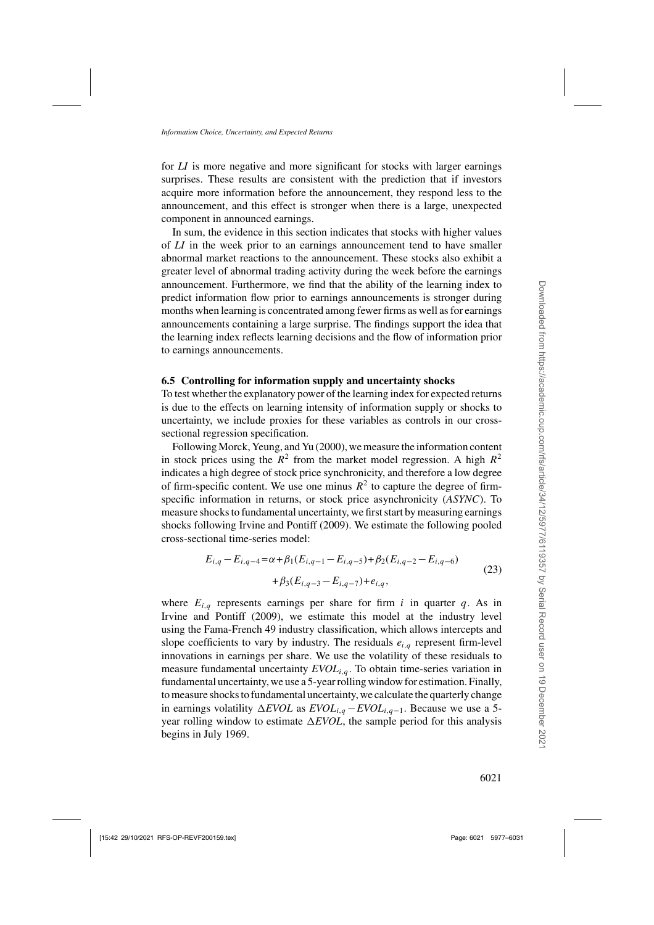<span id="page-44-0"></span>for *LI* is more negative and more significant for stocks with larger earnings surprises. These results are consistent with the prediction that if investors acquire more information before the announcement, they respond less to the announcement, and this effect is stronger when there is a large, unexpected component in announced earnings.

In sum, the evidence in this section indicates that stocks with higher values of *LI* in the week prior to an earnings announcement tend to have smaller abnormal market reactions to the announcement. These stocks also exhibit a greater level of abnormal trading activity during the week before the earnings announcement. Furthermore, we find that the ability of the learning index to predict information flow prior to earnings announcements is stronger during months when learning is concentrated among fewer firms as well as for earnings announcements containing a large surprise. The findings support the idea that the learning index reflects learning decisions and the flow of information prior to earnings announcements.

### **6.5 Controlling for information supply and uncertainty shocks**

To test whether the explanatory power of the learning index for expected returns is due to the effects on learning intensity of information supply or shocks to uncertainty, we include proxies for these variables as controls in our crosssectional regression specification.

Following [Morck, Yeung, and Yu](#page-54-0) [\(2000](#page-54-0)), we measure the information content in stock prices using the  $R^2$  from the market model regression. A high  $R^2$ indicates a high degree of stock price synchronicity, and therefore a low degree of firm-specific content. We use one minus  $R^2$  to capture the degree of firmspecific information in returns, or stock price asynchronicity (*ASYNC*). To measure shocks to fundamental uncertainty, we first start by measuring earnings shocks following [Irvine and Pontiff](#page-53-0) [\(2009\)](#page-53-0). We estimate the following pooled cross-sectional time-series model:

$$
E_{i,q} - E_{i,q-4} = \alpha + \beta_1 (E_{i,q-1} - E_{i,q-5}) + \beta_2 (E_{i,q-2} - E_{i,q-6})
$$
  
+  $\beta_3 (E_{i,q-3} - E_{i,q-7}) + e_{i,q}$ , (23)

where  $E_{i,q}$  represents earnings per share for firm i in quarter q. As in [Irvine and Pontiff](#page-53-0) [\(2009\)](#page-53-0), we estimate this model at the industry level using the Fama-French 49 industry classification, which allows intercepts and slope coefficients to vary by industry. The residuals  $e_{i,q}$  represent firm-level innovations in earnings per share. We use the volatility of these residuals to measure fundamental uncertainty  $EVOL_{i,q}$ . To obtain time-series variation in fundamental uncertainty, we use a 5-year rolling window for estimation. Finally, to measure shocks to fundamental uncertainty, we calculate the quarterly change in earnings volatility  $\triangle$ *EVOL* as *EVOL*<sub>i,q</sub> − *EVOL*<sub>i,q−1</sub>. Because we use a 5year rolling window to estimate  $\Delta EVOL$ , the sample period for this analysis begins in July 1969.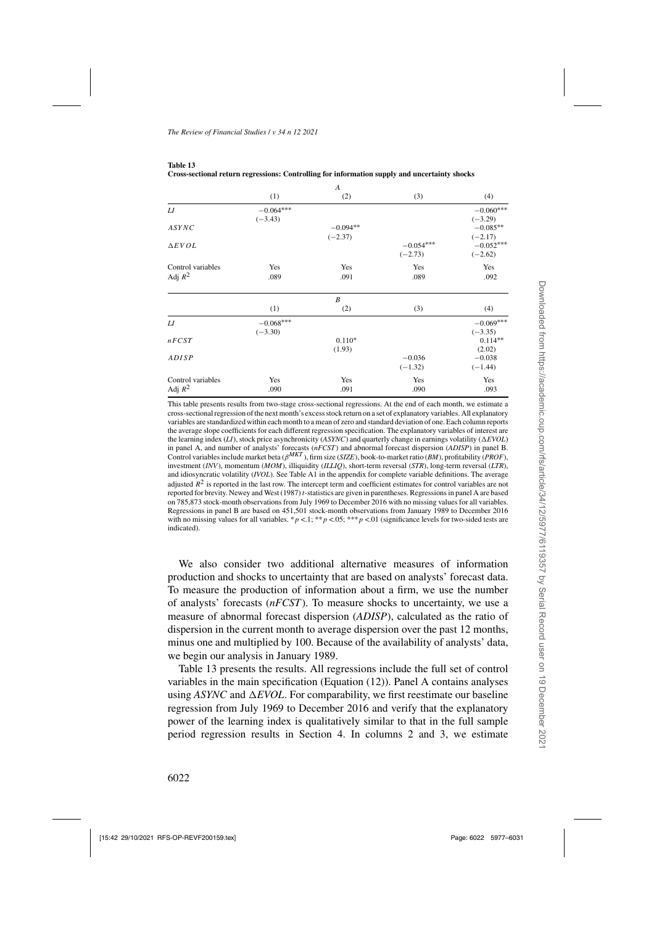<span id="page-45-0"></span>**Table 13**

|                   |             | A                |             |             |
|-------------------|-------------|------------------|-------------|-------------|
|                   | (1)         | (2)              | (3)         | (4)         |
| L I               | $-0.064***$ |                  |             | $-0.060***$ |
|                   | $(-3.43)$   |                  |             | $(-3.29)$   |
| ASYNC             |             | $-0.094**$       |             | $-0.085**$  |
|                   |             | $(-2.37)$        |             | $(-2.17)$   |
| $\Delta$ EVOL     |             |                  | $-0.054***$ | $-0.052***$ |
|                   |             |                  | $(-2.73)$   | $(-2.62)$   |
| Control variables | Yes         | Yes              | Yes         | Yes         |
| Adj $R^2$         | .089        | .091             | .089        | .092        |
|                   |             | $\boldsymbol{B}$ |             |             |
|                   | (1)         | (2)              | (3)         | (4)         |
| L I               | $-0.068***$ |                  |             | $-0.069***$ |
|                   | $(-3.30)$   |                  |             | $(-3.35)$   |
| nFCST             |             | $0.110*$         |             | $0.114**$   |
|                   |             | (1.93)           |             | (2.02)      |
| ADISP             |             |                  | $-0.036$    | $-0.038$    |
|                   |             |                  | $(-1.32)$   | $(-1.44)$   |
| Control variables | Yes         | Yes              | Yes         | Yes         |
| Adj $R^2$         | .090        | .091             | .090        | .093        |

| таніс тэ                                                                                      |  |
|-----------------------------------------------------------------------------------------------|--|
| Cross-sectional return regressions: Controlling for information supply and uncertainty shocks |  |

This table presents results from two-stage cross-sectional regressions. At the end of each month, we estimate a cross-sectional regression of the next month's excess stock return on a set of explanatory variables. All explanatory variables are standardized within each month to a mean of zero and standard deviation of one. Each column reports the average slope coefficients for each different regression specification. The explanatory variables of interest are the learning index (*LI*), stock price asynchronicity (*ASYNC*) and quarterly change in earnings volatility (*EVOL*) in panel A, and number of analysts' forecasts (*nFCST*) and abnormal forecast dispersion (*ADISP*) in panel B. Control variables include market beta (β*MKT* ), firm size (*SIZE*), book-to-market ratio (*BM*), profitability (*PROF*), investment (*INV*), momentum (*MOM*), illiquidity (*ILLIQ*), short-term reversal (*STR*), long-term reversal (*LTR*), and idiosyncratic volatility (*IVOL*). See Table [A1](#page-17-0) in the appendix for complete variable definitions. The average adjusted  $R^2$  is reported in the last row. The intercept term and coefficient estimates for control variables are not reported for brevity. [Newey and West \(1987](#page-54-0)) *t*-statistics are given in parentheses. Regressions in panel A are based on 785,873 stock-month observations from July 1969 to December 2016 with no missing values for all variables. Regressions in panel B are based on 451,501 stock-month observations from January 1989 to December 2016 with no missing values for all variables. \*  $p < 1$ ; \*\*  $p < 0.05$ ; \*\*\*  $p < 0.01$  (significance levels for two-sided tests are indicated).

We also consider two additional alternative measures of information production and shocks to uncertainty that are based on analysts' forecast data. To measure the production of information about a firm, we use the number of analysts' forecasts (*nFCST*). To measure shocks to uncertainty, we use a measure of abnormal forecast dispersion (*ADISP*), calculated as the ratio of dispersion in the current month to average dispersion over the past 12 months, minus one and multiplied by 100. Because of the availability of analysts' data, we begin our analysis in January 1989.

Table 13 presents the results. All regressions include the full set of control variables in the main specification (Equation [\(12\)](#page-20-0)). Panel A contains analyses using  $ASYNC$  and  $\Delta EVOL$ . For comparability, we first reestimate our baseline regression from July 1969 to December 2016 and verify that the explanatory power of the learning index is qualitatively similar to that in the full sample period regression results in Section [4.](#page-18-0) In columns 2 and 3, we estimate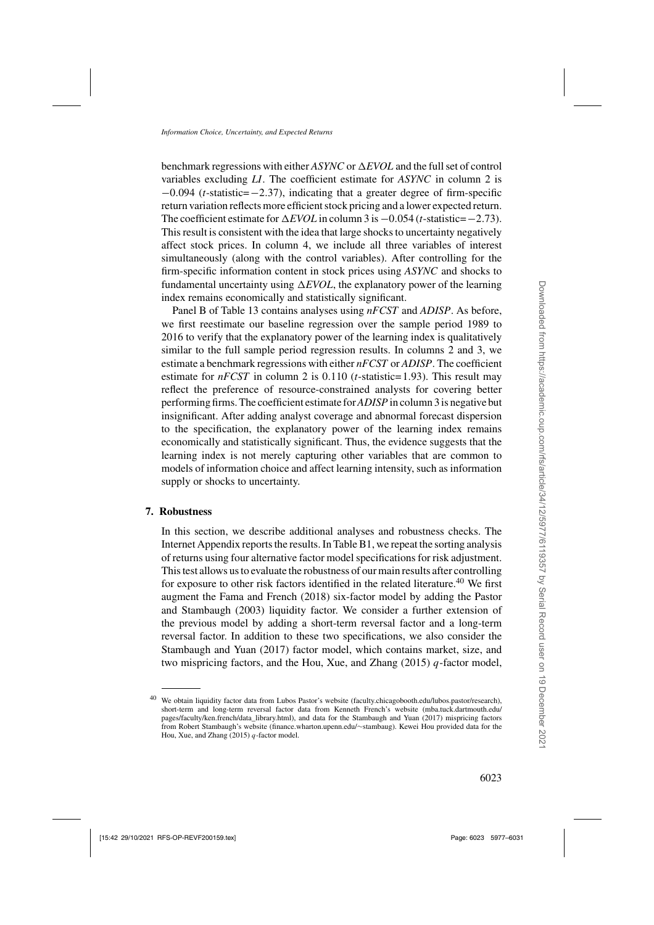benchmark regressions with either *ASYNC* or  $\Delta EVOL$  and the full set of control variables excluding *LI*. The coefficient estimate for *ASYNC* in column 2 is <sup>−</sup>0.094 (*t*-statistic=−2.37), indicating that a greater degree of firm-specific return variation reflects more efficient stock pricing and a lower expected return. The coefficient estimate for  $\triangle$ *EVOL* in column 3 is −0.054 (*t*-statistic=−2.73). This result is consistent with the idea that large shocks to uncertainty negatively affect stock prices. In column 4, we include all three variables of interest simultaneously (along with the control variables). After controlling for the firm-specific information content in stock prices using *ASYNC* and shocks to fundamental uncertainty using  $\Delta EVOL$ , the explanatory power of the learning index remains economically and statistically significant.

Panel B of Table [13](#page-45-0) contains analyses using *nFCST* and *ADISP*. As before, we first reestimate our baseline regression over the sample period 1989 to 2016 to verify that the explanatory power of the learning index is qualitatively similar to the full sample period regression results. In columns 2 and 3, we estimate a benchmark regressions with either *nFCST* or *ADISP*. The coefficient estimate for *nFCST* in column 2 is 0.110 (*t*-statistic= 1.93). This result may reflect the preference of resource-constrained analysts for covering better performing firms. The coefficient estimate for*ADISP* in column 3 is negative but insignificant. After adding analyst coverage and abnormal forecast dispersion to the specification, the explanatory power of the learning index remains economically and statistically significant. Thus, the evidence suggests that the learning index is not merely capturing other variables that are common to models of information choice and affect learning intensity, such as information supply or shocks to uncertainty.

## **7. Robustness**

In this section, we describe additional analyses and robustness checks. The Internet Appendix reports the results. In Table B1, we repeat the sorting analysis of returns using four alternative factor model specifications for risk adjustment. This test allows us to evaluate the robustness of our main results after controlling for exposure to other risk factors identified in the related literature.<sup>40</sup> We first augment the [Fama and French](#page-53-0) [\(2018](#page-53-0)[\)](#page-54-0) [six-factor](#page-54-0) [model](#page-54-0) [by](#page-54-0) [adding](#page-54-0) [the](#page-54-0) Pastor and Stambaugh [\(2003](#page-54-0)) liquidity factor. We consider a further extension of the previous model by adding a short-term reversal factor and a long-term reversal factor. In addition to these two specifications, we also consider the [Stambaugh and Yuan](#page-54-0) [\(2017](#page-54-0)) factor model, which contains market, size, and two mispricing factors, and the [Hou, Xue, and Zhang](#page-53-0)  $(2015)$   $q$ -factor model,

<sup>40</sup> We obtain liquidity factor data from Lubos Pastor's website [\(faculty.chicagobooth.edu/lubos.pastor/research\)](https://faculty.chicagobooth.edu/lubos.pastor/research), short-term and long-term reversal factor data from Kenneth French's website [\(mba.tuck.dartmouth.edu/](mba.tuck.dartmouth.edu/pages/faculty/ken.french/data_library.html) [pages/faculty/ken.french/data\\_library.html\)](mba.tuck.dartmouth.edu/pages/faculty/ken.french/data_library.html), and data for the [Stambaugh and Yuan](#page-54-0) [\(2017](#page-54-0)) mispricing factors from Robert Stambaugh's website [\(finance.wharton.upenn.edu/](https://finance.wharton.upenn.edu/~stambaug)∼stambaug). Kewei Hou provided data for the [Hou, Xue, and Zhang](#page-53-0)  $(2015)$  *q*-factor model.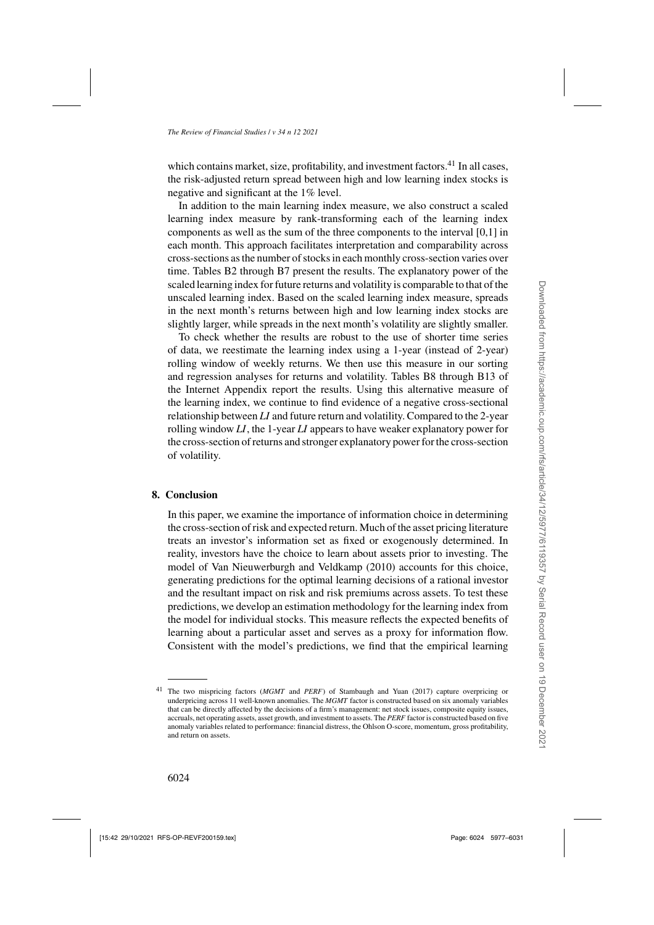which contains market, size, profitability, and investment factors.<sup>41</sup> In all cases, the risk-adjusted return spread between high and low learning index stocks is negative and significant at the 1% level.

In addition to the main learning index measure, we also construct a scaled learning index measure by rank-transforming each of the learning index components as well as the sum of the three components to the interval [0,1] in each month. This approach facilitates interpretation and comparability across cross-sections as the number of stocks in each monthly cross-section varies over time. Tables B2 through B7 present the results. The explanatory power of the scaled learning index for future returns and volatility is comparable to that of the unscaled learning index. Based on the scaled learning index measure, spreads in the next month's returns between high and low learning index stocks are slightly larger, while spreads in the next month's volatility are slightly smaller.

To check whether the results are robust to the use of shorter time series of data, we reestimate the learning index using a 1-year (instead of 2-year) rolling window of weekly returns. We then use this measure in our sorting and regression analyses for returns and volatility. Tables B8 through B13 of the Internet Appendix report the results. Using this alternative measure of the learning index, we continue to find evidence of a negative cross-sectional relationship between *LI* and future return and volatility. Compared to the 2-year rolling window *LI*, the 1-year *LI* appears to have weaker explanatory power for the cross-section of returns and stronger explanatory power for the cross-section of volatility.

## **8. Conclusion**

In this paper, we examine the importance of information choice in determining the cross-section of risk and expected return. Much of the asset pricing literature treats an investor's information set as fixed or exogenously determined. In reality, investors have the choice to learn about assets prior to investing. The model of [Van Nieuwerburgh and Veldkamp](#page-54-0) [\(2010](#page-54-0)) accounts for this choice, generating predictions for the optimal learning decisions of a rational investor and the resultant impact on risk and risk premiums across assets. To test these predictions, we develop an estimation methodology for the learning index from the model for individual stocks. This measure reflects the expected benefits of learning about a particular asset and serves as a proxy for information flow. Consistent with the model's predictions, we find that the empirical learning

<sup>41</sup> The two mispricing factors (*MGMT* and *PERF*) of [Stambaugh and Yuan](#page-54-0) [\(2017](#page-54-0)) capture overpricing or underpricing across 11 well-known anomalies. The *MGMT* factor is constructed based on six anomaly variables that can be directly affected by the decisions of a firm's management: net stock issues, composite equity issues, accruals, net operating assets, asset growth, and investment to assets. The *PERF* factor is constructed based on five anomaly variables related to performance: financial distress, the Ohlson O-score, momentum, gross profitability, and return on assets.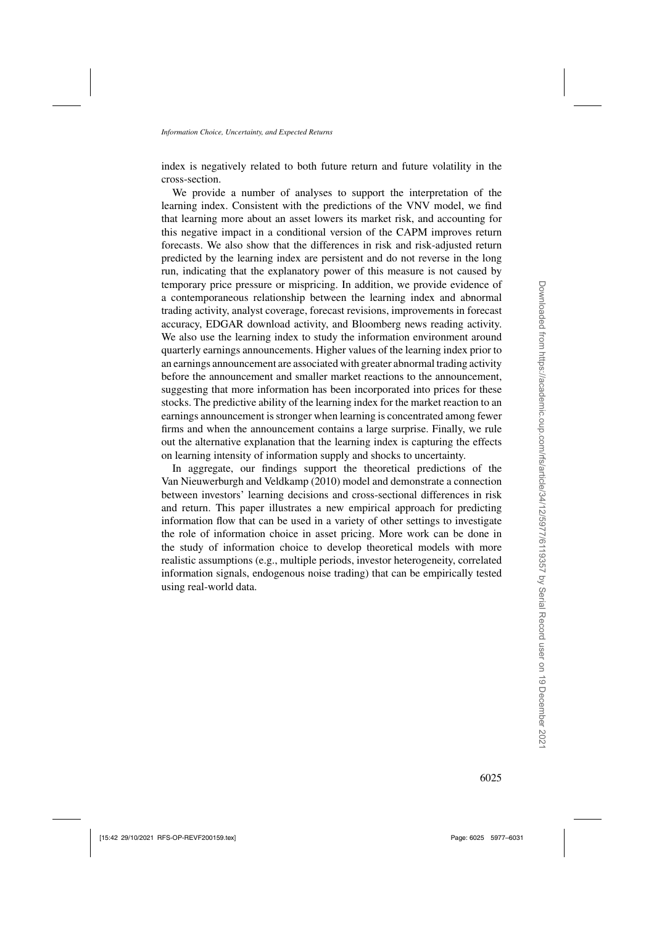index is negatively related to both future return and future volatility in the cross-section.

We provide a number of analyses to support the interpretation of the learning index. Consistent with the predictions of the [VNV](#page-54-0) model, we find that learning more about an asset lowers its market risk, and accounting for this negative impact in a conditional version of the CAPM improves return forecasts. We also show that the differences in risk and risk-adjusted return predicted by the learning index are persistent and do not reverse in the long run, indicating that the explanatory power of this measure is not caused by temporary price pressure or mispricing. In addition, we provide evidence of a contemporaneous relationship between the learning index and abnormal trading activity, analyst coverage, forecast revisions, improvements in forecast accuracy, EDGAR download activity, and Bloomberg news reading activity. We also use the learning index to study the information environment around quarterly earnings announcements. Higher values of the learning index prior to an earnings announcement are associated with greater abnormal trading activity before the announcement and smaller market reactions to the announcement, suggesting that more information has been incorporated into prices for these stocks. The predictive ability of the learning index for the market reaction to an earnings announcement is stronger when learning is concentrated among fewer firms and when the announcement contains a large surprise. Finally, we rule out the alternative explanation that the learning index is capturing the effects on learning intensity of information supply and shocks to uncertainty.

In aggregate, our findings support the theoretical predictions of the [Van Nieuwerburgh and Veldkamp](#page-54-0) [\(2010](#page-54-0)) model and demonstrate a connection between investors' learning decisions and cross-sectional differences in risk and return. This paper illustrates a new empirical approach for predicting information flow that can be used in a variety of other settings to investigate the role of information choice in asset pricing. More work can be done in the study of information choice to develop theoretical models with more realistic assumptions (e.g., multiple periods, investor heterogeneity, correlated information signals, endogenous noise trading) that can be empirically tested using real-world data.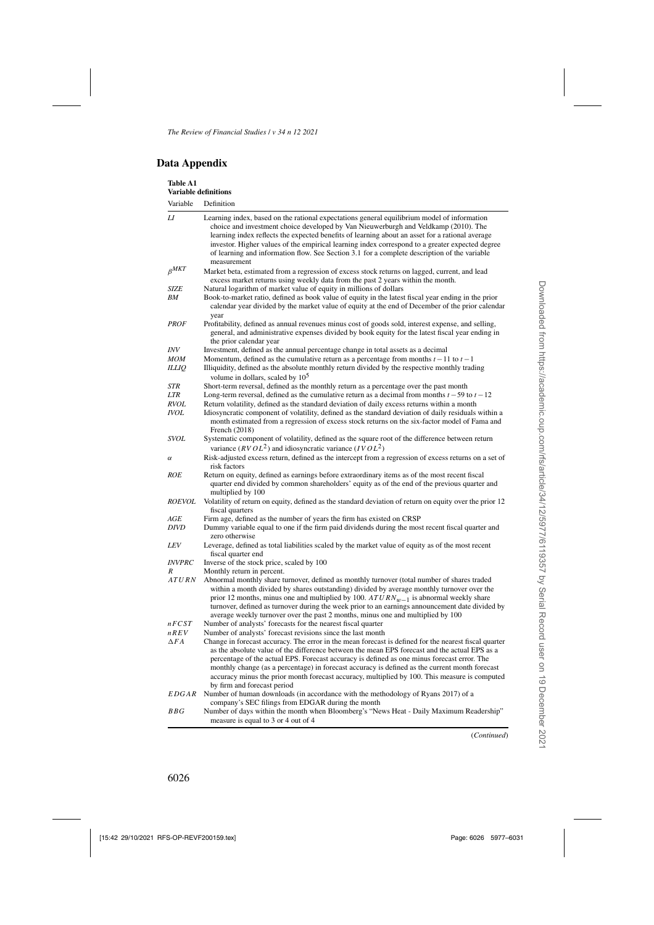# **Data Appendix**

| <b>Table A1</b><br><b>Variable definitions</b> |                                                                                                                                                                                                                                                                                                                                                                                                                                                                                                                                         |
|------------------------------------------------|-----------------------------------------------------------------------------------------------------------------------------------------------------------------------------------------------------------------------------------------------------------------------------------------------------------------------------------------------------------------------------------------------------------------------------------------------------------------------------------------------------------------------------------------|
| Variable                                       | Definition                                                                                                                                                                                                                                                                                                                                                                                                                                                                                                                              |
| LI                                             | Learning index, based on the rational expectations general equilibrium model of information<br>choice and investment choice developed by Van Nieuwerburgh and Veldkamp (2010). The<br>learning index reflects the expected benefits of learning about an asset for a rational average<br>investor. Higher values of the empirical learning index correspond to a greater expected degree<br>of learning and information flow. See Section 3.1 for a complete description of the variable<br>measurement                                 |
| $\beta^{MKT}$                                  | Market beta, estimated from a regression of excess stock returns on lagged, current, and lead<br>excess market returns using weekly data from the past 2 years within the month.                                                                                                                                                                                                                                                                                                                                                        |
| SIZE<br>ΒM                                     | Natural logarithm of market value of equity in millions of dollars<br>Book-to-market ratio, defined as book value of equity in the latest fiscal year ending in the prior<br>calendar year divided by the market value of equity at the end of December of the prior calendar<br>year                                                                                                                                                                                                                                                   |
| <b>PROF</b>                                    | Profitability, defined as annual revenues minus cost of goods sold, interest expense, and selling,<br>general, and administrative expenses divided by book equity for the latest fiscal year ending in<br>the prior calendar year                                                                                                                                                                                                                                                                                                       |
| <i>INV</i>                                     | Investment, defined as the annual percentage change in total assets as a decimal                                                                                                                                                                                                                                                                                                                                                                                                                                                        |
| MOM                                            | Momentum, defined as the cumulative return as a percentage from months $t-11$ to $t-1$                                                                                                                                                                                                                                                                                                                                                                                                                                                  |
| <b>ILLIQ</b>                                   | Illiquidity, defined as the absolute monthly return divided by the respective monthly trading<br>volume in dollars, scaled by $105$                                                                                                                                                                                                                                                                                                                                                                                                     |
| <b>STR</b>                                     | Short-term reversal, defined as the monthly return as a percentage over the past month                                                                                                                                                                                                                                                                                                                                                                                                                                                  |
| <b>LTR</b>                                     | Long-term reversal, defined as the cumulative return as a decimal from months $t - 59$ to $t - 12$                                                                                                                                                                                                                                                                                                                                                                                                                                      |
| <b>RVOL</b>                                    | Return volatility, defined as the standard deviation of daily excess returns within a month                                                                                                                                                                                                                                                                                                                                                                                                                                             |
| <i>IVOL</i>                                    | Idiosyncratic component of volatility, defined as the standard deviation of daily residuals within a<br>month estimated from a regression of excess stock returns on the six-factor model of Fama and<br>French (2018)                                                                                                                                                                                                                                                                                                                  |
| <b>SVOL</b>                                    | Systematic component of volatility, defined as the square root of the difference between return                                                                                                                                                                                                                                                                                                                                                                                                                                         |
|                                                | variance ( $RVOL2$ ) and idiosyncratic variance ( $IVOL2$ )                                                                                                                                                                                                                                                                                                                                                                                                                                                                             |
| $\alpha$                                       | Risk-adjusted excess return, defined as the intercept from a regression of excess returns on a set of<br>risk factors                                                                                                                                                                                                                                                                                                                                                                                                                   |
| ROE                                            | Return on equity, defined as earnings before extraordinary items as of the most recent fiscal<br>quarter end divided by common shareholders' equity as of the end of the previous quarter and<br>multiplied by 100                                                                                                                                                                                                                                                                                                                      |
| <b>ROEVOL</b>                                  | Volatility of return on equity, defined as the standard deviation of return on equity over the prior 12<br>fiscal quarters                                                                                                                                                                                                                                                                                                                                                                                                              |
| AGE                                            | Firm age, defined as the number of years the firm has existed on CRSP                                                                                                                                                                                                                                                                                                                                                                                                                                                                   |
| DIVD                                           | Dummy variable equal to one if the firm paid dividends during the most recent fiscal quarter and<br>zero otherwise                                                                                                                                                                                                                                                                                                                                                                                                                      |
| LEV                                            | Leverage, defined as total liabilities scaled by the market value of equity as of the most recent<br>fiscal quarter end                                                                                                                                                                                                                                                                                                                                                                                                                 |
| <i><b>INVPRC</b></i>                           | Inverse of the stock price, scaled by 100                                                                                                                                                                                                                                                                                                                                                                                                                                                                                               |
| R<br>ATURN                                     | Monthly return in percent.<br>Abnormal monthly share turnover, defined as monthly turnover (total number of shares traded<br>within a month divided by shares outstanding) divided by average monthly turnover over the<br>prior 12 months, minus one and multiplied by 100. $ATURN_{w-1}$ is abnormal weekly share<br>turnover, defined as turnover during the week prior to an earnings announcement date divided by<br>average weekly turnover over the past 2 months, minus one and multiplied by 100                               |
| nFCST                                          | Number of analysts' forecasts for the nearest fiscal quarter                                                                                                                                                                                                                                                                                                                                                                                                                                                                            |
| nREV                                           | Number of analysts' forecast revisions since the last month                                                                                                                                                                                                                                                                                                                                                                                                                                                                             |
| $\Delta FA$                                    | Change in forecast accuracy. The error in the mean forecast is defined for the nearest fiscal quarter<br>as the absolute value of the difference between the mean EPS forecast and the actual EPS as a<br>percentage of the actual EPS. Forecast accuracy is defined as one minus forecast error. The<br>monthly change (as a percentage) in forecast accuracy is defined as the current month forecast<br>accuracy minus the prior month forecast accuracy, multiplied by 100. This measure is computed<br>by firm and forecast period |
| EDGAR                                          | Number of human downloads (in accordance with the methodology of Ryans 2017) of a<br>company's SEC filings from EDGAR during the month                                                                                                                                                                                                                                                                                                                                                                                                  |
| BBG                                            | Number of days within the month when Bloomberg's "News Heat - Daily Maximum Readership"<br>measure is equal to 3 or 4 out of 4                                                                                                                                                                                                                                                                                                                                                                                                          |

(*Continued*)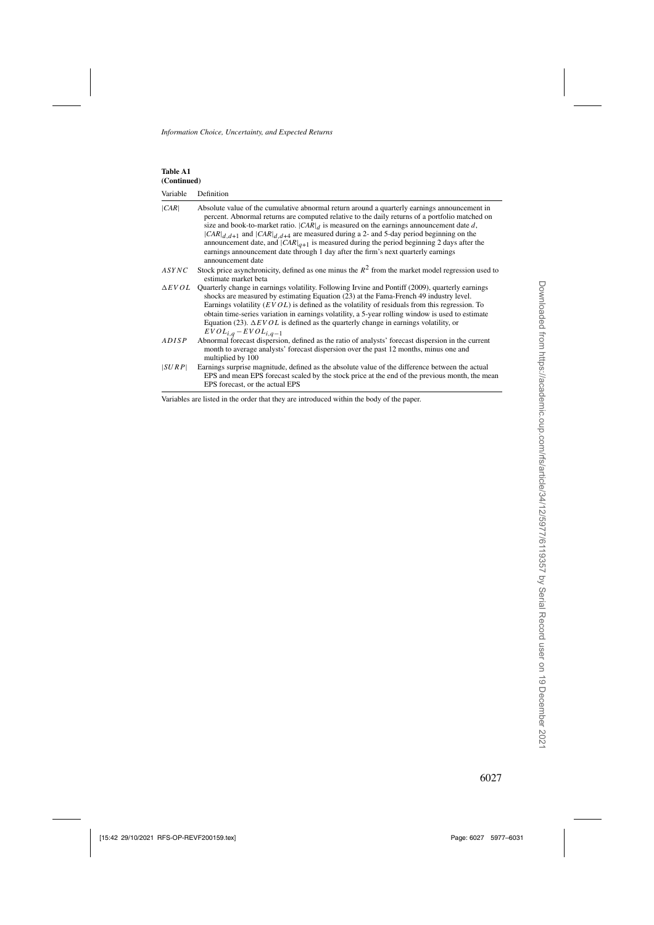| Table A1<br>(Continued) |                                                                                                                                                                                                                                                                                                                                                                                                                                                                                                                                                                                                            |
|-------------------------|------------------------------------------------------------------------------------------------------------------------------------------------------------------------------------------------------------------------------------------------------------------------------------------------------------------------------------------------------------------------------------------------------------------------------------------------------------------------------------------------------------------------------------------------------------------------------------------------------------|
| Variable                | Definition                                                                                                                                                                                                                                                                                                                                                                                                                                                                                                                                                                                                 |
| CAR                     | Absolute value of the cumulative abnormal return around a quarterly earnings announcement in<br>percent. Abnormal returns are computed relative to the daily returns of a portfolio matched on<br>size and book-to-market ratio. $ CAR _d$ is measured on the earnings announcement date d,<br>$ CAR _{d, d+1}$ and $ CAR _{d, d+4}$ are measured during a 2- and 5-day period beginning on the<br>announcement date, and $ CAR _{q+1}$ is measured during the period beginning 2 days after the<br>earnings announcement date through 1 day after the firm's next quarterly earnings<br>announcement date |
| ASYNC                   | Stock price asynchronicity, defined as one minus the $R^2$ from the market model regression used to<br>estimate market beta                                                                                                                                                                                                                                                                                                                                                                                                                                                                                |
| $\triangle EVOL$        | Quarterly change in earnings volatility. Following Irvine and Pontiff (2009), quarterly earnings<br>shocks are measured by estimating Equation (23) at the Fama-French 49 industry level.<br>Earnings volatility $(EVOL)$ is defined as the volatility of residuals from this regression. To<br>obtain time-series variation in earnings volatility, a 5-year rolling window is used to estimate<br>Equation (23). $\Delta EVOL$ is defined as the quarterly change in earnings volatility, or<br>$EVOL_{i,q} - EVOL_{i,q-1}$                                                                              |
| ADISP                   | Abnormal forecast dispersion, defined as the ratio of analysts' forecast dispersion in the current<br>month to average analysts' forecast dispersion over the past 12 months, minus one and<br>multiplied by 100                                                                                                                                                                                                                                                                                                                                                                                           |
| SURP                    | Earnings surprise magnitude, defined as the absolute value of the difference between the actual<br>EPS and mean EPS forecast scaled by the stock price at the end of the previous month, the mean<br>EPS forecast, or the actual EPS                                                                                                                                                                                                                                                                                                                                                                       |

Variables are listed in the order that they are introduced within the body of the paper.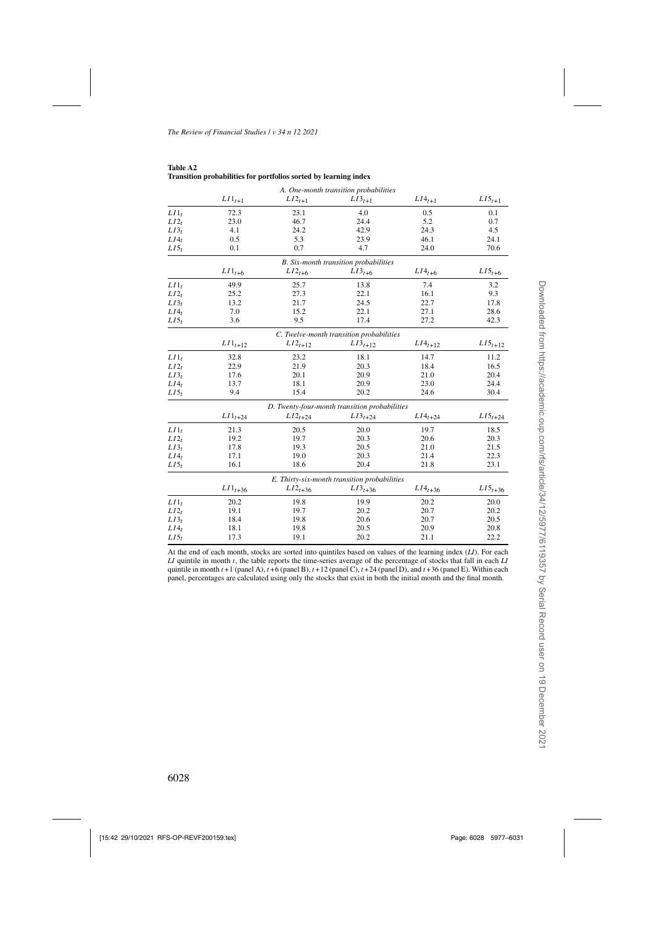|                  |                      |                                               | A. One-month transition probabilities        |               |                |
|------------------|----------------------|-----------------------------------------------|----------------------------------------------|---------------|----------------|
|                  | $LI\mathbf{1}_{t+1}$ | $LI2_{t+1}$                                   | $LI3_{t+1}$                                  | $L I4_{t+1}$  | $L I 5_{t+1}$  |
| $LII_t$          | 72.3                 | 23.1                                          | 4.0                                          | 0.5           | 0.1            |
| $LI2_t$          | 23.0                 | 46.7                                          | 24.4                                         | 5.2           | 0.7            |
| $LI3_t$          | 4.1                  | 24.2                                          | 42.9                                         | 24.3          | 4.5            |
| LI4 <sub>t</sub> | 0.5                  | 5.3                                           | 23.9                                         | 46.1          | 24.1           |
| $LI5_t$          | 0.1                  | 0.7                                           | 4.7                                          | 24.0          | 70.6           |
|                  |                      |                                               | B. Six-month transition probabilities        |               |                |
|                  | $LI1_{t+6}$          | $LI2_{t+6}$                                   | $LI3_{t+6}$                                  | $LI4_{t+6}$   | $LI5_{t+6}$    |
| $LII_t$          | 49.9                 | 25.7                                          | 13.8                                         | 7.4           | 3.2            |
| $LI2_t$          | 25.2                 | 27.3                                          | 22.1                                         | 16.1          | 9.3            |
| $LI3_t$          | 13.2                 | 21.7                                          | 24.5                                         | 22.7          | 17.8           |
| $LI4_t$          | 7.0                  | 15.2                                          | 22.1                                         | 27.1          | 28.6           |
| $LI5_t$          | 3.6                  | 9.5                                           | 17.4                                         | 27.2          | 42.3           |
|                  |                      |                                               | C. Twelve-month transition probabilities     |               |                |
|                  | $L I 1_{t+12}$       | $LI2_{t+12}$                                  | $L I3_{t+12}$                                | $L I4_{t+12}$ | $L I 5_{t+12}$ |
| $LII_t$          | 32.8                 | 23.2                                          | 18.1                                         | 14.7          | 11.2           |
| $LI2_t$          | 22.9                 | 21.9                                          | 20.3                                         | 18.4          | 16.5           |
| $LI3_t$          | 17.6                 | 20.1                                          | 20.9                                         | 21.0          | 20.4           |
| LI4 <sub>t</sub> | 13.7                 | 18.1                                          | 20.9                                         | 23.0          | 24.4           |
| $LI5_t$          | 9.4                  | 15.4                                          | 20.2                                         | 24.6          | 30.4           |
|                  |                      | D. Twenty-four-month transition probabilities |                                              |               |                |
|                  | $LI1_{t+24}$         | $LI_{t+24}$                                   | $LI3_{t+24}$                                 | $L I4_{t+24}$ | $L I 5_{t+24}$ |
| $LII_t$          | 21.3                 | 20.5                                          | 20.0                                         | 19.7          | 18.5           |
| $LI2_t$          | 19.2                 | 19.7                                          | 20.3                                         | 20.6          | 20.3           |
| $LI3_t$          | 17.8                 | 19.3                                          | 20.5                                         | 21.0          | 21.5           |
| $LI4_t$          | 17.1                 | 19.0                                          | 20.3                                         | 21.4          | 22.3           |
| $LI5_t$          | 16.1                 | 18.6                                          | 20.4                                         | 21.8          | 23.1           |
|                  |                      |                                               | E. Thirty-six-month transition probabilities |               |                |
|                  | $L I1_{t+36}$        | $L_{12_{t+36}}$                               | $L13_{t+36}$                                 | $L I4_{t+36}$ | $L I 5_{t+36}$ |
| $LII_t$          | 20.2                 | 19.8                                          | 19.9                                         | 20.2          | 20.0           |
| $LI2_t$          | 19.1                 | 19.7                                          | 20.2                                         | 20.7          | 20.2           |
| $LI3_t$          | 18.4                 | 19.8                                          | 20.6                                         | 20.7          | 20.5           |
| $LI4_t$          | 18.1                 | 19.8                                          | 20.5                                         | 20.9          | 20.8           |
| $LI5_t$          | 17.3                 | 19.1                                          | 20.2                                         | 21.1          | 22.2           |

| Table A2 |                                                                  |  |  |
|----------|------------------------------------------------------------------|--|--|
|          | Transition probabilities for portfolios sorted by learning index |  |  |

At the end of each month, stocks are sorted into quintiles based on values of the learning index (*LI*). For each *LI* quintile in month t, the table reports the time-series average of the percentage of stocks that fall in each *LI* quintile in month  $t + 1$  (panel A),  $t + 6$  (panel B),  $t + 12$  (panel C),  $t + 24$  (panel D), and  $t + 36$  (panel E). Within each panel, percentages are calculated using only the stocks that exist in both the initial month and the final month.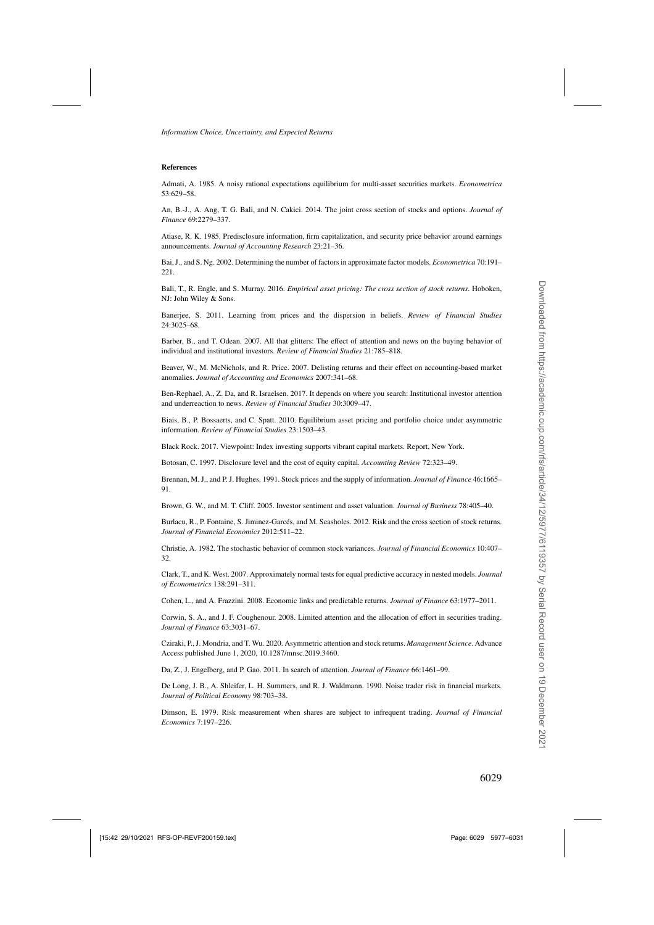#### <span id="page-52-0"></span>**References**

Admati, A. 1985. A noisy rational expectations equilibrium for multi-asset securities markets. *Econometrica* 53:629–58.

An, B.-J., A. Ang, T. G. Bali, and N. Cakici. 2014. The joint cross section of stocks and options. *Journal of Finance* 69:2279–337.

Atiase, R. K. 1985. Predisclosure information, firm capitalization, and security price behavior around earnings announcements. *Journal of Accounting Research* 23:21–36.

Bai, J., and S. Ng. 2002. Determining the number of factors in approximate factor models. *Econometrica* 70:191– 221.

Bali, T., R. Engle, and S. Murray. 2016. *Empirical asset pricing: The cross section of stock returns*. Hoboken, NJ: John Wiley & Sons.

Banerjee, S. 2011. Learning from prices and the dispersion in beliefs. *Review of Financial Studies* 24:3025–68.

Barber, B., and T. Odean. 2007. All that glitters: The effect of attention and news on the buying behavior of individual and institutional investors. *Review of Financial Studies* 21:785–818.

Beaver, W., M. McNichols, and R. Price. 2007. Delisting returns and their effect on accounting-based market anomalies. *Journal of Accounting and Economics* 2007:341–68.

Ben-Rephael, A., Z. Da, and R. Israelsen. 2017. It depends on where you search: Institutional investor attention and underreaction to news. *Review of Financial Studies* 30:3009–47.

Biais, B., P. Bossaerts, and C. Spatt. 2010. Equilibrium asset pricing and portfolio choice under asymmetric information. *Review of Financial Studies* 23:1503–43.

Black Rock. 2017. Viewpoint: Index investing supports vibrant capital markets. Report, New York.

Botosan, C. 1997. Disclosure level and the cost of equity capital. *Accounting Review* 72:323–49.

Brennan, M. J., and P. J. Hughes. 1991. Stock prices and the supply of information. *Journal of Finance* 46:1665– 91.

Brown, G. W., and M. T. Cliff. 2005. Investor sentiment and asset valuation. *Journal of Business* 78:405–40.

Burlacu, R., P. Fontaine, S. Jiminez-Garcés, and M. Seasholes. 2012. Risk and the cross section of stock returns. *Journal of Financial Economics* 2012:511–22.

Christie, A. 1982. The stochastic behavior of common stock variances. *Journal of Financial Economics* 10:407– 32.

Clark, T., and K. West. 2007. Approximately normal tests for equal predictive accuracy in nested models. *Journal of Econometrics* 138:291–311.

Cohen, L., and A. Frazzini. 2008. Economic links and predictable returns. *Journal of Finance* 63:1977–2011.

Corwin, S. A., and J. F. Coughenour. 2008. Limited attention and the allocation of effort in securities trading. *Journal of Finance* 63:3031–67.

Cziraki, P., J. Mondria, and T. Wu. 2020. Asymmetric attention and stock returns. *Management Science*. Advance Access published June 1, 2020, 10.1287/mnsc.2019.3460.

Da, Z., J. Engelberg, and P. Gao. 2011. In search of attention. *Journal of Finance* 66:1461–99.

De Long, J. B., A. Shleifer, L. H. Summers, and R. J. Waldmann. 1990. Noise trader risk in financial markets. *Journal of Political Economy* 98:703–38.

Dimson, E. 1979. Risk measurement when shares are subject to infrequent trading. *Journal of Financial Economics* 7:197–226.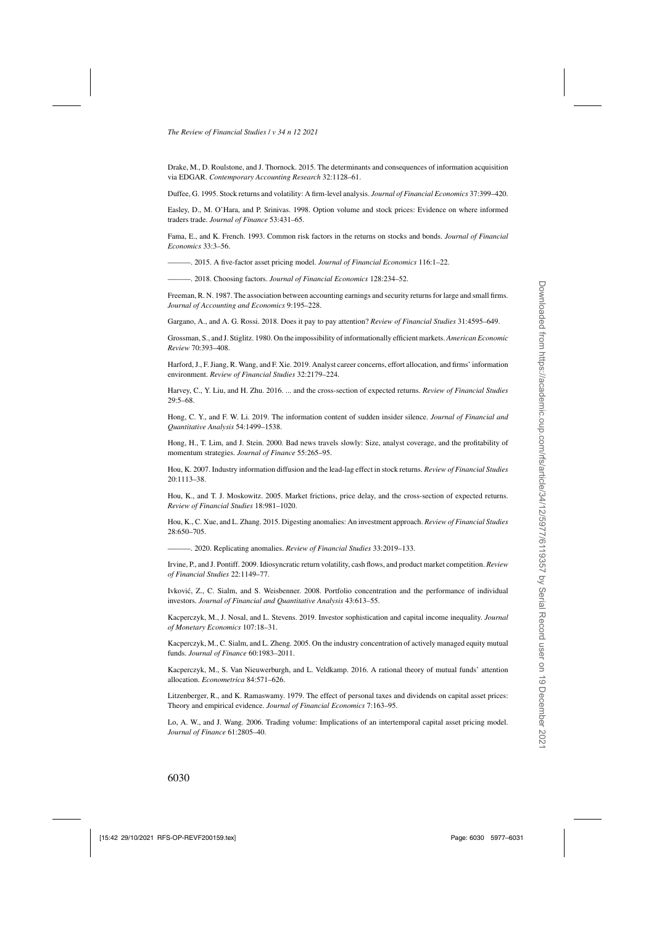<span id="page-53-0"></span>Drake, M., D. Roulstone, and J. Thornock. 2015. The determinants and consequences of information acquisition via EDGAR. *Contemporary Accounting Research* 32:1128–61.

Duffee, G. 1995. Stock returns and volatility: A firm-level analysis. *Journal of Financial Economics* 37:399–420.

Easley, D., M. O'Hara, and P. Srinivas. 1998. Option volume and stock prices: Evidence on where informed traders trade. *Journal of Finance* 53:431–65.

Fama, E., and K. French. 1993. Common risk factors in the returns on stocks and bonds. *Journal of Financial Economics* 33:3–56.

———. 2015. A five-factor asset pricing model. *Journal of Financial Economics* 116:1–22.

———. 2018. Choosing factors. *Journal of Financial Economics* 128:234–52.

Freeman, R. N. 1987. The association between accounting earnings and security returns for large and small firms. *Journal of Accounting and Economics* 9:195–228.

Gargano, A., and A. G. Rossi. 2018. Does it pay to pay attention? *Review of Financial Studies* 31:4595–649.

Grossman, S., and J. Stiglitz. 1980. On the impossibility of informationally efficient markets. *American Economic Review* 70:393–408.

Harford, J., F. Jiang, R. Wang, and F. Xie. 2019. Analyst career concerns, effort allocation, and firms' information environment. *Review of Financial Studies* 32:2179–224.

Harvey, C., Y. Liu, and H. Zhu. 2016. ... and the cross-section of expected returns. *Review of Financial Studies* 29:5–68.

Hong, C. Y., and F. W. Li. 2019. The information content of sudden insider silence. *Journal of Financial and Quantitative Analysis* 54:1499–1538.

Hong, H., T. Lim, and J. Stein. 2000. Bad news travels slowly: Size, analyst coverage, and the profitability of momentum strategies. *Journal of Finance* 55:265–95.

Hou, K. 2007. Industry information diffusion and the lead-lag effect in stock returns. *Review of Financial Studies* 20:1113–38.

Hou, K., and T. J. Moskowitz. 2005. Market frictions, price delay, and the cross-section of expected returns. *Review of Financial Studies* 18:981–1020.

Hou, K., C. Xue, and L. Zhang. 2015. Digesting anomalies: An investment approach. *Review of Financial Studies* 28:650–705.

———. 2020. Replicating anomalies. *Review of Financial Studies* 33:2019–133.

Irvine, P., and J. Pontiff. 2009. Idiosyncratic return volatility, cash flows, and product market competition. *Review of Financial Studies* 22:1149–77.

Ivkovic, Z., C. Sialm, and S. Weisbenner. 2008. Portfolio concentration and the performance of individual ´ investors. *Journal of Financial and Quantitative Analysis* 43:613–55.

Kacperczyk, M., J. Nosal, and L. Stevens. 2019. Investor sophistication and capital income inequality. *Journal of Monetary Economics* 107:18–31.

Kacperczyk, M., C. Sialm, and L. Zheng. 2005. On the industry concentration of actively managed equity mutual funds. *Journal of Finance* 60:1983–2011.

Kacperczyk, M., S. Van Nieuwerburgh, and L. Veldkamp. 2016. A rational theory of mutual funds' attention allocation. *Econometrica* 84:571–626.

Litzenberger, R., and K. Ramaswamy. 1979. The effect of personal taxes and dividends on capital asset prices: Theory and empirical evidence. *Journal of Financial Economics* 7:163–95.

Lo, A. W., and J. Wang. 2006. Trading volume: Implications of an intertemporal capital asset pricing model. *Journal of Finance* 61:2805–40.